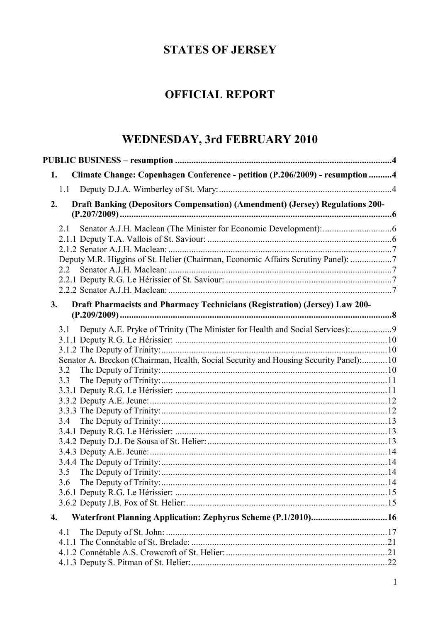# **STATES OF JERSEY**

# **OFFICIAL REPORT**

# WEDNESDAY, 3rd FEBRUARY 2010

| Climate Change: Copenhagen Conference - petition (P.206/2009) - resumption 4<br>1.   |  |
|--------------------------------------------------------------------------------------|--|
|                                                                                      |  |
| Draft Banking (Depositors Compensation) (Amendment) (Jersey) Regulations 200-<br>2.  |  |
| 2.1                                                                                  |  |
|                                                                                      |  |
|                                                                                      |  |
| Deputy M.R. Higgins of St. Helier (Chairman, Economic Affairs Scrutiny Panel): 7     |  |
| 2.2                                                                                  |  |
|                                                                                      |  |
|                                                                                      |  |
| Draft Pharmacists and Pharmacy Technicians (Registration) (Jersey) Law 200-<br>3.    |  |
| 3.1 Deputy A.E. Pryke of Trinity (The Minister for Health and Social Services):9     |  |
|                                                                                      |  |
|                                                                                      |  |
| Senator A. Breckon (Chairman, Health, Social Security and Housing Security Panel):10 |  |
| 3.2                                                                                  |  |
| 3.3                                                                                  |  |
|                                                                                      |  |
|                                                                                      |  |
|                                                                                      |  |
|                                                                                      |  |
|                                                                                      |  |
|                                                                                      |  |
|                                                                                      |  |
| 3.5                                                                                  |  |
|                                                                                      |  |
|                                                                                      |  |
|                                                                                      |  |
| Waterfront Planning Application: Zephyrus Scheme (P.1/2010)16<br>4.                  |  |
| 4.1                                                                                  |  |
|                                                                                      |  |
|                                                                                      |  |
|                                                                                      |  |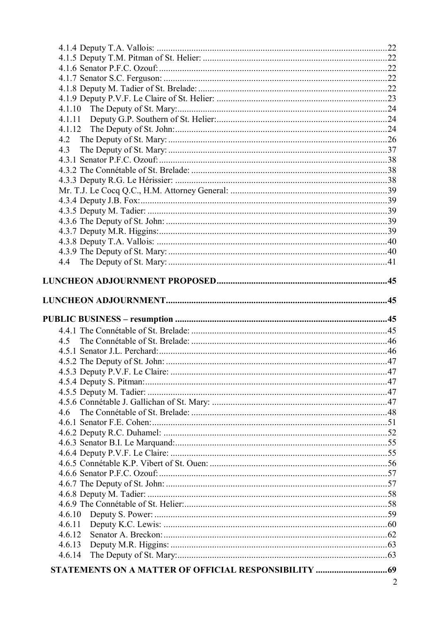| 4.3                            |  |
|--------------------------------|--|
|                                |  |
|                                |  |
|                                |  |
|                                |  |
|                                |  |
|                                |  |
|                                |  |
|                                |  |
|                                |  |
|                                |  |
|                                |  |
|                                |  |
|                                |  |
|                                |  |
|                                |  |
|                                |  |
|                                |  |
|                                |  |
|                                |  |
| 45                             |  |
|                                |  |
|                                |  |
| 4.5.3 Deputy P.V.F. Le Claire: |  |
|                                |  |
|                                |  |
|                                |  |
| 46                             |  |
|                                |  |
|                                |  |
|                                |  |
|                                |  |
|                                |  |
|                                |  |
|                                |  |
|                                |  |
|                                |  |
|                                |  |
|                                |  |
| 4.6.12                         |  |
| 4.6.13                         |  |
| 4.6.14                         |  |
|                                |  |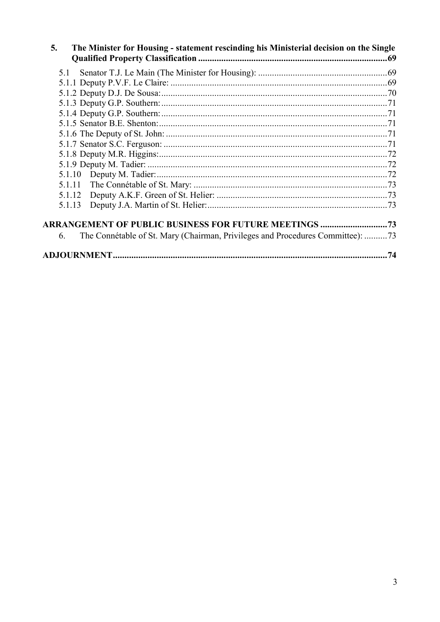| 5.<br>The Minister for Housing - statement rescinding his Ministerial decision on the Single |     |
|----------------------------------------------------------------------------------------------|-----|
| 5.1                                                                                          |     |
|                                                                                              |     |
|                                                                                              |     |
|                                                                                              |     |
|                                                                                              |     |
|                                                                                              |     |
|                                                                                              |     |
|                                                                                              |     |
|                                                                                              |     |
|                                                                                              |     |
|                                                                                              |     |
| 5.1.11                                                                                       |     |
| 5.1.12                                                                                       |     |
| 5.1.13                                                                                       |     |
|                                                                                              |     |
| The Connétable of St. Mary (Chairman, Privileges and Procedures Committee): 73<br>6.         |     |
|                                                                                              | .74 |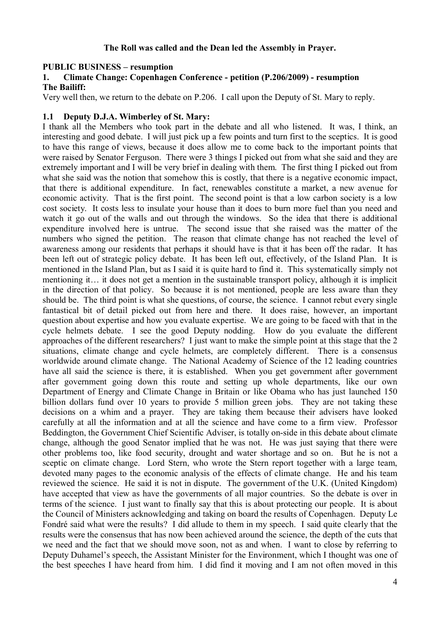### **The Roll was called and the Dean led the Assembly in Prayer.**

### **PUBLIC BUSINESS – resumption**

#### **1. Climate Change: Copenhagen Conference - petition (P.206/2009) - resumption The Bailiff:**

Very well then, we return to the debate on P.206. I call upon the Deputy of St. Mary to reply.

### **1.1 Deputy D.J.A. Wimberley of St. Mary:**

I thank all the Members who took part in the debate and all who listened. It was, I think, an interesting and good debate. I will just pick up a few points and turn first to the sceptics. It is good to have this range of views, because it does allow me to come back to the important points that were raised by Senator Ferguson. There were 3 things I picked out from what she said and they are extremely important and I will be very brief in dealing with them. The first thing I picked out from what she said was the notion that somehow this is costly, that there is a negative economic impact, that there is additional expenditure. In fact, renewables constitute a market, a new avenue for economic activity. That is the first point. The second point is that a low carbon society is a low cost society. It costs less to insulate your house than it does to burn more fuel than you need and watch it go out of the walls and out through the windows. So the idea that there is additional expenditure involved here is untrue. The second issue that she raised was the matter of the numbers who signed the petition. The reason that climate change has not reached the level of awareness among our residents that perhaps it should have is that it has been off the radar. It has been left out of strategic policy debate. It has been left out, effectively, of the Island Plan. It is mentioned in the Island Plan, but as I said it is quite hard to find it. This systematically simply not mentioning it… it does not get a mention in the sustainable transport policy, although it is implicit in the direction of that policy. So because it is not mentioned, people are less aware than they should be. The third point is what she questions, of course, the science. I cannot rebut every single fantastical bit of detail picked out from here and there. It does raise, however, an important question about expertise and how you evaluate expertise. We are going to be faced with that in the cycle helmets debate. I see the good Deputy nodding. How do you evaluate the different approaches of the different researchers? I just want to make the simple point at this stage that the 2 situations, climate change and cycle helmets, are completely different. There is a consensus worldwide around climate change. The National Academy of Science of the 12 leading countries have all said the science is there, it is established. When you get government after government after government going down this route and setting up whole departments, like our own Department of Energy and Climate Change in Britain or like Obama who has just launched 150 billion dollars fund over 10 years to provide 5 million green jobs. They are not taking these decisions on a whim and a prayer. They are taking them because their advisers have looked carefully at all the information and at all the science and have come to a firm view. Professor Beddington, the Government Chief Scientific Adviser, is totally on-side in this debate about climate change, although the good Senator implied that he was not. He was just saying that there were other problems too, like food security, drought and water shortage and so on. But he is not a sceptic on climate change. Lord Stern, who wrote the Stern report together with a large team, devoted many pages to the economic analysis of the effects of climate change. He and his team reviewed the science. He said it is not in dispute. The government of the U.K. (United Kingdom) have accepted that view as have the governments of all major countries. So the debate is over in terms of the science. I just want to finally say that this is about protecting our people. It is about the Council of Ministers acknowledging and taking on board the results of Copenhagen. Deputy Le Fondré said what were the results? I did allude to them in my speech. I said quite clearly that the results were the consensus that has now been achieved around the science, the depth of the cuts that we need and the fact that we should move soon, not as and when. I want to close by referring to Deputy Duhamel's speech, the Assistant Minister for the Environment, which I thought was one of the best speeches I have heard from him. I did find it moving and I am not often moved in this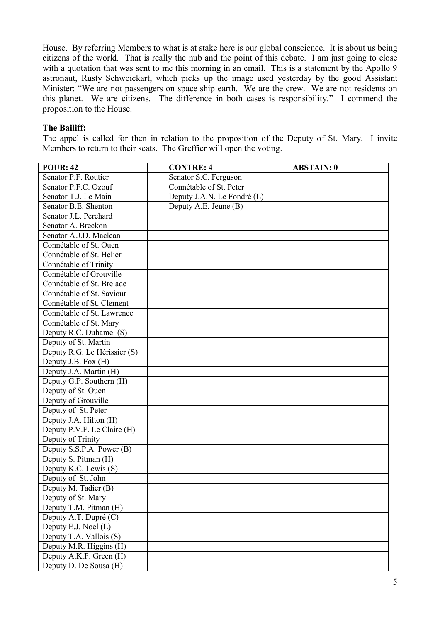House. By referring Members to what is at stake here is our global conscience. It is about us being citizens of the world. That is really the nub and the point of this debate. I am just going to close with a quotation that was sent to me this morning in an email. This is a statement by the Apollo 9 astronaut, Rusty Schweickart, which picks up the image used yesterday by the good Assistant Minister: "We are not passengers on space ship earth. We are the crew. We are not residents on this planet. We are citizens. The difference in both cases is responsibility." I commend the proposition to the House.

#### **The Bailiff:**

The appel is called for then in relation to the proposition of the Deputy of St. Mary. I invite Members to return to their seats. The Greffier will open the voting.

| <b>POUR: 42</b>              | <b>CONTRE: 4</b>            | <b>ABSTAIN: 0</b> |
|------------------------------|-----------------------------|-------------------|
| Senator P.F. Routier         | Senator S.C. Ferguson       |                   |
| Senator P.F.C. Ozouf         | Connétable of St. Peter     |                   |
| Senator T.J. Le Main         | Deputy J.A.N. Le Fondré (L) |                   |
| Senator B.E. Shenton         | Deputy $A.E.$ Jeune $(B)$   |                   |
| Senator J.L. Perchard        |                             |                   |
| Senator A. Breckon           |                             |                   |
| Senator A.J.D. Maclean       |                             |                   |
| Connétable of St. Ouen       |                             |                   |
| Connétable of St. Helier     |                             |                   |
| Connétable of Trinity        |                             |                   |
| Connétable of Grouville      |                             |                   |
| Connétable of St. Brelade    |                             |                   |
| Connétable of St. Saviour    |                             |                   |
| Connétable of St. Clement    |                             |                   |
| Connétable of St. Lawrence   |                             |                   |
| Connétable of St. Mary       |                             |                   |
| Deputy R.C. Duhamel (S)      |                             |                   |
| Deputy of St. Martin         |                             |                   |
| Deputy R.G. Le Hérissier (S) |                             |                   |
| Deputy J.B. Fox (H)          |                             |                   |
| Deputy J.A. Martin (H)       |                             |                   |
| Deputy G.P. Southern (H)     |                             |                   |
| Deputy of St. Ouen           |                             |                   |
| Deputy of Grouville          |                             |                   |
| Deputy of St. Peter          |                             |                   |
| Deputy J.A. Hilton (H)       |                             |                   |
| Deputy P.V.F. Le Claire (H)  |                             |                   |
| Deputy of Trinity            |                             |                   |
| Deputy S.S.P.A. Power (B)    |                             |                   |
| Deputy S. Pitman (H)         |                             |                   |
| Deputy K.C. Lewis (S)        |                             |                   |
| Deputy of St. John           |                             |                   |
| Deputy M. Tadier (B)         |                             |                   |
| Deputy of St. Mary           |                             |                   |
| Deputy T.M. Pitman (H)       |                             |                   |
| Deputy A.T. Dupré (C)        |                             |                   |
| Deputy E.J. Noel (L)         |                             |                   |
| Deputy T.A. Vallois (S)      |                             |                   |
| Deputy M.R. Higgins (H)      |                             |                   |
| Deputy A.K.F. Green (H)      |                             |                   |
| Deputy D. De Sousa (H)       |                             |                   |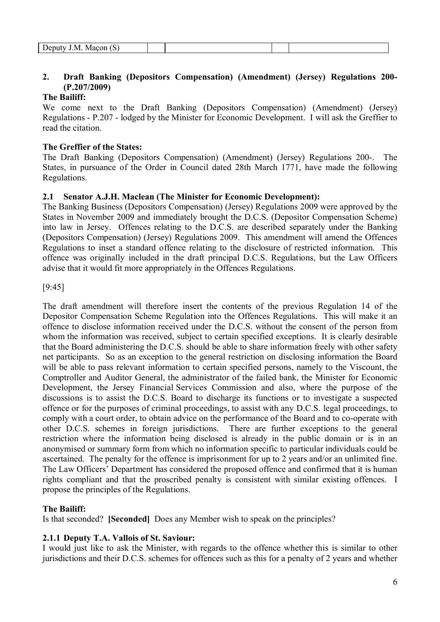|  | ٠,<br>$-$<br>IМ<br>v<br>$\overline{\phantom{0}}$ |  |  |  |  |
|--|--------------------------------------------------|--|--|--|--|
|--|--------------------------------------------------|--|--|--|--|

# **2. Draft Banking (Depositors Compensation) (Amendment) (Jersey) Regulations 200- (P.207/2009)**

# **The Bailiff:**

We come next to the Draft Banking (Depositors Compensation) (Amendment) (Jersey) Regulations - P.207 - lodged by the Minister for Economic Development. I will ask the Greffier to read the citation.

# **The Greffier of the States:**

The Draft Banking (Depositors Compensation) (Amendment) (Jersey) Regulations 200-. The States, in pursuance of the Order in Council dated 28th March 1771, have made the following Regulations.

# **2.1 Senator A.J.H. Maclean (The Minister for Economic Development):**

The Banking Business (Depositors Compensation) (Jersey) Regulations 2009 were approved by the States in November 2009 and immediately brought the D.C.S. (Depositor Compensation Scheme) into law in Jersey. Offences relating to the D.C.S. are described separately under the Banking (Depositors Compensation) (Jersey) Regulations 2009. This amendment will amend the Offences Regulations to inset a standard offence relating to the disclosure of restricted information. This offence was originally included in the draft principal D.C.S. Regulations, but the Law Officers advise that it would fit more appropriately in the Offences Regulations.

# [9:45]

The draft amendment will therefore insert the contents of the previous Regulation 14 of the Depositor Compensation Scheme Regulation into the Offences Regulations. This will make it an offence to disclose information received under the D.C.S. without the consent of the person from whom the information was received, subject to certain specified exceptions. It is clearly desirable that the Board administering the D.C.S. should be able to share information freely with other safety net participants. So as an exception to the general restriction on disclosing information the Board will be able to pass relevant information to certain specified persons, namely to the Viscount, the Comptroller and Auditor General, the administrator of the failed bank, the Minister for Economic Development, the Jersey Financial Services Commission and also, where the purpose of the discussions is to assist the D.C.S. Board to discharge its functions or to investigate a suspected offence or for the purposes of criminal proceedings, to assist with any D.C.S. legal proceedings, to comply with a court order, to obtain advice on the performance of the Board and to co-operate with other D.C.S. schemes in foreign jurisdictions. There are further exceptions to the general restriction where the information being disclosed is already in the public domain or is in an anonymised or summary form from which no information specific to particular individuals could be ascertained. The penalty for the offence is imprisonment for up to 2 years and/or an unlimited fine. The Law Officers' Department has considered the proposed offence and confirmed that it is human rights compliant and that the proscribed penalty is consistent with similar existing offences. I propose the principles of the Regulations.

# **The Bailiff:**

Is that seconded? **[Seconded]** Does any Member wish to speak on the principles?

# **2.1.1 Deputy T.A. Vallois of St. Saviour:**

I would just like to ask the Minister, with regards to the offence whether this is similar to other jurisdictions and their D.C.S. schemes for offences such as this for a penalty of 2 years and whether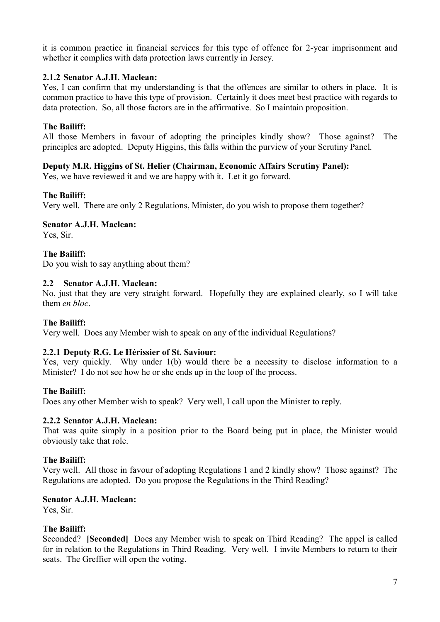it is common practice in financial services for this type of offence for 2-year imprisonment and whether it complies with data protection laws currently in Jersey.

### **2.1.2 Senator A.J.H. Maclean:**

Yes, I can confirm that my understanding is that the offences are similar to others in place. It is common practice to have this type of provision. Certainly it does meet best practice with regards to data protection. So, all those factors are in the affirmative. So I maintain proposition.

### **The Bailiff:**

All those Members in favour of adopting the principles kindly show? Those against? The principles are adopted. Deputy Higgins, this falls within the purview of your Scrutiny Panel.

### **Deputy M.R. Higgins of St. Helier (Chairman, Economic Affairs Scrutiny Panel):**

Yes, we have reviewed it and we are happy with it. Let it go forward.

#### **The Bailiff:**

Very well. There are only 2 Regulations, Minister, do you wish to propose them together?

### **Senator A.J.H. Maclean:**

Yes, Sir.

**The Bailiff:**

Do you wish to say anything about them?

### **2.2 Senator A.J.H. Maclean:**

No, just that they are very straight forward. Hopefully they are explained clearly, so I will take them *en bloc*.

#### **The Bailiff:**

Very well. Does any Member wish to speak on any of the individual Regulations?

# **2.2.1 Deputy R.G. Le Hérissier of St. Saviour:**

Yes, very quickly. Why under 1(b) would there be a necessity to disclose information to a Minister? I do not see how he or she ends up in the loop of the process.

# **The Bailiff:**

Does any other Member wish to speak? Very well, I call upon the Minister to reply.

#### **2.2.2 Senator A.J.H. Maclean:**

That was quite simply in a position prior to the Board being put in place, the Minister would obviously take that role.

#### **The Bailiff:**

Very well. All those in favour of adopting Regulations 1 and 2 kindly show? Those against? The Regulations are adopted. Do you propose the Regulations in the Third Reading?

#### **Senator A.J.H. Maclean:**

Yes, Sir.

#### **The Bailiff:**

Seconded? **[Seconded]** Does any Member wish to speak on Third Reading? The appel is called for in relation to the Regulations in Third Reading. Very well. I invite Members to return to their seats. The Greffier will open the voting.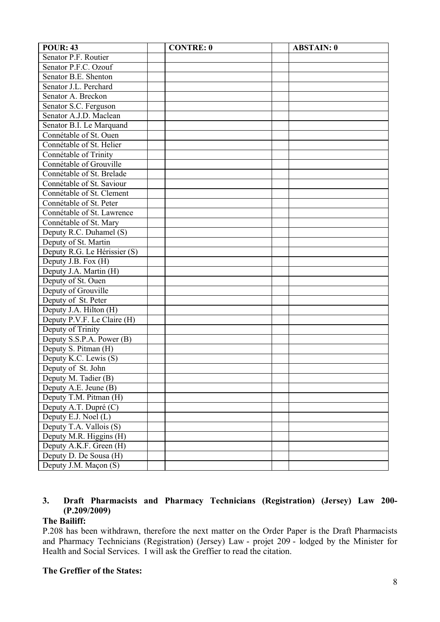| POUR: 43                     | <b>CONTRE: 0</b> | <b>ABSTAIN: 0</b> |  |
|------------------------------|------------------|-------------------|--|
| Senator P.F. Routier         |                  |                   |  |
| Senator P.F.C. Ozouf         |                  |                   |  |
| Senator B.E. Shenton         |                  |                   |  |
| Senator J.L. Perchard        |                  |                   |  |
| Senator A. Breckon           |                  |                   |  |
| Senator S.C. Ferguson        |                  |                   |  |
| Senator A.J.D. Maclean       |                  |                   |  |
| Senator B.I. Le Marquand     |                  |                   |  |
| Connétable of St. Ouen       |                  |                   |  |
| Connétable of St. Helier     |                  |                   |  |
| Connétable of Trinity        |                  |                   |  |
| Connétable of Grouville      |                  |                   |  |
| Connétable of St. Brelade    |                  |                   |  |
| Connétable of St. Saviour    |                  |                   |  |
| Connétable of St. Clement    |                  |                   |  |
| Connétable of St. Peter      |                  |                   |  |
| Connétable of St. Lawrence   |                  |                   |  |
| Connétable of St. Mary       |                  |                   |  |
| Deputy R.C. Duhamel (S)      |                  |                   |  |
| Deputy of St. Martin         |                  |                   |  |
| Deputy R.G. Le Hérissier (S) |                  |                   |  |
| Deputy J.B. Fox (H)          |                  |                   |  |
| Deputy J.A. Martin (H)       |                  |                   |  |
| Deputy of St. Ouen           |                  |                   |  |
| Deputy of Grouville          |                  |                   |  |
| Deputy of St. Peter          |                  |                   |  |
| Deputy J.A. Hilton (H)       |                  |                   |  |
| Deputy P.V.F. Le Claire (H)  |                  |                   |  |
| Deputy of Trinity            |                  |                   |  |
| Deputy S.S.P.A. Power (B)    |                  |                   |  |
| Deputy S. Pitman (H)         |                  |                   |  |
| Deputy K.C. Lewis (S)        |                  |                   |  |
| Deputy of St. John           |                  |                   |  |
| Deputy M. Tadier (B)         |                  |                   |  |
| Deputy A.E. Jeune (B)        |                  |                   |  |
| Deputy T.M. Pitman (H)       |                  |                   |  |
| Deputy A.T. Dupré (C)        |                  |                   |  |
| Deputy E.J. Noel (L)         |                  |                   |  |
| Deputy T.A. Vallois (S)      |                  |                   |  |
| Deputy M.R. Higgins (H)      |                  |                   |  |
| Deputy A.K.F. Green (H)      |                  |                   |  |
| Deputy D. De Sousa (H)       |                  |                   |  |
| Deputy J.M. Maçon (S)        |                  |                   |  |

# **3. Draft Pharmacists and Pharmacy Technicians (Registration) (Jersey) Law 200- (P.209/2009)**

# **The Bailiff:**

P.208 has been withdrawn, therefore the next matter on the Order Paper is the Draft Pharmacists and Pharmacy Technicians (Registration) (Jersey) Law - projet 209 - lodged by the Minister for Health and Social Services. I will ask the Greffier to read the citation.

# **The Greffier of the States:**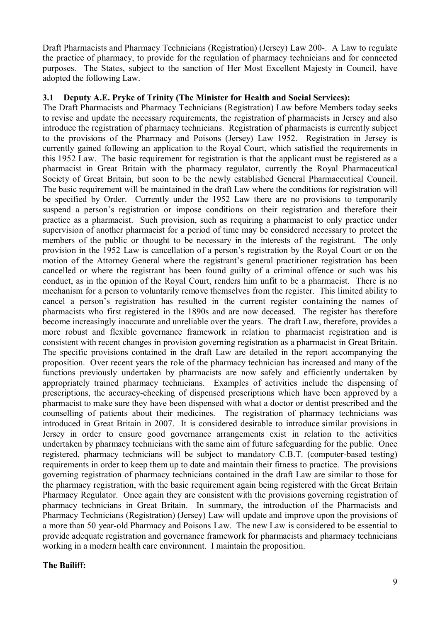Draft Pharmacists and Pharmacy Technicians (Registration) (Jersey) Law 200-. A Law to regulate the practice of pharmacy, to provide for the regulation of pharmacy technicians and for connected purposes. The States, subject to the sanction of Her Most Excellent Majesty in Council, have adopted the following Law.

### **3.1 Deputy A.E. Pryke of Trinity (The Minister for Health and Social Services):**

The Draft Pharmacists and Pharmacy Technicians (Registration) Law before Members today seeks to revise and update the necessary requirements, the registration of pharmacists in Jersey and also introduce the registration of pharmacy technicians. Registration of pharmacists is currently subject to the provisions of the Pharmacy and Poisons (Jersey) Law 1952. Registration in Jersey is currently gained following an application to the Royal Court, which satisfied the requirements in this 1952 Law. The basic requirement for registration is that the applicant must be registered as a pharmacist in Great Britain with the pharmacy regulator, currently the Royal Pharmaceutical Society of Great Britain, but soon to be the newly established General Pharmaceutical Council. The basic requirement will be maintained in the draft Law where the conditions for registration will be specified by Order. Currently under the 1952 Law there are no provisions to temporarily suspend a person's registration or impose conditions on their registration and therefore their practice as a pharmacist. Such provision, such as requiring a pharmacist to only practice under supervision of another pharmacist for a period of time may be considered necessary to protect the members of the public or thought to be necessary in the interests of the registrant. The only provision in the 1952 Law is cancellation of a person's registration by the Royal Court or on the motion of the Attorney General where the registrant's general practitioner registration has been cancelled or where the registrant has been found guilty of a criminal offence or such was his conduct, as in the opinion of the Royal Court, renders him unfit to be a pharmacist. There is no mechanism for a person to voluntarily remove themselves from the register. This limited ability to cancel a person's registration has resulted in the current register containing the names of pharmacists who first registered in the 1890s and are now deceased. The register has therefore become increasingly inaccurate and unreliable over the years. The draft Law, therefore, provides a more robust and flexible governance framework in relation to pharmacist registration and is consistent with recent changes in provision governing registration as a pharmacist in Great Britain. The specific provisions contained in the draft Law are detailed in the report accompanying the proposition. Over recent years the role of the pharmacy technician has increased and many of the functions previously undertaken by pharmacists are now safely and efficiently undertaken by appropriately trained pharmacy technicians. Examples of activities include the dispensing of prescriptions, the accuracy-checking of dispensed prescriptions which have been approved by a pharmacist to make sure they have been dispensed with what a doctor or dentist prescribed and the counselling of patients about their medicines. The registration of pharmacy technicians was introduced in Great Britain in 2007. It is considered desirable to introduce similar provisions in Jersey in order to ensure good governance arrangements exist in relation to the activities undertaken by pharmacy technicians with the same aim of future safeguarding for the public. Once registered, pharmacy technicians will be subject to mandatory C.B.T. (computer-based testing) requirements in order to keep them up to date and maintain their fitness to practice. The provisions governing registration of pharmacy technicians contained in the draft Law are similar to those for the pharmacy registration, with the basic requirement again being registered with the Great Britain Pharmacy Regulator. Once again they are consistent with the provisions governing registration of pharmacy technicians in Great Britain. In summary, the introduction of the Pharmacists and Pharmacy Technicians (Registration) (Jersey) Law will update and improve upon the provisions of a more than 50 year-old Pharmacy and Poisons Law. The new Law is considered to be essential to provide adequate registration and governance framework for pharmacists and pharmacy technicians working in a modern health care environment. I maintain the proposition.

# **The Bailiff:**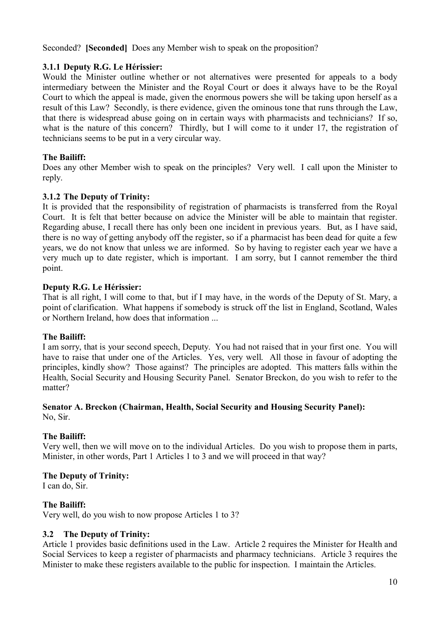Seconded? **[Seconded]** Does any Member wish to speak on the proposition?

# **3.1.1 Deputy R.G. Le Hérissier:**

Would the Minister outline whether or not alternatives were presented for appeals to a body intermediary between the Minister and the Royal Court or does it always have to be the Royal Court to which the appeal is made, given the enormous powers she will be taking upon herself as a result of this Law? Secondly, is there evidence, given the ominous tone that runs through the Law, that there is widespread abuse going on in certain ways with pharmacists and technicians? If so, what is the nature of this concern? Thirdly, but I will come to it under 17, the registration of technicians seems to be put in a very circular way.

# **The Bailiff:**

Does any other Member wish to speak on the principles? Very well. I call upon the Minister to reply.

# **3.1.2 The Deputy of Trinity:**

It is provided that the responsibility of registration of pharmacists is transferred from the Royal Court. It is felt that better because on advice the Minister will be able to maintain that register. Regarding abuse, I recall there has only been one incident in previous years. But, as I have said, there is no way of getting anybody off the register, so if a pharmacist has been dead for quite a few years, we do not know that unless we are informed. So by having to register each year we have a very much up to date register, which is important. I am sorry, but I cannot remember the third point.

# **Deputy R.G. Le Hérissier:**

That is all right, I will come to that, but if I may have, in the words of the Deputy of St. Mary, a point of clarification. What happens if somebody is struck off the list in England, Scotland, Wales or Northern Ireland, how does that information ...

# **The Bailiff:**

I am sorry, that is your second speech, Deputy. You had not raised that in your first one. You will have to raise that under one of the Articles. Yes, very well. All those in favour of adopting the principles, kindly show? Those against? The principles are adopted. This matters falls within the Health, Social Security and Housing Security Panel. Senator Breckon, do you wish to refer to the matter?

#### **Senator A. Breckon (Chairman, Health, Social Security and Housing Security Panel):** No, Sir.

# **The Bailiff:**

Very well, then we will move on to the individual Articles. Do you wish to propose them in parts, Minister, in other words, Part 1 Articles 1 to 3 and we will proceed in that way?

# **The Deputy of Trinity:**

I can do, Sir.

# **The Bailiff:**

Very well, do you wish to now propose Articles 1 to 3?

# **3.2 The Deputy of Trinity:**

Article 1 provides basic definitions used in the Law. Article 2 requires the Minister for Health and Social Services to keep a register of pharmacists and pharmacy technicians. Article 3 requires the Minister to make these registers available to the public for inspection. I maintain the Articles.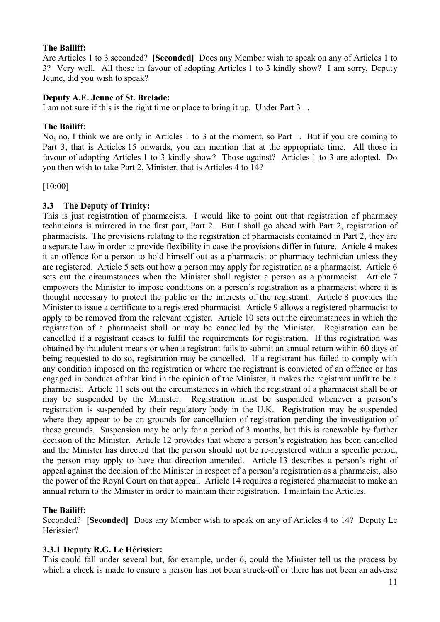# **The Bailiff:**

Are Articles 1 to 3 seconded? **[Seconded]** Does any Member wish to speak on any of Articles 1 to 3? Very well. All those in favour of adopting Articles 1 to 3 kindly show? I am sorry, Deputy Jeune, did you wish to speak?

# **Deputy A.E. Jeune of St. Brelade:**

I am not sure if this is the right time or place to bring it up. Under Part 3 ...

# **The Bailiff:**

No, no, I think we are only in Articles 1 to 3 at the moment, so Part 1. But if you are coming to Part 3, that is Articles 15 onwards, you can mention that at the appropriate time. All those in favour of adopting Articles 1 to 3 kindly show? Those against? Articles 1 to 3 are adopted. Do you then wish to take Part 2, Minister, that is Articles 4 to 14?

[10:00]

# **3.3 The Deputy of Trinity:**

This is just registration of pharmacists. I would like to point out that registration of pharmacy technicians is mirrored in the first part, Part 2. But I shall go ahead with Part 2, registration of pharmacists. The provisions relating to the registration of pharmacists contained in Part 2, they are a separate Law in order to provide flexibility in case the provisions differ in future. Article 4 makes it an offence for a person to hold himself out as a pharmacist or pharmacy technician unless they are registered. Article 5 sets out how a person may apply for registration as a pharmacist. Article 6 sets out the circumstances when the Minister shall register a person as a pharmacist. Article 7 empowers the Minister to impose conditions on a person's registration as a pharmacist where it is thought necessary to protect the public or the interests of the registrant. Article 8 provides the Minister to issue a certificate to a registered pharmacist. Article 9 allows a registered pharmacist to apply to be removed from the relevant register. Article 10 sets out the circumstances in which the registration of a pharmacist shall or may be cancelled by the Minister. Registration can be cancelled if a registrant ceases to fulfil the requirements for registration. If this registration was obtained by fraudulent means or when a registrant fails to submit an annual return within 60 days of being requested to do so, registration may be cancelled. If a registrant has failed to comply with any condition imposed on the registration or where the registrant is convicted of an offence or has engaged in conduct of that kind in the opinion of the Minister, it makes the registrant unfit to be a pharmacist. Article 11 sets out the circumstances in which the registrant of a pharmacist shall be or may be suspended by the Minister. Registration must be suspended whenever a person's registration is suspended by their regulatory body in the U.K. Registration may be suspended where they appear to be on grounds for cancellation of registration pending the investigation of those grounds. Suspension may be only for a period of 3 months, but this is renewable by further decision of the Minister. Article 12 provides that where a person's registration has been cancelled and the Minister has directed that the person should not be re-registered within a specific period, the person may apply to have that direction amended. Article 13 describes a person's right of appeal against the decision of the Minister in respect of a person's registration as a pharmacist, also the power of the Royal Court on that appeal. Article 14 requires a registered pharmacist to make an annual return to the Minister in order to maintain their registration. I maintain the Articles.

# **The Bailiff:**

Seconded? **[Seconded]** Does any Member wish to speak on any of Articles 4 to 14? Deputy Le Hérissier?

# **3.3.1 Deputy R.G. Le Hérissier:**

This could fall under several but, for example, under 6, could the Minister tell us the process by which a check is made to ensure a person has not been struck-off or there has not been an adverse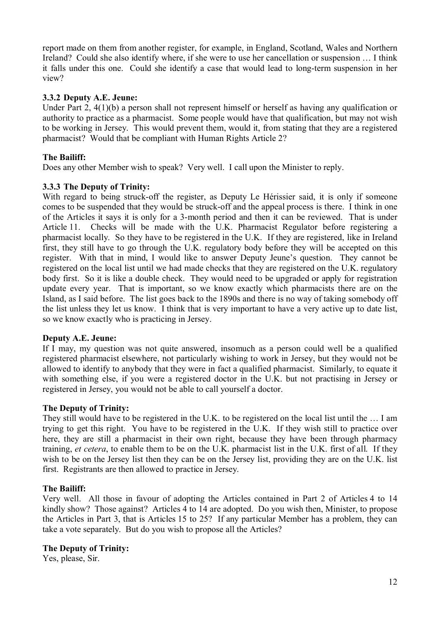report made on them from another register, for example, in England, Scotland, Wales and Northern Ireland? Could she also identify where, if she were to use her cancellation or suspension … I think it falls under this one. Could she identify a case that would lead to long-term suspension in her view?

# **3.3.2 Deputy A.E. Jeune:**

Under Part 2, 4(1)(b) a person shall not represent himself or herself as having any qualification or authority to practice as a pharmacist. Some people would have that qualification, but may not wish to be working in Jersey. This would prevent them, would it, from stating that they are a registered pharmacist? Would that be compliant with Human Rights Article 2?

# **The Bailiff:**

Does any other Member wish to speak? Very well. I call upon the Minister to reply.

# **3.3.3 The Deputy of Trinity:**

With regard to being struck-off the register, as Deputy Le Hérissier said, it is only if someone comes to be suspended that they would be struck-off and the appeal process is there. I think in one of the Articles it says it is only for a 3-month period and then it can be reviewed. That is under Article 11. Checks will be made with the U.K. Pharmacist Regulator before registering a pharmacist locally. So they have to be registered in the U.K. If they are registered, like in Ireland first, they still have to go through the U.K. regulatory body before they will be accepted on this register. With that in mind, I would like to answer Deputy Jeune's question. They cannot be registered on the local list until we had made checks that they are registered on the U.K. regulatory body first. So it is like a double check. They would need to be upgraded or apply for registration update every year. That is important, so we know exactly which pharmacists there are on the Island, as I said before. The list goes back to the 1890s and there is no way of taking somebody off the list unless they let us know. I think that is very important to have a very active up to date list, so we know exactly who is practicing in Jersey.

# **Deputy A.E. Jeune:**

If I may, my question was not quite answered, insomuch as a person could well be a qualified registered pharmacist elsewhere, not particularly wishing to work in Jersey, but they would not be allowed to identify to anybody that they were in fact a qualified pharmacist. Similarly, to equate it with something else, if you were a registered doctor in the U.K. but not practising in Jersey or registered in Jersey, you would not be able to call yourself a doctor.

# **The Deputy of Trinity:**

They still would have to be registered in the U.K. to be registered on the local list until the … I am trying to get this right. You have to be registered in the U.K. If they wish still to practice over here, they are still a pharmacist in their own right, because they have been through pharmacy training, *et cetera*, to enable them to be on the U.K. pharmacist list in the U.K. first of all. If they wish to be on the Jersey list then they can be on the Jersey list, providing they are on the U.K. list first. Registrants are then allowed to practice in Jersey.

# **The Bailiff:**

Very well. All those in favour of adopting the Articles contained in Part 2 of Articles 4 to 14 kindly show? Those against? Articles 4 to 14 are adopted. Do you wish then, Minister, to propose the Articles in Part 3, that is Articles 15 to 25? If any particular Member has a problem, they can take a vote separately. But do you wish to propose all the Articles?

# **The Deputy of Trinity:**

Yes, please, Sir.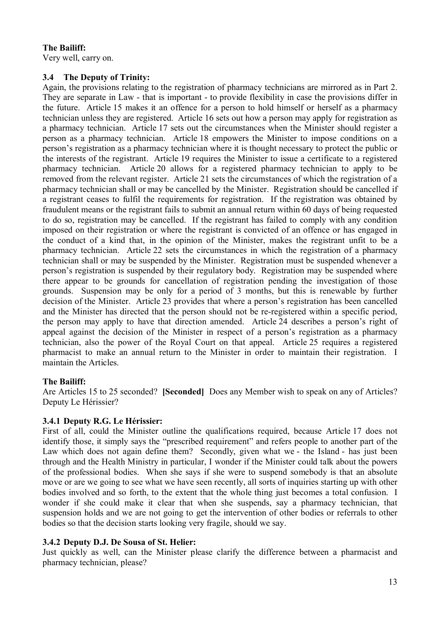# **The Bailiff:**

Very well, carry on.

# **3.4 The Deputy of Trinity:**

Again, the provisions relating to the registration of pharmacy technicians are mirrored as in Part 2. They are separate in Law - that is important - to provide flexibility in case the provisions differ in the future. Article 15 makes it an offence for a person to hold himself or herself as a pharmacy technician unless they are registered. Article 16 sets out how a person may apply for registration as a pharmacy technician. Article 17 sets out the circumstances when the Minister should register a person as a pharmacy technician. Article 18 empowers the Minister to impose conditions on a person's registration as a pharmacy technician where it is thought necessary to protect the public or the interests of the registrant. Article 19 requires the Minister to issue a certificate to a registered pharmacy technician. Article 20 allows for a registered pharmacy technician to apply to be removed from the relevant register. Article 21 sets the circumstances of which the registration of a pharmacy technician shall or may be cancelled by the Minister. Registration should be cancelled if a registrant ceases to fulfil the requirements for registration. If the registration was obtained by fraudulent means or the registrant fails to submit an annual return within 60 days of being requested to do so, registration may be cancelled. If the registrant has failed to comply with any condition imposed on their registration or where the registrant is convicted of an offence or has engaged in the conduct of a kind that, in the opinion of the Minister, makes the registrant unfit to be a pharmacy technician. Article 22 sets the circumstances in which the registration of a pharmacy technician shall or may be suspended by the Minister. Registration must be suspended whenever a person's registration is suspended by their regulatory body. Registration may be suspended where there appear to be grounds for cancellation of registration pending the investigation of those grounds. Suspension may be only for a period of 3 months, but this is renewable by further decision of the Minister. Article 23 provides that where a person's registration has been cancelled and the Minister has directed that the person should not be re-registered within a specific period, the person may apply to have that direction amended. Article 24 describes a person's right of appeal against the decision of the Minister in respect of a person's registration as a pharmacy technician, also the power of the Royal Court on that appeal. Article 25 requires a registered pharmacist to make an annual return to the Minister in order to maintain their registration. I maintain the Articles.

# **The Bailiff:**

Are Articles 15 to 25 seconded? **[Seconded]** Does any Member wish to speak on any of Articles? Deputy Le Hérissier?

# **3.4.1 Deputy R.G. Le Hérissier:**

First of all, could the Minister outline the qualifications required, because Article 17 does not identify those, it simply says the "prescribed requirement" and refers people to another part of the Law which does not again define them? Secondly, given what we - the Island - has just been through and the Health Ministry in particular, I wonder if the Minister could talk about the powers of the professional bodies. When she says if she were to suspend somebody is that an absolute move or are we going to see what we have seen recently, all sorts of inquiries starting up with other bodies involved and so forth, to the extent that the whole thing just becomes a total confusion. I wonder if she could make it clear that when she suspends, say a pharmacy technician, that suspension holds and we are not going to get the intervention of other bodies or referrals to other bodies so that the decision starts looking very fragile, should we say.

# **3.4.2 Deputy D.J. De Sousa of St. Helier:**

Just quickly as well, can the Minister please clarify the difference between a pharmacist and pharmacy technician, please?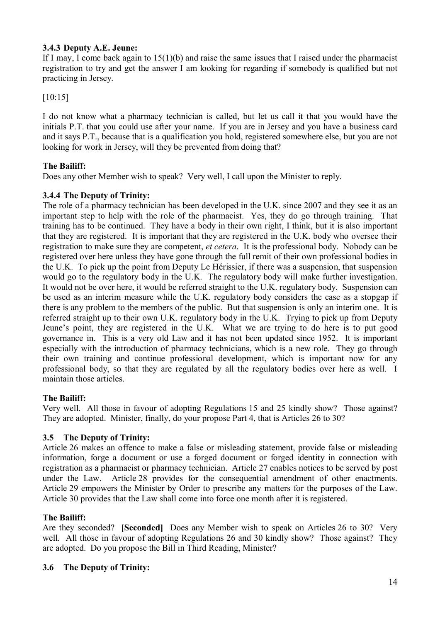# **3.4.3 Deputy A.E. Jeune:**

If I may, I come back again to 15(1)(b) and raise the same issues that I raised under the pharmacist registration to try and get the answer I am looking for regarding if somebody is qualified but not practicing in Jersey.

[10:15]

I do not know what a pharmacy technician is called, but let us call it that you would have the initials P.T. that you could use after your name. If you are in Jersey and you have a business card and it says P.T., because that is a qualification you hold, registered somewhere else, but you are not looking for work in Jersey, will they be prevented from doing that?

# **The Bailiff:**

Does any other Member wish to speak? Very well, I call upon the Minister to reply.

# **3.4.4 The Deputy of Trinity:**

The role of a pharmacy technician has been developed in the U.K. since 2007 and they see it as an important step to help with the role of the pharmacist. Yes, they do go through training. That training has to be continued. They have a body in their own right, I think, but it is also important that they are registered. It is important that they are registered in the U.K. body who oversee their registration to make sure they are competent, *et cetera*. It is the professional body. Nobody can be registered over here unless they have gone through the full remit of their own professional bodies in the U.K. To pick up the point from Deputy Le Hérissier, if there was a suspension, that suspension would go to the regulatory body in the U.K. The regulatory body will make further investigation. It would not be over here, it would be referred straight to the U.K. regulatory body. Suspension can be used as an interim measure while the U.K. regulatory body considers the case as a stopgap if there is any problem to the members of the public. But that suspension is only an interim one. It is referred straight up to their own U.K. regulatory body in the U.K. Trying to pick up from Deputy Jeune's point, they are registered in the U.K. What we are trying to do here is to put good governance in. This is a very old Law and it has not been updated since 1952. It is important especially with the introduction of pharmacy technicians, which is a new role. They go through their own training and continue professional development, which is important now for any professional body, so that they are regulated by all the regulatory bodies over here as well. I maintain those articles.

# **The Bailiff:**

Very well. All those in favour of adopting Regulations 15 and 25 kindly show? Those against? They are adopted. Minister, finally, do your propose Part 4, that is Articles 26 to 30?

# **3.5 The Deputy of Trinity:**

Article 26 makes an offence to make a false or misleading statement, provide false or misleading information, forge a document or use a forged document or forged identity in connection with registration as a pharmacist or pharmacy technician. Article 27 enables notices to be served by post under the Law. Article 28 provides for the consequential amendment of other enactments. Article 29 empowers the Minister by Order to prescribe any matters for the purposes of the Law. Article 30 provides that the Law shall come into force one month after it is registered.

# **The Bailiff:**

Are they seconded? **[Seconded]** Does any Member wish to speak on Articles 26 to 30? Very well. All those in favour of adopting Regulations 26 and 30 kindly show? Those against? They are adopted. Do you propose the Bill in Third Reading, Minister?

# **3.6 The Deputy of Trinity:**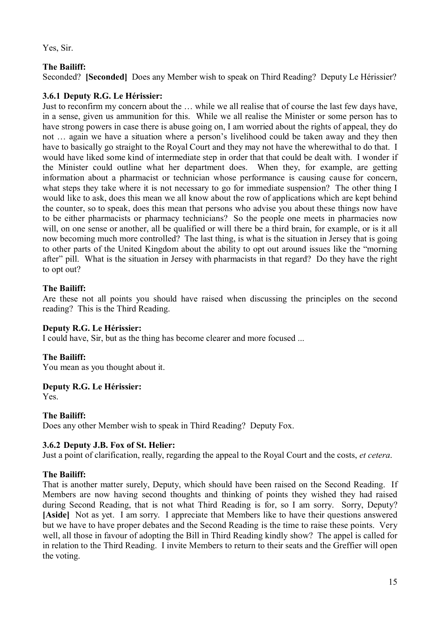Yes, Sir.

# **The Bailiff:**

Seconded? **[Seconded]** Does any Member wish to speak on Third Reading? Deputy Le Hérissier?

# **3.6.1 Deputy R.G. Le Hérissier:**

Just to reconfirm my concern about the … while we all realise that of course the last few days have, in a sense, given us ammunition for this. While we all realise the Minister or some person has to have strong powers in case there is abuse going on, I am worried about the rights of appeal, they do not … again we have a situation where a person's livelihood could be taken away and they then have to basically go straight to the Royal Court and they may not have the wherewithal to do that. I would have liked some kind of intermediate step in order that that could be dealt with. I wonder if the Minister could outline what her department does. When they, for example, are getting information about a pharmacist or technician whose performance is causing cause for concern, what steps they take where it is not necessary to go for immediate suspension? The other thing I would like to ask, does this mean we all know about the row of applications which are kept behind the counter, so to speak, does this mean that persons who advise you about these things now have to be either pharmacists or pharmacy technicians? So the people one meets in pharmacies now will, on one sense or another, all be qualified or will there be a third brain, for example, or is it all now becoming much more controlled? The last thing, is what is the situation in Jersey that is going to other parts of the United Kingdom about the ability to opt out around issues like the "morning after" pill. What is the situation in Jersey with pharmacists in that regard? Do they have the right to opt out?

# **The Bailiff:**

Are these not all points you should have raised when discussing the principles on the second reading? This is the Third Reading.

# **Deputy R.G. Le Hérissier:**

I could have, Sir, but as the thing has become clearer and more focused ...

# **The Bailiff:**

You mean as you thought about it.

# **Deputy R.G. Le Hérissier:**

Yes.

# **The Bailiff:**

Does any other Member wish to speak in Third Reading? Deputy Fox.

# **3.6.2 Deputy J.B. Fox of St. Helier:**

Just a point of clarification, really, regarding the appeal to the Royal Court and the costs, *et cetera*.

# **The Bailiff:**

That is another matter surely, Deputy, which should have been raised on the Second Reading. If Members are now having second thoughts and thinking of points they wished they had raised during Second Reading, that is not what Third Reading is for, so I am sorry. Sorry, Deputy? **[Aside]** Not as yet. I am sorry. I appreciate that Members like to have their questions answered but we have to have proper debates and the Second Reading is the time to raise these points. Very well, all those in favour of adopting the Bill in Third Reading kindly show? The appel is called for in relation to the Third Reading. I invite Members to return to their seats and the Greffier will open the voting.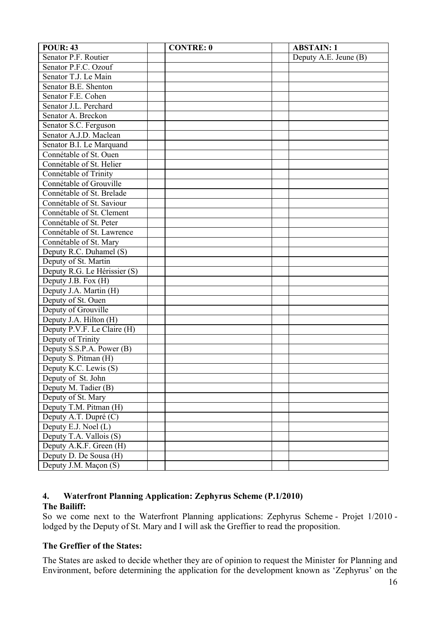| <b>POUR: 43</b>              | <b>CONTRE: 0</b> | <b>ABSTAIN: 1</b>     |
|------------------------------|------------------|-----------------------|
| Senator P.F. Routier         |                  | Deputy A.E. Jeune (B) |
| Senator P.F.C. Ozouf         |                  |                       |
| Senator T.J. Le Main         |                  |                       |
| Senator B.E. Shenton         |                  |                       |
| Senator F.E. Cohen           |                  |                       |
| Senator J.L. Perchard        |                  |                       |
| Senator A. Breckon           |                  |                       |
| Senator S.C. Ferguson        |                  |                       |
| Senator A.J.D. Maclean       |                  |                       |
| Senator B.I. Le Marquand     |                  |                       |
| Connétable of St. Ouen       |                  |                       |
| Connétable of St. Helier     |                  |                       |
| Connétable of Trinity        |                  |                       |
| Connétable of Grouville      |                  |                       |
| Connétable of St. Brelade    |                  |                       |
| Connétable of St. Saviour    |                  |                       |
| Connétable of St. Clement    |                  |                       |
| Connétable of St. Peter      |                  |                       |
| Connétable of St. Lawrence   |                  |                       |
| Connétable of St. Mary       |                  |                       |
| Deputy R.C. Duhamel (S)      |                  |                       |
| Deputy of St. Martin         |                  |                       |
| Deputy R.G. Le Hérissier (S) |                  |                       |
| Deputy J.B. Fox (H)          |                  |                       |
| Deputy J.A. Martin (H)       |                  |                       |
| Deputy of St. Ouen           |                  |                       |
| Deputy of Grouville          |                  |                       |
| Deputy J.A. Hilton (H)       |                  |                       |
| Deputy P.V.F. Le Claire (H)  |                  |                       |
| Deputy of Trinity            |                  |                       |
| Deputy S.S.P.A. Power (B)    |                  |                       |
| Deputy S. Pitman (H)         |                  |                       |
| Deputy K.C. Lewis (S)        |                  |                       |
| Deputy of St. John           |                  |                       |
| Deputy M. Tadier (B)         |                  |                       |
| Deputy of St. Mary           |                  |                       |
| Deputy T.M. Pitman (H)       |                  |                       |
| Deputy A.T. Dupré (C)        |                  |                       |
| Deputy E.J. Noel (L)         |                  |                       |
| Deputy T.A. Vallois (S)      |                  |                       |
| Deputy A.K.F. Green (H)      |                  |                       |
| Deputy D. De Sousa (H)       |                  |                       |
| Deputy J.M. Maçon (S)        |                  |                       |

### **4. Waterfront Planning Application: Zephyrus Scheme (P.1/2010) The Bailiff:**

So we come next to the Waterfront Planning applications: Zephyrus Scheme - Projet 1/2010 lodged by the Deputy of St. Mary and I will ask the Greffier to read the proposition.

# **The Greffier of the States:**

The States are asked to decide whether they are of opinion to request the Minister for Planning and Environment, before determining the application for the development known as 'Zephyrus' on the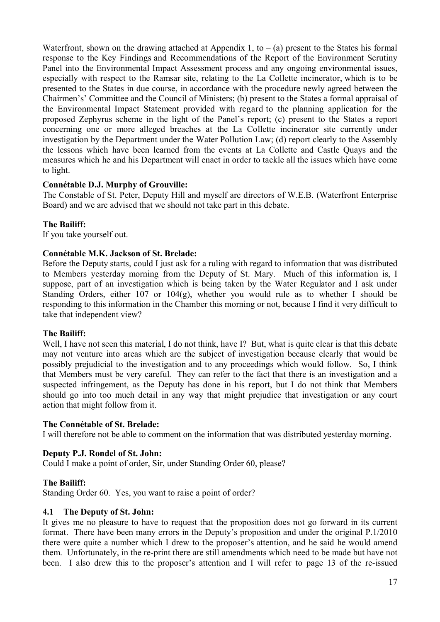Waterfront, shown on the drawing attached at Appendix 1, to  $-$  (a) present to the States his formal response to the Key Findings and Recommendations of the Report of the Environment Scrutiny Panel into the Environmental Impact Assessment process and any ongoing environmental issues, especially with respect to the Ramsar site, relating to the La Collette incinerator, which is to be presented to the States in due course, in accordance with the procedure newly agreed between the Chairmen's' Committee and the Council of Ministers; (b) present to the States a formal appraisal of the Environmental Impact Statement provided with regard to the planning application for the proposed Zephyrus scheme in the light of the Panel's report; (c) present to the States a report concerning one or more alleged breaches at the La Collette incinerator site currently under investigation by the Department under the Water Pollution Law; (d) report clearly to the Assembly the lessons which have been learned from the events at La Collette and Castle Quays and the measures which he and his Department will enact in order to tackle all the issues which have come to light.

# **Connétable D.J. Murphy of Grouville:**

The Constable of St. Peter, Deputy Hill and myself are directors of W.E.B. (Waterfront Enterprise Board) and we are advised that we should not take part in this debate.

### **The Bailiff:**

If you take yourself out.

### **Connétable M.K. Jackson of St. Brelade:**

Before the Deputy starts, could I just ask for a ruling with regard to information that was distributed to Members yesterday morning from the Deputy of St. Mary. Much of this information is, I suppose, part of an investigation which is being taken by the Water Regulator and I ask under Standing Orders, either 107 or 104(g), whether you would rule as to whether I should be responding to this information in the Chamber this morning or not, because I find it very difficult to take that independent view?

#### **The Bailiff:**

Well, I have not seen this material, I do not think, have I? But, what is quite clear is that this debate may not venture into areas which are the subject of investigation because clearly that would be possibly prejudicial to the investigation and to any proceedings which would follow. So, I think that Members must be very careful. They can refer to the fact that there is an investigation and a suspected infringement, as the Deputy has done in his report, but I do not think that Members should go into too much detail in any way that might prejudice that investigation or any court action that might follow from it.

#### **The Connétable of St. Brelade:**

I will therefore not be able to comment on the information that was distributed yesterday morning.

#### **Deputy P.J. Rondel of St. John:**

Could I make a point of order, Sir, under Standing Order 60, please?

#### **The Bailiff:**

Standing Order 60. Yes, you want to raise a point of order?

#### **4.1 The Deputy of St. John:**

It gives me no pleasure to have to request that the proposition does not go forward in its current format. There have been many errors in the Deputy's proposition and under the original P.1/2010 there were quite a number which I drew to the proposer's attention, and he said he would amend them. Unfortunately, in the re-print there are still amendments which need to be made but have not been. I also drew this to the proposer's attention and I will refer to page 13 of the re-issued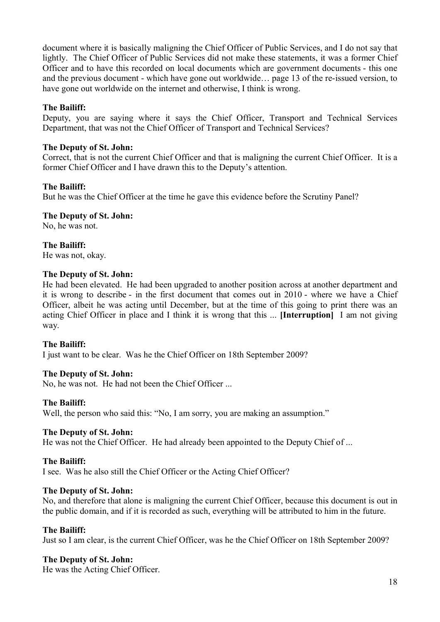document where it is basically maligning the Chief Officer of Public Services, and I do not say that lightly. The Chief Officer of Public Services did not make these statements, it was a former Chief Officer and to have this recorded on local documents which are government documents - this one and the previous document - which have gone out worldwide… page 13 of the re-issued version, to have gone out worldwide on the internet and otherwise, I think is wrong.

# **The Bailiff:**

Deputy, you are saying where it says the Chief Officer, Transport and Technical Services Department, that was not the Chief Officer of Transport and Technical Services?

### **The Deputy of St. John:**

Correct, that is not the current Chief Officer and that is maligning the current Chief Officer. It is a former Chief Officer and I have drawn this to the Deputy's attention.

### **The Bailiff:**

But he was the Chief Officer at the time he gave this evidence before the Scrutiny Panel?

### **The Deputy of St. John:**

No, he was not.

**The Bailiff:** He was not, okay.

### **The Deputy of St. John:**

He had been elevated. He had been upgraded to another position across at another department and it is wrong to describe - in the first document that comes out in 2010 - where we have a Chief Officer, albeit he was acting until December, but at the time of this going to print there was an acting Chief Officer in place and I think it is wrong that this ... **[Interruption]** I am not giving way.

# **The Bailiff:**

I just want to be clear. Was he the Chief Officer on 18th September 2009?

# **The Deputy of St. John:**

No, he was not. He had not been the Chief Officer ...

#### **The Bailiff:**

Well, the person who said this: "No, I am sorry, you are making an assumption."

#### **The Deputy of St. John:**

He was not the Chief Officer. He had already been appointed to the Deputy Chief of ...

# **The Bailiff:**

I see. Was he also still the Chief Officer or the Acting Chief Officer?

#### **The Deputy of St. John:**

No, and therefore that alone is maligning the current Chief Officer, because this document is out in the public domain, and if it is recorded as such, everything will be attributed to him in the future.

#### **The Bailiff:**

Just so I am clear, is the current Chief Officer, was he the Chief Officer on 18th September 2009?

# **The Deputy of St. John:**

He was the Acting Chief Officer.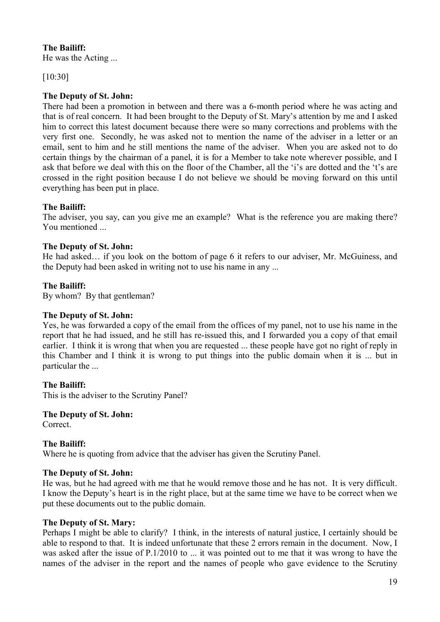# **The Bailiff:**

He was the Acting ...

[10:30]

# **The Deputy of St. John:**

There had been a promotion in between and there was a 6-month period where he was acting and that is of real concern. It had been brought to the Deputy of St. Mary's attention by me and I asked him to correct this latest document because there were so many corrections and problems with the very first one. Secondly, he was asked not to mention the name of the adviser in a letter or an email, sent to him and he still mentions the name of the adviser. When you are asked not to do certain things by the chairman of a panel, it is for a Member to take note wherever possible, and I ask that before we deal with this on the floor of the Chamber, all the 'i's are dotted and the 't's are crossed in the right position because I do not believe we should be moving forward on this until everything has been put in place.

# **The Bailiff:**

The adviser, you say, can you give me an example? What is the reference you are making there? You mentioned

# **The Deputy of St. John:**

He had asked… if you look on the bottom of page 6 it refers to our adviser, Mr. McGuiness, and the Deputy had been asked in writing not to use his name in any ...

# **The Bailiff:**

By whom? By that gentleman?

# **The Deputy of St. John:**

Yes, he was forwarded a copy of the email from the offices of my panel, not to use his name in the report that he had issued, and he still has re-issued this, and I forwarded you a copy of that email earlier. I think it is wrong that when you are requested ... these people have got no right of reply in this Chamber and I think it is wrong to put things into the public domain when it is ... but in particular the ...

# **The Bailiff:**

This is the adviser to the Scrutiny Panel?

# **The Deputy of St. John:**

Correct.

# **The Bailiff:**

Where he is quoting from advice that the adviser has given the Scrutiny Panel.

# **The Deputy of St. John:**

He was, but he had agreed with me that he would remove those and he has not. It is very difficult. I know the Deputy's heart is in the right place, but at the same time we have to be correct when we put these documents out to the public domain.

# **The Deputy of St. Mary:**

Perhaps I might be able to clarify? I think, in the interests of natural justice, I certainly should be able to respond to that. It is indeed unfortunate that these 2 errors remain in the document. Now, I was asked after the issue of P.1/2010 to ... it was pointed out to me that it was wrong to have the names of the adviser in the report and the names of people who gave evidence to the Scrutiny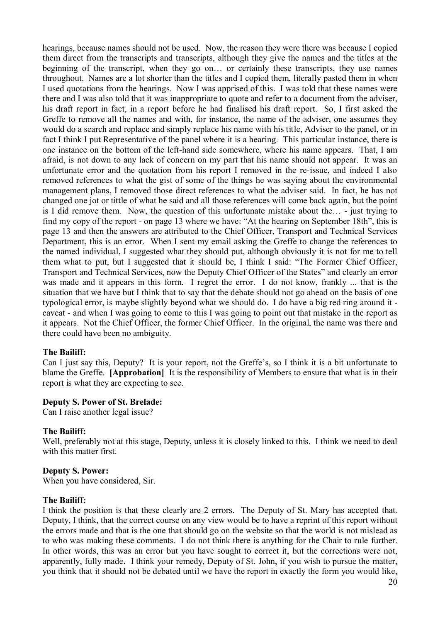hearings, because names should not be used. Now, the reason they were there was because I copied them direct from the transcripts and transcripts, although they give the names and the titles at the beginning of the transcript, when they go on… or certainly these transcripts, they use names throughout. Names are a lot shorter than the titles and I copied them, literally pasted them in when I used quotations from the hearings. Now I was apprised of this. I was told that these names were there and I was also told that it was inappropriate to quote and refer to a document from the adviser, his draft report in fact, in a report before he had finalised his draft report. So, I first asked the Greffe to remove all the names and with, for instance, the name of the adviser, one assumes they would do a search and replace and simply replace his name with his title, Adviser to the panel, or in fact I think I put Representative of the panel where it is a hearing. This particular instance, there is one instance on the bottom of the left-hand side somewhere, where his name appears. That, I am afraid, is not down to any lack of concern on my part that his name should not appear. It was an unfortunate error and the quotation from his report I removed in the re-issue, and indeed I also removed references to what the gist of some of the things he was saying about the environmental management plans, I removed those direct references to what the adviser said. In fact, he has not changed one jot or tittle of what he said and all those references will come back again, but the point is I did remove them. Now, the question of this unfortunate mistake about the… - just trying to find my copy of the report - on page 13 where we have: "At the hearing on September 18th", this is page 13 and then the answers are attributed to the Chief Officer, Transport and Technical Services Department, this is an error. When I sent my email asking the Greffe to change the references to the named individual, I suggested what they should put, although obviously it is not for me to tell them what to put, but I suggested that it should be, I think I said: "The Former Chief Officer, Transport and Technical Services, now the Deputy Chief Officer of the States" and clearly an error was made and it appears in this form. I regret the error. I do not know, frankly ... that is the situation that we have but I think that to say that the debate should not go ahead on the basis of one typological error, is maybe slightly beyond what we should do. I do have a big red ring around it caveat - and when I was going to come to this I was going to point out that mistake in the report as it appears. Not the Chief Officer, the former Chief Officer. In the original, the name was there and there could have been no ambiguity.

#### **The Bailiff:**

Can I just say this, Deputy? It is your report, not the Greffe's, so I think it is a bit unfortunate to blame the Greffe. **[Approbation]** It is the responsibility of Members to ensure that what is in their report is what they are expecting to see.

#### **Deputy S. Power of St. Brelade:**

Can I raise another legal issue?

#### **The Bailiff:**

Well, preferably not at this stage, Deputy, unless it is closely linked to this. I think we need to deal with this matter first.

#### **Deputy S. Power:**

When you have considered, Sir.

#### **The Bailiff:**

I think the position is that these clearly are 2 errors. The Deputy of St. Mary has accepted that. Deputy, I think, that the correct course on any view would be to have a reprint of this report without the errors made and that is the one that should go on the website so that the world is not mislead as to who was making these comments. I do not think there is anything for the Chair to rule further. In other words, this was an error but you have sought to correct it, but the corrections were not, apparently, fully made. I think your remedy, Deputy of St. John, if you wish to pursue the matter, you think that it should not be debated until we have the report in exactly the form you would like,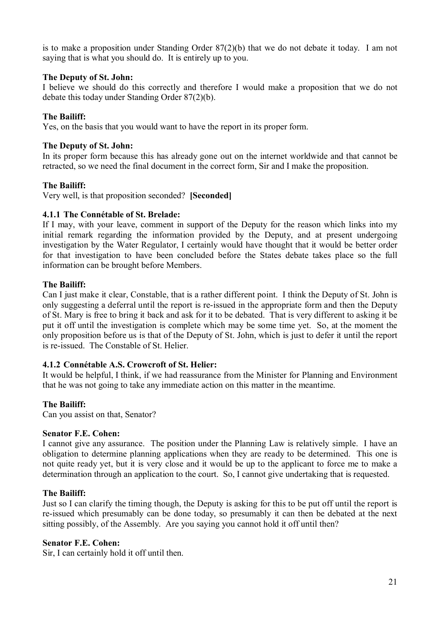is to make a proposition under Standing Order 87(2)(b) that we do not debate it today. I am not saying that is what you should do. It is entirely up to you.

#### **The Deputy of St. John:**

I believe we should do this correctly and therefore I would make a proposition that we do not debate this today under Standing Order 87(2)(b).

#### **The Bailiff:**

Yes, on the basis that you would want to have the report in its proper form.

#### **The Deputy of St. John:**

In its proper form because this has already gone out on the internet worldwide and that cannot be retracted, so we need the final document in the correct form, Sir and I make the proposition.

#### **The Bailiff:**

Very well, is that proposition seconded? **[Seconded]**

#### **4.1.1 The Connétable of St. Brelade:**

If I may, with your leave, comment in support of the Deputy for the reason which links into my initial remark regarding the information provided by the Deputy, and at present undergoing investigation by the Water Regulator, I certainly would have thought that it would be better order for that investigation to have been concluded before the States debate takes place so the full information can be brought before Members.

#### **The Bailiff:**

Can I just make it clear, Constable, that is a rather different point. I think the Deputy of St. John is only suggesting a deferral until the report is re-issued in the appropriate form and then the Deputy of St. Mary is free to bring it back and ask for it to be debated. That is very different to asking it be put it off until the investigation is complete which may be some time yet. So, at the moment the only proposition before us is that of the Deputy of St. John, which is just to defer it until the report is re-issued. The Constable of St. Helier.

#### **4.1.2 Connétable A.S. Crowcroft of St. Helier:**

It would be helpful, I think, if we had reassurance from the Minister for Planning and Environment that he was not going to take any immediate action on this matter in the meantime.

#### **The Bailiff:**

Can you assist on that, Senator?

#### **Senator F.E. Cohen:**

I cannot give any assurance. The position under the Planning Law is relatively simple. I have an obligation to determine planning applications when they are ready to be determined. This one is not quite ready yet, but it is very close and it would be up to the applicant to force me to make a determination through an application to the court. So, I cannot give undertaking that is requested.

#### **The Bailiff:**

Just so I can clarify the timing though, the Deputy is asking for this to be put off until the report is re-issued which presumably can be done today, so presumably it can then be debated at the next sitting possibly, of the Assembly. Are you saying you cannot hold it off until then?

#### **Senator F.E. Cohen:**

Sir, I can certainly hold it off until then.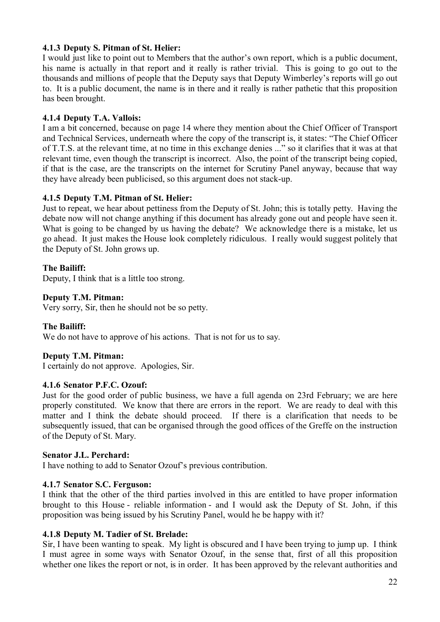# **4.1.3 Deputy S. Pitman of St. Helier:**

I would just like to point out to Members that the author's own report, which is a public document, his name is actually in that report and it really is rather trivial. This is going to go out to the thousands and millions of people that the Deputy says that Deputy Wimberley's reports will go out to. It is a public document, the name is in there and it really is rather pathetic that this proposition has been brought.

# **4.1.4 Deputy T.A. Vallois:**

I am a bit concerned, because on page 14 where they mention about the Chief Officer of Transport and Technical Services, underneath where the copy of the transcript is, it states: "The Chief Officer of T.T.S. at the relevant time, at no time in this exchange denies ..." so it clarifies that it was at that relevant time, even though the transcript is incorrect. Also, the point of the transcript being copied, if that is the case, are the transcripts on the internet for Scrutiny Panel anyway, because that way they have already been publicised, so this argument does not stack-up.

# **4.1.5 Deputy T.M. Pitman of St. Helier:**

Just to repeat, we hear about pettiness from the Deputy of St. John; this is totally petty. Having the debate now will not change anything if this document has already gone out and people have seen it. What is going to be changed by us having the debate? We acknowledge there is a mistake, let us go ahead. It just makes the House look completely ridiculous. I really would suggest politely that the Deputy of St. John grows up.

# **The Bailiff:**

Deputy, I think that is a little too strong.

# **Deputy T.M. Pitman:**

Very sorry, Sir, then he should not be so petty.

# **The Bailiff:**

We do not have to approve of his actions. That is not for us to say.

# **Deputy T.M. Pitman:**

I certainly do not approve. Apologies, Sir.

#### **4.1.6 Senator P.F.C. Ozouf:**

Just for the good order of public business, we have a full agenda on 23rd February; we are here properly constituted. We know that there are errors in the report. We are ready to deal with this matter and I think the debate should proceed. If there is a clarification that needs to be subsequently issued, that can be organised through the good offices of the Greffe on the instruction of the Deputy of St. Mary.

#### **Senator J.L. Perchard:**

I have nothing to add to Senator Ozouf's previous contribution.

# **4.1.7 Senator S.C. Ferguson:**

I think that the other of the third parties involved in this are entitled to have proper information brought to this House - reliable information - and I would ask the Deputy of St. John, if this proposition was being issued by his Scrutiny Panel, would he be happy with it?

#### **4.1.8 Deputy M. Tadier of St. Brelade:**

Sir, I have been wanting to speak. My light is obscured and I have been trying to jump up. I think I must agree in some ways with Senator Ozouf, in the sense that, first of all this proposition whether one likes the report or not, is in order. It has been approved by the relevant authorities and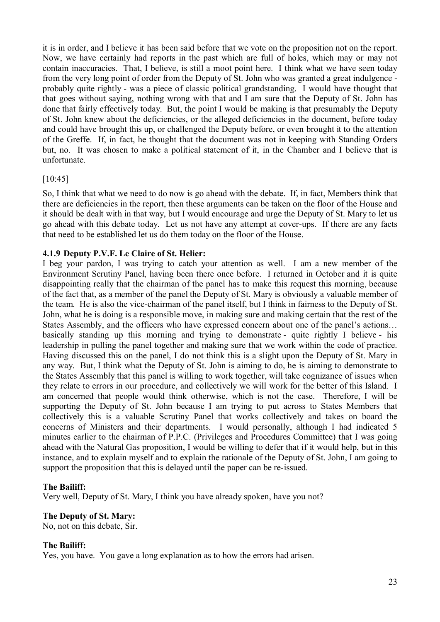it is in order, and I believe it has been said before that we vote on the proposition not on the report. Now, we have certainly had reports in the past which are full of holes, which may or may not contain inaccuracies. That, I believe, is still a moot point here. I think what we have seen today from the very long point of order from the Deputy of St. John who was granted a great indulgence probably quite rightly - was a piece of classic political grandstanding. I would have thought that that goes without saying, nothing wrong with that and I am sure that the Deputy of St. John has done that fairly effectively today. But, the point I would be making is that presumably the Deputy of St. John knew about the deficiencies, or the alleged deficiencies in the document, before today and could have brought this up, or challenged the Deputy before, or even brought it to the attention of the Greffe. If, in fact, he thought that the document was not in keeping with Standing Orders but, no. It was chosen to make a political statement of it, in the Chamber and I believe that is unfortunate.

# [10:45]

So, I think that what we need to do now is go ahead with the debate. If, in fact, Members think that there are deficiencies in the report, then these arguments can be taken on the floor of the House and it should be dealt with in that way, but I would encourage and urge the Deputy of St. Mary to let us go ahead with this debate today. Let us not have any attempt at cover-ups. If there are any facts that need to be established let us do them today on the floor of the House.

# **4.1.9 Deputy P.V.F. Le Claire of St. Helier:**

I beg your pardon, I was trying to catch your attention as well. I am a new member of the Environment Scrutiny Panel, having been there once before. I returned in October and it is quite disappointing really that the chairman of the panel has to make this request this morning, because of the fact that, as a member of the panel the Deputy of St. Mary is obviously a valuable member of the team. He is also the vice-chairman of the panel itself, but I think in fairness to the Deputy of St. John, what he is doing is a responsible move, in making sure and making certain that the rest of the States Assembly, and the officers who have expressed concern about one of the panel's actions… basically standing up this morning and trying to demonstrate - quite rightly I believe - his leadership in pulling the panel together and making sure that we work within the code of practice. Having discussed this on the panel, I do not think this is a slight upon the Deputy of St. Mary in any way. But, I think what the Deputy of St. John is aiming to do, he is aiming to demonstrate to the States Assembly that this panel is willing to work together, will take cognizance of issues when they relate to errors in our procedure, and collectively we will work for the better of this Island. I am concerned that people would think otherwise, which is not the case. Therefore, I will be supporting the Deputy of St. John because I am trying to put across to States Members that collectively this is a valuable Scrutiny Panel that works collectively and takes on board the concerns of Ministers and their departments. I would personally, although I had indicated 5 minutes earlier to the chairman of P.P.C. (Privileges and Procedures Committee) that I was going ahead with the Natural Gas proposition, I would be willing to defer that if it would help, but in this instance, and to explain myself and to explain the rationale of the Deputy of St. John, I am going to support the proposition that this is delayed until the paper can be re-issued.

# **The Bailiff:**

Very well, Deputy of St. Mary, I think you have already spoken, have you not?

#### **The Deputy of St. Mary:**

No, not on this debate, Sir.

#### **The Bailiff:**

Yes, you have. You gave a long explanation as to how the errors had arisen.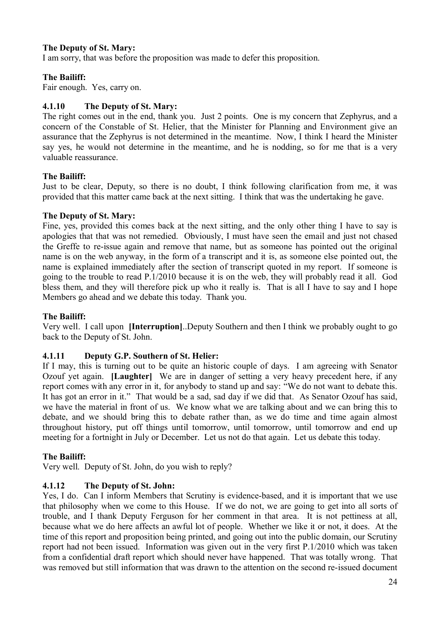# **The Deputy of St. Mary:**

I am sorry, that was before the proposition was made to defer this proposition.

# **The Bailiff:**

Fair enough. Yes, carry on.

# **4.1.10 The Deputy of St. Mary:**

The right comes out in the end, thank you. Just 2 points. One is my concern that Zephyrus, and a concern of the Constable of St. Helier, that the Minister for Planning and Environment give an assurance that the Zephyrus is not determined in the meantime. Now, I think I heard the Minister say yes, he would not determine in the meantime, and he is nodding, so for me that is a very valuable reassurance.

# **The Bailiff:**

Just to be clear, Deputy, so there is no doubt, I think following clarification from me, it was provided that this matter came back at the next sitting. I think that was the undertaking he gave.

### **The Deputy of St. Mary:**

Fine, yes, provided this comes back at the next sitting, and the only other thing I have to say is apologies that that was not remedied. Obviously, I must have seen the email and just not chased the Greffe to re-issue again and remove that name, but as someone has pointed out the original name is on the web anyway, in the form of a transcript and it is, as someone else pointed out, the name is explained immediately after the section of transcript quoted in my report. If someone is going to the trouble to read P.1/2010 because it is on the web, they will probably read it all. God bless them, and they will therefore pick up who it really is. That is all I have to say and I hope Members go ahead and we debate this today. Thank you.

# **The Bailiff:**

Very well. I call upon **[Interruption]**..Deputy Southern and then I think we probably ought to go back to the Deputy of St. John.

# **4.1.11 Deputy G.P. Southern of St. Helier:**

If I may, this is turning out to be quite an historic couple of days. I am agreeing with Senator Ozouf yet again. **[Laughter]** We are in danger of setting a very heavy precedent here, if any report comes with any error in it, for anybody to stand up and say: "We do not want to debate this. It has got an error in it." That would be a sad, sad day if we did that. As Senator Ozouf has said, we have the material in front of us. We know what we are talking about and we can bring this to debate, and we should bring this to debate rather than, as we do time and time again almost throughout history, put off things until tomorrow, until tomorrow, until tomorrow and end up meeting for a fortnight in July or December. Let us not do that again. Let us debate this today.

# **The Bailiff:**

Very well. Deputy of St. John, do you wish to reply?

# **4.1.12 The Deputy of St. John:**

Yes, I do. Can I inform Members that Scrutiny is evidence-based, and it is important that we use that philosophy when we come to this House. If we do not, we are going to get into all sorts of trouble, and I thank Deputy Ferguson for her comment in that area. It is not pettiness at all, because what we do here affects an awful lot of people. Whether we like it or not, it does. At the time of this report and proposition being printed, and going out into the public domain, our Scrutiny report had not been issued. Information was given out in the very first P.1/2010 which was taken from a confidential draft report which should never have happened. That was totally wrong. That was removed but still information that was drawn to the attention on the second re-issued document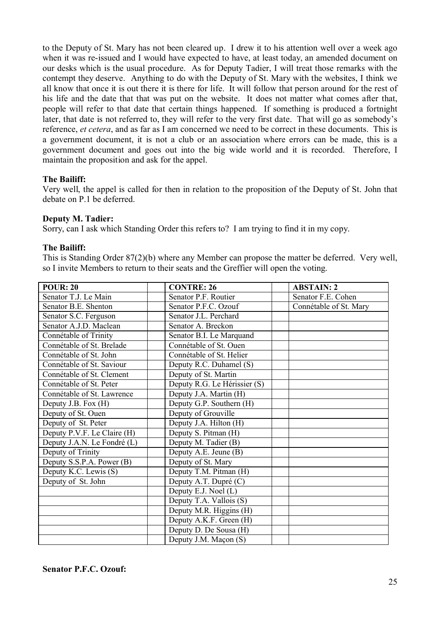to the Deputy of St. Mary has not been cleared up. I drew it to his attention well over a week ago when it was re-issued and I would have expected to have, at least today, an amended document on our desks which is the usual procedure. As for Deputy Tadier, I will treat those remarks with the contempt they deserve. Anything to do with the Deputy of St. Mary with the websites, I think we all know that once it is out there it is there for life. It will follow that person around for the rest of his life and the date that that was put on the website. It does not matter what comes after that, people will refer to that date that certain things happened. If something is produced a fortnight later, that date is not referred to, they will refer to the very first date. That will go as somebody's reference, *et cetera*, and as far as I am concerned we need to be correct in these documents. This is a government document, it is not a club or an association where errors can be made, this is a government document and goes out into the big wide world and it is recorded. Therefore, I maintain the proposition and ask for the appel.

### **The Bailiff:**

Very well, the appel is called for then in relation to the proposition of the Deputy of St. John that debate on P.1 be deferred.

### **Deputy M. Tadier:**

Sorry, can I ask which Standing Order this refers to? I am trying to find it in my copy.

#### **The Bailiff:**

This is Standing Order 87(2)(b) where any Member can propose the matter be deferred. Very well, so I invite Members to return to their seats and the Greffier will open the voting.

| <b>POUR: 20</b>             | <b>CONTRE: 26</b>            | <b>ABSTAIN: 2</b>      |
|-----------------------------|------------------------------|------------------------|
| Senator T.J. Le Main        | Senator P.F. Routier         | Senator F.E. Cohen     |
| Senator B.E. Shenton        | Senator P.F.C. Ozouf         | Connétable of St. Mary |
| Senator S.C. Ferguson       | Senator J.L. Perchard        |                        |
| Senator A.J.D. Maclean      | Senator A. Breckon           |                        |
| Connétable of Trinity       | Senator B.I. Le Marquand     |                        |
| Connétable of St. Brelade   | Connétable of St. Ouen       |                        |
| Connétable of St. John      | Connétable of St. Helier     |                        |
| Connétable of St. Saviour   | Deputy R.C. Duhamel (S)      |                        |
| Connétable of St. Clement   | Deputy of St. Martin         |                        |
| Connétable of St. Peter     | Deputy R.G. Le Hérissier (S) |                        |
| Connétable of St. Lawrence  | Deputy J.A. Martin (H)       |                        |
| Deputy J.B. Fox (H)         | Deputy G.P. Southern (H)     |                        |
| Deputy of St. Ouen          | Deputy of Grouville          |                        |
| Deputy of St. Peter         | Deputy J.A. Hilton (H)       |                        |
| Deputy P.V.F. Le Claire (H) | Deputy S. Pitman (H)         |                        |
| Deputy J.A.N. Le Fondré (L) | Deputy M. Tadier (B)         |                        |
| Deputy of Trinity           | Deputy A.E. Jeune (B)        |                        |
| Deputy S.S.P.A. Power (B)   | Deputy of St. Mary           |                        |
| Deputy K.C. Lewis (S)       | Deputy T.M. Pitman (H)       |                        |
| Deputy of St. John          | Deputy A.T. Dupré (C)        |                        |
|                             | Deputy E.J. Noel (L)         |                        |
|                             | Deputy T.A. Vallois (S)      |                        |
|                             | Deputy M.R. Higgins (H)      |                        |
|                             | Deputy A.K.F. Green (H)      |                        |
|                             | Deputy D. De Sousa (H)       |                        |
|                             | Deputy J.M. Maçon (S)        |                        |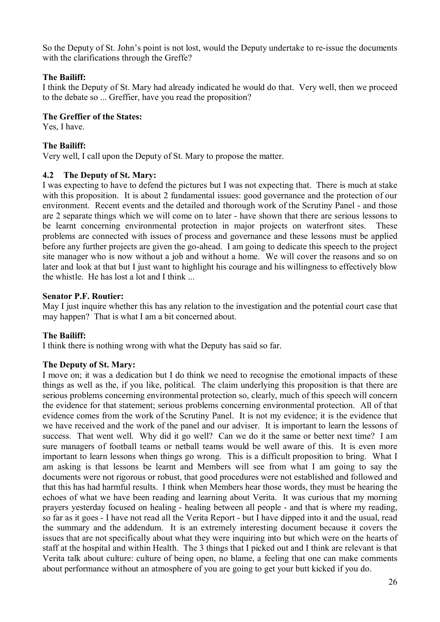So the Deputy of St. John's point is not lost, would the Deputy undertake to re-issue the documents with the clarifications through the Greffe?

### **The Bailiff:**

I think the Deputy of St. Mary had already indicated he would do that. Very well, then we proceed to the debate so ... Greffier, have you read the proposition?

#### **The Greffier of the States:**

Yes, I have.

### **The Bailiff:**

Very well, I call upon the Deputy of St. Mary to propose the matter.

### **4.2 The Deputy of St. Mary:**

I was expecting to have to defend the pictures but I was not expecting that. There is much at stake with this proposition. It is about 2 fundamental issues: good governance and the protection of our environment. Recent events and the detailed and thorough work of the Scrutiny Panel - and those are 2 separate things which we will come on to later - have shown that there are serious lessons to be learnt concerning environmental protection in major projects on waterfront sites. problems are connected with issues of process and governance and these lessons must be applied before any further projects are given the go-ahead. I am going to dedicate this speech to the project site manager who is now without a job and without a home. We will cover the reasons and so on later and look at that but I just want to highlight his courage and his willingness to effectively blow the whistle. He has lost a lot and I think ...

### **Senator P.F. Routier:**

May I just inquire whether this has any relation to the investigation and the potential court case that may happen? That is what I am a bit concerned about.

# **The Bailiff:**

I think there is nothing wrong with what the Deputy has said so far.

#### **The Deputy of St. Mary:**

I move on; it was a dedication but I do think we need to recognise the emotional impacts of these things as well as the, if you like, political. The claim underlying this proposition is that there are serious problems concerning environmental protection so, clearly, much of this speech will concern the evidence for that statement; serious problems concerning environmental protection. All of that evidence comes from the work of the Scrutiny Panel. It is not my evidence; it is the evidence that we have received and the work of the panel and our adviser. It is important to learn the lessons of success. That went well. Why did it go well? Can we do it the same or better next time? I am sure managers of football teams or netball teams would be well aware of this. It is even more important to learn lessons when things go wrong. This is a difficult proposition to bring. What I am asking is that lessons be learnt and Members will see from what I am going to say the documents were not rigorous or robust, that good procedures were not established and followed and that this has had harmful results. I think when Members hear those words, they must be hearing the echoes of what we have been reading and learning about Verita. It was curious that my morning prayers yesterday focused on healing - healing between all people - and that is where my reading, so far as it goes - I have not read all the Verita Report - but I have dipped into it and the usual, read the summary and the addendum. It is an extremely interesting document because it covers the issues that are not specifically about what they were inquiring into but which were on the hearts of staff at the hospital and within Health. The 3 things that I picked out and I think are relevant is that Verita talk about culture: culture of being open, no blame, a feeling that one can make comments about performance without an atmosphere of you are going to get your butt kicked if you do.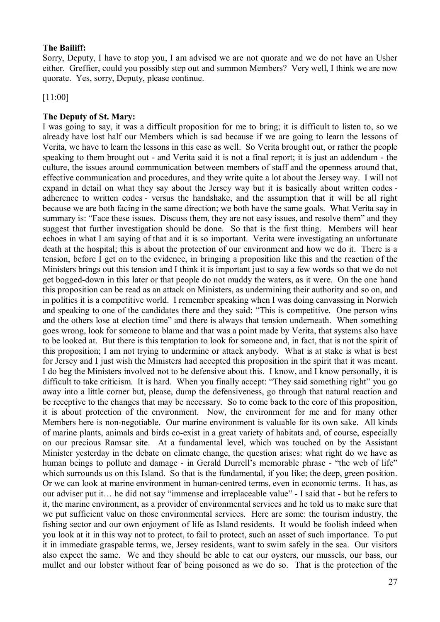#### **The Bailiff:**

Sorry, Deputy, I have to stop you, I am advised we are not quorate and we do not have an Usher either. Greffier, could you possibly step out and summon Members? Very well, I think we are now quorate. Yes, sorry, Deputy, please continue.

[11:00]

#### **The Deputy of St. Mary:**

I was going to say, it was a difficult proposition for me to bring; it is difficult to listen to, so we already have lost half our Members which is sad because if we are going to learn the lessons of Verita, we have to learn the lessons in this case as well. So Verita brought out, or rather the people speaking to them brought out - and Verita said it is not a final report; it is just an addendum - the culture, the issues around communication between members of staff and the openness around that, effective communication and procedures, and they write quite a lot about the Jersey way. I will not expand in detail on what they say about the Jersey way but it is basically about written codes adherence to written codes - versus the handshake, and the assumption that it will be all right because we are both facing in the same direction; we both have the same goals. What Verita say in summary is: "Face these issues. Discuss them, they are not easy issues, and resolve them" and they suggest that further investigation should be done. So that is the first thing. Members will hear echoes in what I am saying of that and it is so important. Verita were investigating an unfortunate death at the hospital; this is about the protection of our environment and how we do it. There is a tension, before I get on to the evidence, in bringing a proposition like this and the reaction of the Ministers brings out this tension and I think it is important just to say a few words so that we do not get bogged-down in this later or that people do not muddy the waters, as it were. On the one hand this proposition can be read as an attack on Ministers, as undermining their authority and so on, and in politics it is a competitive world. I remember speaking when I was doing canvassing in Norwich and speaking to one of the candidates there and they said: "This is competitive. One person wins and the others lose at election time" and there is always that tension underneath. When something goes wrong, look for someone to blame and that was a point made by Verita, that systems also have to be looked at. But there is this temptation to look for someone and, in fact, that is not the spirit of this proposition; I am not trying to undermine or attack anybody. What is at stake is what is best for Jersey and I just wish the Ministers had accepted this proposition in the spirit that it was meant. I do beg the Ministers involved not to be defensive about this. I know, and I know personally, it is difficult to take criticism. It is hard. When you finally accept: "They said something right" you go away into a little corner but, please, dump the defensiveness, go through that natural reaction and be receptive to the changes that may be necessary. So to come back to the core of this proposition, it is about protection of the environment. Now, the environment for me and for many other Members here is non-negotiable. Our marine environment is valuable for its own sake. All kinds of marine plants, animals and birds co-exist in a great variety of habitats and, of course, especially on our precious Ramsar site. At a fundamental level, which was touched on by the Assistant Minister yesterday in the debate on climate change, the question arises: what right do we have as human beings to pollute and damage - in Gerald Durrell's memorable phrase - "the web of life" which surrounds us on this Island. So that is the fundamental, if you like; the deep, green position. Or we can look at marine environment in human-centred terms, even in economic terms. It has, as our adviser put it… he did not say "immense and irreplaceable value" - I said that - but he refers to it, the marine environment, as a provider of environmental services and he told us to make sure that we put sufficient value on those environmental services. Here are some: the tourism industry, the fishing sector and our own enjoyment of life as Island residents. It would be foolish indeed when you look at it in this way not to protect, to fail to protect, such an asset of such importance. To put it in immediate graspable terms, we, Jersey residents, want to swim safely in the sea. Our visitors also expect the same. We and they should be able to eat our oysters, our mussels, our bass, our mullet and our lobster without fear of being poisoned as we do so. That is the protection of the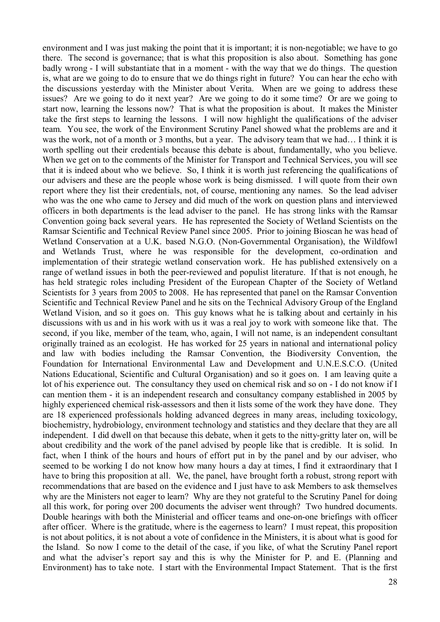environment and I was just making the point that it is important; it is non-negotiable; we have to go there. The second is governance; that is what this proposition is also about. Something has gone badly wrong - I will substantiate that in a moment - with the way that we do things. The question is, what are we going to do to ensure that we do things right in future? You can hear the echo with the discussions yesterday with the Minister about Verita. When are we going to address these issues? Are we going to do it next year? Are we going to do it some time? Or are we going to start now, learning the lessons now? That is what the proposition is about. It makes the Minister take the first steps to learning the lessons. I will now highlight the qualifications of the adviser team. You see, the work of the Environment Scrutiny Panel showed what the problems are and it was the work, not of a month or 3 months, but a year. The advisory team that we had… I think it is worth spelling out their credentials because this debate is about, fundamentally, who you believe. When we get on to the comments of the Minister for Transport and Technical Services, you will see that it is indeed about who we believe. So, I think it is worth just referencing the qualifications of our advisers and these are the people whose work is being dismissed. I will quote from their own report where they list their credentials, not, of course, mentioning any names. So the lead adviser who was the one who came to Jersey and did much of the work on question plans and interviewed officers in both departments is the lead adviser to the panel. He has strong links with the Ramsar Convention going back several years. He has represented the Society of Wetland Scientists on the Ramsar Scientific and Technical Review Panel since 2005. Prior to joining Bioscan he was head of Wetland Conservation at a U.K. based N.G.O. (Non-Governmental Organisation), the Wildfowl and Wetlands Trust, where he was responsible for the development, co-ordination and implementation of their strategic wetland conservation work. He has published extensively on a range of wetland issues in both the peer-reviewed and populist literature. If that is not enough, he has held strategic roles including President of the European Chapter of the Society of Wetland Scientists for 3 years from 2005 to 2008. He has represented that panel on the Ramsar Convention Scientific and Technical Review Panel and he sits on the Technical Advisory Group of the England Wetland Vision, and so it goes on. This guy knows what he is talking about and certainly in his discussions with us and in his work with us it was a real joy to work with someone like that. The second, if you like, member of the team, who, again, I will not name, is an independent consultant originally trained as an ecologist. He has worked for 25 years in national and international policy and law with bodies including the Ramsar Convention, the Biodiversity Convention, the Foundation for International Environmental Law and Development and U.N.E.S.C.O. (United Nations Educational, Scientific and Cultural Organisation) and so it goes on. I am leaving quite a lot of his experience out. The consultancy they used on chemical risk and so on - I do not know if I can mention them - it is an independent research and consultancy company established in 2005 by highly experienced chemical risk-assessors and then it lists some of the work they have done. They are 18 experienced professionals holding advanced degrees in many areas, including toxicology, biochemistry, hydrobiology, environment technology and statistics and they declare that they are all independent. I did dwell on that because this debate, when it gets to the nitty-gritty later on, will be about credibility and the work of the panel advised by people like that is credible. It is solid. In fact, when I think of the hours and hours of effort put in by the panel and by our adviser, who seemed to be working I do not know how many hours a day at times, I find it extraordinary that I have to bring this proposition at all. We, the panel, have brought forth a robust, strong report with recommendations that are based on the evidence and I just have to ask Members to ask themselves why are the Ministers not eager to learn? Why are they not grateful to the Scrutiny Panel for doing all this work, for poring over 200 documents the adviser went through? Two hundred documents. Double hearings with both the Ministerial and officer teams and one-on-one briefings with officer after officer. Where is the gratitude, where is the eagerness to learn? I must repeat, this proposition is not about politics, it is not about a vote of confidence in the Ministers, it is about what is good for the Island. So now I come to the detail of the case, if you like, of what the Scrutiny Panel report and what the adviser's report say and this is why the Minister for P. and E. (Planning and Environment) has to take note. I start with the Environmental Impact Statement. That is the first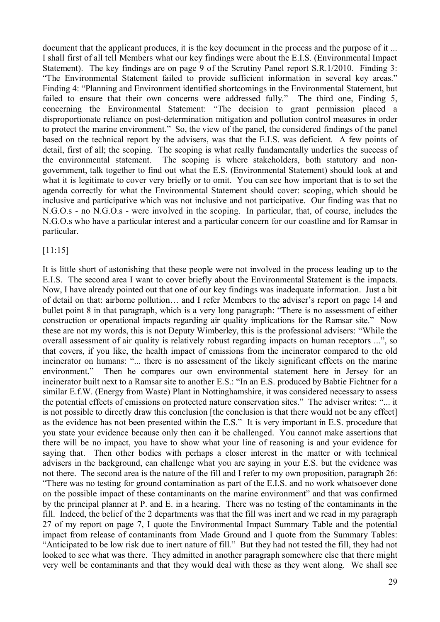document that the applicant produces, it is the key document in the process and the purpose of it ... I shall first of all tell Members what our key findings were about the E.I.S. (Environmental Impact Statement). The key findings are on page 9 of the Scrutiny Panel report S.R.1/2010. Finding 3: "The Environmental Statement failed to provide sufficient information in several key areas." Finding 4: "Planning and Environment identified shortcomings in the Environmental Statement, but failed to ensure that their own concerns were addressed fully." The third one, Finding 5, concerning the Environmental Statement: "The decision to grant permission placed a disproportionate reliance on post-determination mitigation and pollution control measures in order to protect the marine environment." So, the view of the panel, the considered findings of the panel based on the technical report by the advisers, was that the E.I.S. was deficient. A few points of detail, first of all; the scoping. The scoping is what really fundamentally underlies the success of the environmental statement. The scoping is where stakeholders, both statutory and nongovernment, talk together to find out what the E.S. (Environmental Statement) should look at and what it is legitimate to cover very briefly or to omit. You can see how important that is to set the agenda correctly for what the Environmental Statement should cover: scoping, which should be inclusive and participative which was not inclusive and not participative. Our finding was that no N.G.O.s - no N.G.O.s - were involved in the scoping. In particular, that, of course, includes the N.G.O.s who have a particular interest and a particular concern for our coastline and for Ramsar in particular.

### [11:15]

It is little short of astonishing that these people were not involved in the process leading up to the E.I.S. The second area I want to cover briefly about the Environmental Statement is the impacts. Now, I have already pointed out that one of our key findings was inadequate information. Just a bit of detail on that: airborne pollution… and I refer Members to the adviser's report on page 14 and bullet point 8 in that paragraph, which is a very long paragraph: "There is no assessment of either construction or operational impacts regarding air quality implications for the Ramsar site." Now these are not my words, this is not Deputy Wimberley, this is the professional advisers: "While the overall assessment of air quality is relatively robust regarding impacts on human receptors ...", so that covers, if you like, the health impact of emissions from the incinerator compared to the old incinerator on humans: "... there is no assessment of the likely significant effects on the marine environment." Then he compares our own environmental statement here in Jersey for an incinerator built next to a Ramsar site to another E.S.: "In an E.S. produced by Babtie Fichtner for a similar E.f.W. (Energy from Waste) Plant in Nottinghamshire, it was considered necessary to assess the potential effects of emissions on protected nature conservation sites." The adviser writes: "... it is not possible to directly draw this conclusion [the conclusion is that there would not be any effect] as the evidence has not been presented within the E.S." It is very important in E.S. procedure that you state your evidence because only then can it be challenged. You cannot make assertions that there will be no impact, you have to show what your line of reasoning is and your evidence for saying that. Then other bodies with perhaps a closer interest in the matter or with technical advisers in the background, can challenge what you are saying in your E.S. but the evidence was not there. The second area is the nature of the fill and I refer to my own proposition, paragraph 26: "There was no testing for ground contamination as part of the E.I.S. and no work whatsoever done on the possible impact of these contaminants on the marine environment" and that was confirmed by the principal planner at P. and E. in a hearing. There was no testing of the contaminants in the fill. Indeed, the belief of the 2 departments was that the fill was inert and we read in my paragraph 27 of my report on page 7, I quote the Environmental Impact Summary Table and the potential impact from release of contaminants from Made Ground and I quote from the Summary Tables: "Anticipated to be low risk due to inert nature of fill." But they had not tested the fill, they had not looked to see what was there. They admitted in another paragraph somewhere else that there might very well be contaminants and that they would deal with these as they went along. We shall see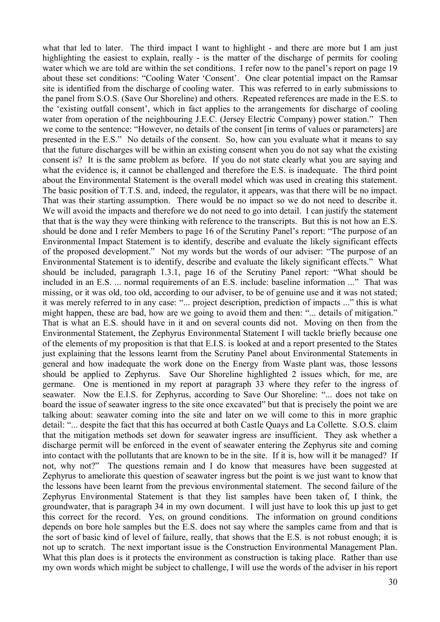what that led to later. The third impact I want to highlight - and there are more but I am just highlighting the easiest to explain, really - is the matter of the discharge of permits for cooling water which we are told are within the set conditions. I refer now to the panel's report on page 19 about these set conditions: "Cooling Water 'Consent'. One clear potential impact on the Ramsar site is identified from the discharge of cooling water. This was referred to in early submissions to the panel from S.O.S. (Save Our Shoreline) and others. Repeated references are made in the E.S. to the 'existing outfall consent', which in fact applies to the arrangements for discharge of cooling water from operation of the neighbouring J.E.C. (Jersey Electric Company) power station." Then we come to the sentence: "However, no details of the consent [in terms of values or parameters] are presented in the E.S." No details of the consent. So, how can you evaluate what it means to say that the future discharges will be within an existing consent when you do not say what the existing consent is? It is the same problem as before. If you do not state clearly what you are saying and what the evidence is, it cannot be challenged and therefore the E.S. is inadequate. The third point about the Environmental Statement is the overall model which was used in creating this statement. The basic position of T.T.S. and, indeed, the regulator, it appears, was that there will be no impact. That was their starting assumption. There would be no impact so we do not need to describe it. We will avoid the impacts and therefore we do not need to go into detail. I can justify the statement that that is the way they were thinking with reference to the transcripts. But this is not how an E.S. should be done and I refer Members to page 16 of the Scrutiny Panel's report: "The purpose of an Environmental Impact Statement is to identify, describe and evaluate the likely significant effects of the proposed development." Not my words but the words of our adviser: "The purpose of an Environmental Statement is to identify, describe and evaluate the likely significant effects." What should be included, paragraph 1.3.1, page 16 of the Scrutiny Panel report: "What should be included in an E.S. ... normal requirements of an E.S. include: baseline information ..." That was missing, or it was old, too old, according to our adviser, to be of genuine use and it was not stated; it was merely referred to in any case: "... project description, prediction of impacts ..." this is what might happen, these are bad, how are we going to avoid them and then: "... details of mitigation." That is what an E.S. should have in it and on several counts did not. Moving on then from the Environmental Statement, the Zephyrus Environmental Statement I will tackle briefly because one of the elements of my proposition is that that E.I.S. is looked at and a report presented to the States just explaining that the lessons learnt from the Scrutiny Panel about Environmental Statements in general and how inadequate the work done on the Energy from Waste plant was, those lessons should be applied to Zephyrus. Save Our Shoreline highlighted 2 issues which, for me, are germane. One is mentioned in my report at paragraph 33 where they refer to the ingress of seawater. Now the E.I.S. for Zephyrus, according to Save Our Shoreline: "... does not take on board the issue of seawater ingress to the site once excavated" but that is precisely the point we are talking about: seawater coming into the site and later on we will come to this in more graphic detail: "... despite the fact that this has occurred at both Castle Quays and La Collette. S.O.S. claim that the mitigation methods set down for seawater ingress are insufficient. They ask whether a discharge permit will be enforced in the event of seawater entering the Zephyrus site and coming into contact with the pollutants that are known to be in the site. If it is, how will it be managed? If not, why not?" The questions remain and I do know that measures have been suggested at Zephyrus to ameliorate this question of seawater ingress but the point is we just want to know that the lessons have been learnt from the previous environmental statement. The second failure of the Zephyrus Environmental Statement is that they list samples have been taken of, I think, the groundwater, that is paragraph 34 in my own document. I will just have to look this up just to get this correct for the record. Yes, on ground conditions. The information on ground conditions depends on bore hole samples but the E.S. does not say where the samples came from and that is the sort of basic kind of level of failure, really, that shows that the E.S. is not robust enough; it is not up to scratch. The next important issue is the Construction Environmental Management Plan. What this plan does is it protects the environment as construction is taking place. Rather than use my own words which might be subject to challenge, I will use the words of the adviser in his report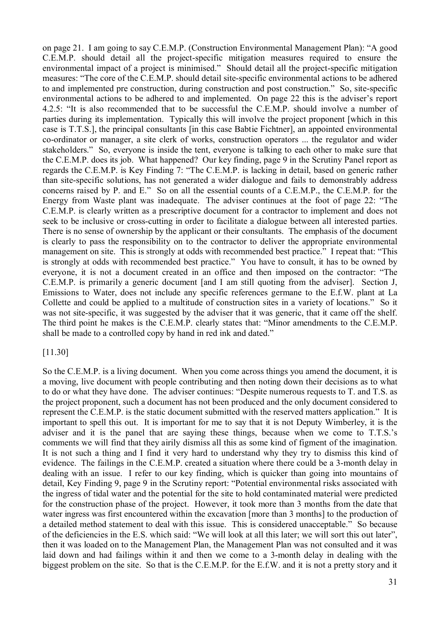on page 21. I am going to say C.E.M.P. (Construction Environmental Management Plan): "A good C.E.M.P. should detail all the project-specific mitigation measures required to ensure the environmental impact of a project is minimised." Should detail all the project-specific mitigation measures: "The core of the C.E.M.P. should detail site-specific environmental actions to be adhered to and implemented pre construction, during construction and post construction." So, site-specific environmental actions to be adhered to and implemented. On page 22 this is the adviser's report 4.2.5: "It is also recommended that to be successful the C.E.M.P. should involve a number of parties during its implementation. Typically this will involve the project proponent [which in this case is T.T.S.], the principal consultants [in this case Babtie Fichtner], an appointed environmental co-ordinator or manager, a site clerk of works, construction operators ... the regulator and wider stakeholders." So, everyone is inside the tent, everyone is talking to each other to make sure that the C.E.M.P. does its job. What happened? Our key finding, page 9 in the Scrutiny Panel report as regards the C.E.M.P. is Key Finding 7: "The C.E.M.P. is lacking in detail, based on generic rather than site-specific solutions, has not generated a wider dialogue and fails to demonstrably address concerns raised by P. and E." So on all the essential counts of a C.E.M.P., the C.E.M.P. for the Energy from Waste plant was inadequate. The adviser continues at the foot of page 22: "The C.E.M.P. is clearly written as a prescriptive document for a contractor to implement and does not seek to be inclusive or cross-cutting in order to facilitate a dialogue between all interested parties. There is no sense of ownership by the applicant or their consultants. The emphasis of the document is clearly to pass the responsibility on to the contractor to deliver the appropriate environmental management on site. This is strongly at odds with recommended best practice." I repeat that: "This is strongly at odds with recommended best practice." You have to consult, it has to be owned by everyone, it is not a document created in an office and then imposed on the contractor: "The C.E.M.P. is primarily a generic document [and I am still quoting from the adviser]. Section J, Emissions to Water, does not include any specific references germane to the E.f.W. plant at La Collette and could be applied to a multitude of construction sites in a variety of locations." So it was not site-specific, it was suggested by the adviser that it was generic, that it came off the shelf. The third point he makes is the C.E.M.P. clearly states that: "Minor amendments to the C.E.M.P. shall be made to a controlled copy by hand in red ink and dated."

#### [11.30]

So the C.E.M.P. is a living document. When you come across things you amend the document, it is a moving, live document with people contributing and then noting down their decisions as to what to do or what they have done. The adviser continues: "Despite numerous requests to T. and T.S. as the project proponent, such a document has not been produced and the only document considered to represent the C.E.M.P. is the static document submitted with the reserved matters application." It is important to spell this out. It is important for me to say that it is not Deputy Wimberley, it is the adviser and it is the panel that are saying these things, because when we come to T.T.S.'s comments we will find that they airily dismiss all this as some kind of figment of the imagination. It is not such a thing and I find it very hard to understand why they try to dismiss this kind of evidence. The failings in the C.E.M.P. created a situation where there could be a 3-month delay in dealing with an issue. I refer to our key finding, which is quicker than going into mountains of detail, Key Finding 9, page 9 in the Scrutiny report: "Potential environmental risks associated with the ingress of tidal water and the potential for the site to hold contaminated material were predicted for the construction phase of the project. However, it took more than 3 months from the date that water ingress was first encountered within the excavation [more than 3 months] to the production of a detailed method statement to deal with this issue. This is considered unacceptable." So because of the deficiencies in the E.S. which said: "We will look at all this later; we will sort this out later", then it was loaded on to the Management Plan, the Management Plan was not consulted and it was laid down and had failings within it and then we come to a 3-month delay in dealing with the biggest problem on the site. So that is the C.E.M.P. for the E.f.W. and it is not a pretty story and it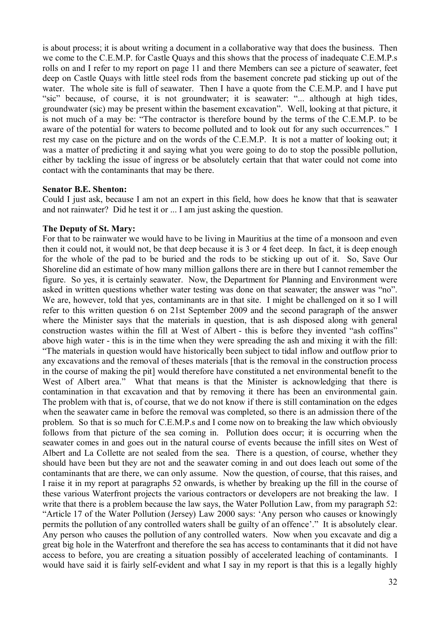is about process; it is about writing a document in a collaborative way that does the business. Then we come to the C.E.M.P. for Castle Quays and this shows that the process of inadequate C.E.M.P.s rolls on and I refer to my report on page 11 and there Members can see a picture of seawater, feet deep on Castle Quays with little steel rods from the basement concrete pad sticking up out of the water. The whole site is full of seawater. Then I have a quote from the C.E.M.P. and I have put "sic" because, of course, it is not groundwater; it is seawater: "... although at high tides, groundwater (sic) may be present within the basement excavation". Well, looking at that picture, it is not much of a may be: "The contractor is therefore bound by the terms of the C.E.M.P. to be aware of the potential for waters to become polluted and to look out for any such occurrences." I rest my case on the picture and on the words of the C.E.M.P. It is not a matter of looking out; it was a matter of predicting it and saying what you were going to do to stop the possible pollution, either by tackling the issue of ingress or be absolutely certain that that water could not come into contact with the contaminants that may be there.

#### **Senator B.E. Shenton:**

Could I just ask, because I am not an expert in this field, how does he know that that is seawater and not rainwater? Did he test it or ... I am just asking the question.

#### **The Deputy of St. Mary:**

For that to be rainwater we would have to be living in Mauritius at the time of a monsoon and even then it could not, it would not, be that deep because it is 3 or 4 feet deep. In fact, it is deep enough for the whole of the pad to be buried and the rods to be sticking up out of it. So, Save Our Shoreline did an estimate of how many million gallons there are in there but I cannot remember the figure. So yes, it is certainly seawater. Now, the Department for Planning and Environment were asked in written questions whether water testing was done on that seawater; the answer was "no". We are, however, told that yes, contaminants are in that site. I might be challenged on it so I will refer to this written question 6 on 21st September 2009 and the second paragraph of the answer where the Minister says that the materials in question, that is ash disposed along with general construction wastes within the fill at West of Albert - this is before they invented "ash coffins" above high water - this is in the time when they were spreading the ash and mixing it with the fill: "The materials in question would have historically been subject to tidal inflow and outflow prior to any excavations and the removal of theses materials [that is the removal in the construction process in the course of making the pit] would therefore have constituted a net environmental benefit to the West of Albert area." What that means is that the Minister is acknowledging that there is contamination in that excavation and that by removing it there has been an environmental gain. The problem with that is, of course, that we do not know if there is still contamination on the edges when the seawater came in before the removal was completed, so there is an admission there of the problem. So that is so much for C.E.M.P.s and I come now on to breaking the law which obviously follows from that picture of the sea coming in. Pollution does occur; it is occurring when the seawater comes in and goes out in the natural course of events because the infill sites on West of Albert and La Collette are not sealed from the sea. There is a question, of course, whether they should have been but they are not and the seawater coming in and out does leach out some of the contaminants that are there, we can only assume. Now the question, of course, that this raises, and I raise it in my report at paragraphs 52 onwards, is whether by breaking up the fill in the course of these various Waterfront projects the various contractors or developers are not breaking the law. I write that there is a problem because the law says, the Water Pollution Law, from my paragraph 52: "Article 17 of the Water Pollution (Jersey) Law 2000 says: 'Any person who causes or knowingly permits the pollution of any controlled waters shall be guilty of an offence'." It is absolutely clear. Any person who causes the pollution of any controlled waters. Now when you excavate and dig a great big hole in the Waterfront and therefore the sea has access to contaminants that it did not have access to before, you are creating a situation possibly of accelerated leaching of contaminants. I would have said it is fairly self-evident and what I say in my report is that this is a legally highly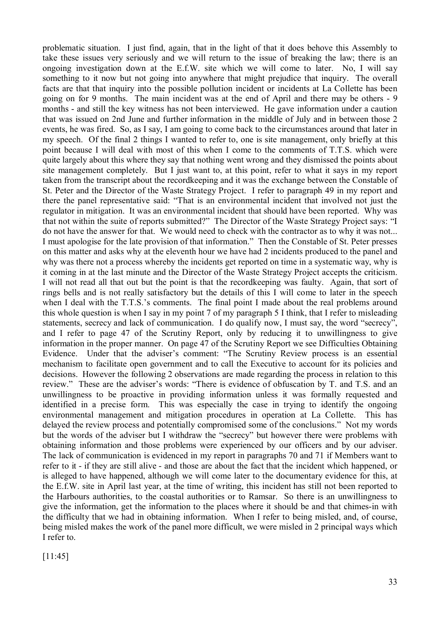problematic situation. I just find, again, that in the light of that it does behove this Assembly to take these issues very seriously and we will return to the issue of breaking the law; there is an ongoing investigation down at the E.f.W. site which we will come to later. No, I will say something to it now but not going into anywhere that might prejudice that inquiry. The overall facts are that that inquiry into the possible pollution incident or incidents at La Collette has been going on for 9 months. The main incident was at the end of April and there may be others - 9 months - and still the key witness has not been interviewed. He gave information under a caution that was issued on 2nd June and further information in the middle of July and in between those 2 events, he was fired. So, as I say, I am going to come back to the circumstances around that later in my speech. Of the final 2 things I wanted to refer to, one is site management, only briefly at this point because I will deal with most of this when I come to the comments of T.T.S. which were quite largely about this where they say that nothing went wrong and they dismissed the points about site management completely. But I just want to, at this point, refer to what it says in my report taken from the transcript about the recordkeeping and it was the exchange between the Constable of St. Peter and the Director of the Waste Strategy Project. I refer to paragraph 49 in my report and there the panel representative said: "That is an environmental incident that involved not just the regulator in mitigation. It was an environmental incident that should have been reported. Why was that not within the suite of reports submitted?" The Director of the Waste Strategy Project says: "I do not have the answer for that. We would need to check with the contractor as to why it was not... I must apologise for the late provision of that information." Then the Constable of St. Peter presses on this matter and asks why at the eleventh hour we have had 2 incidents produced to the panel and why was there not a process whereby the incidents get reported on time in a systematic way, why is it coming in at the last minute and the Director of the Waste Strategy Project accepts the criticism. I will not read all that out but the point is that the recordkeeping was faulty. Again, that sort of rings bells and is not really satisfactory but the details of this I will come to later in the speech when I deal with the T.T.S.'s comments. The final point I made about the real problems around this whole question is when I say in my point 7 of my paragraph 5 I think, that I refer to misleading statements, secrecy and lack of communication. I do qualify now, I must say, the word "secrecy", and I refer to page 47 of the Scrutiny Report, only by reducing it to unwillingness to give information in the proper manner. On page 47 of the Scrutiny Report we see Difficulties Obtaining Evidence. Under that the adviser's comment: "The Scrutiny Review process is an essential mechanism to facilitate open government and to call the Executive to account for its policies and decisions. However the following 2 observations are made regarding the process in relation to this review." These are the adviser's words: "There is evidence of obfuscation by T. and T.S. and an unwillingness to be proactive in providing information unless it was formally requested and identified in a precise form. This was especially the case in trying to identify the ongoing environmental management and mitigation procedures in operation at La Collette. This has delayed the review process and potentially compromised some of the conclusions." Not my words but the words of the adviser but I withdraw the "secrecy" but however there were problems with obtaining information and those problems were experienced by our officers and by our adviser. The lack of communication is evidenced in my report in paragraphs 70 and 71 if Members want to refer to it - if they are still alive - and those are about the fact that the incident which happened, or is alleged to have happened, although we will come later to the documentary evidence for this, at the E.f.W. site in April last year, at the time of writing, this incident has still not been reported to the Harbours authorities, to the coastal authorities or to Ramsar. So there is an unwillingness to give the information, get the information to the places where it should be and that chimes-in with the difficulty that we had in obtaining information. When I refer to being misled, and, of course, being misled makes the work of the panel more difficult, we were misled in 2 principal ways which I refer to.

[11:45]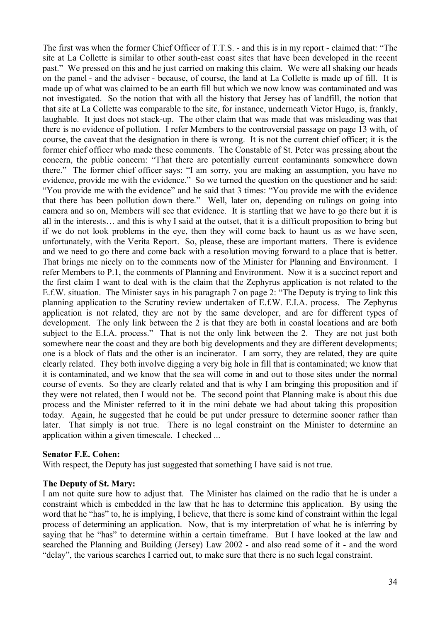The first was when the former Chief Officer of T.T.S. - and this is in my report - claimed that: "The site at La Collette is similar to other south-east coast sites that have been developed in the recent past." We pressed on this and he just carried on making this claim. We were all shaking our heads on the panel - and the adviser - because, of course, the land at La Collette is made up of fill. It is made up of what was claimed to be an earth fill but which we now know was contaminated and was not investigated. So the notion that with all the history that Jersey has of landfill, the notion that that site at La Collette was comparable to the site, for instance, underneath Victor Hugo, is, frankly, laughable. It just does not stack-up. The other claim that was made that was misleading was that there is no evidence of pollution. I refer Members to the controversial passage on page 13 with, of course, the caveat that the designation in there is wrong. It is not the current chief officer; it is the former chief officer who made these comments. The Constable of St. Peter was pressing about the concern, the public concern: "That there are potentially current contaminants somewhere down there." The former chief officer says: "I am sorry, you are making an assumption, you have no evidence, provide me with the evidence." So we turned the question on the questioner and he said: "You provide me with the evidence" and he said that 3 times: "You provide me with the evidence that there has been pollution down there." Well, later on, depending on rulings on going into camera and so on, Members will see that evidence. It is startling that we have to go there but it is all in the interests… and this is why I said at the outset, that it is a difficult proposition to bring but if we do not look problems in the eye, then they will come back to haunt us as we have seen, unfortunately, with the Verita Report. So, please, these are important matters. There is evidence and we need to go there and come back with a resolution moving forward to a place that is better. That brings me nicely on to the comments now of the Minister for Planning and Environment. I refer Members to P.1, the comments of Planning and Environment. Now it is a succinct report and the first claim I want to deal with is the claim that the Zephyrus application is not related to the E.f.W. situation. The Minister says in his paragraph 7 on page 2: "The Deputy is trying to link this planning application to the Scrutiny review undertaken of E.f.W. E.I.A. process. The Zephyrus application is not related, they are not by the same developer, and are for different types of development. The only link between the 2 is that they are both in coastal locations and are both subject to the E.I.A. process." That is not the only link between the 2. They are not just both somewhere near the coast and they are both big developments and they are different developments; one is a block of flats and the other is an incinerator. I am sorry, they are related, they are quite clearly related. They both involve digging a very big hole in fill that is contaminated; we know that it is contaminated, and we know that the sea will come in and out to those sites under the normal course of events. So they are clearly related and that is why I am bringing this proposition and if they were not related, then I would not be. The second point that Planning make is about this due process and the Minister referred to it in the mini debate we had about taking this proposition today. Again, he suggested that he could be put under pressure to determine sooner rather than later. That simply is not true. There is no legal constraint on the Minister to determine an application within a given timescale. I checked ...

### **Senator F.E. Cohen:**

With respect, the Deputy has just suggested that something I have said is not true.

#### **The Deputy of St. Mary:**

I am not quite sure how to adjust that. The Minister has claimed on the radio that he is under a constraint which is embedded in the law that he has to determine this application. By using the word that he "has" to, he is implying, I believe, that there is some kind of constraint within the legal process of determining an application. Now, that is my interpretation of what he is inferring by saying that he "has" to determine within a certain timeframe. But I have looked at the law and searched the Planning and Building (Jersey) Law 2002 - and also read some of it - and the word "delay", the various searches I carried out, to make sure that there is no such legal constraint.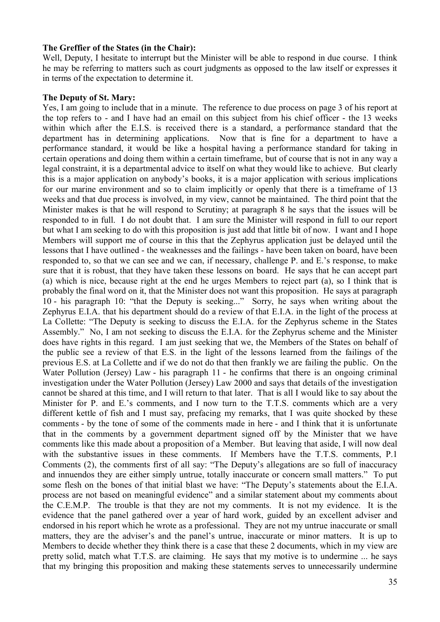#### **The Greffier of the States (in the Chair):**

Well, Deputy, I hesitate to interrupt but the Minister will be able to respond in due course. I think he may be referring to matters such as court judgments as opposed to the law itself or expresses it in terms of the expectation to determine it.

#### **The Deputy of St. Mary:**

Yes, I am going to include that in a minute. The reference to due process on page 3 of his report at the top refers to - and I have had an email on this subject from his chief officer - the 13 weeks within which after the E.I.S. is received there is a standard, a performance standard that the department has in determining applications. Now that is fine for a department to have a performance standard, it would be like a hospital having a performance standard for taking in certain operations and doing them within a certain timeframe, but of course that is not in any way a legal constraint, it is a departmental advice to itself on what they would like to achieve. But clearly this is a major application on anybody's books, it is a major application with serious implications for our marine environment and so to claim implicitly or openly that there is a timeframe of 13 weeks and that due process is involved, in my view, cannot be maintained. The third point that the Minister makes is that he will respond to Scrutiny; at paragraph 8 he says that the issues will be responded to in full. I do not doubt that. I am sure the Minister will respond in full to our report but what I am seeking to do with this proposition is just add that little bit of now. I want and I hope Members will support me of course in this that the Zephyrus application just be delayed until the lessons that I have outlined - the weaknesses and the failings - have been taken on board, have been responded to, so that we can see and we can, if necessary, challenge P. and E.'s response, to make sure that it is robust, that they have taken these lessons on board. He says that he can accept part (a) which is nice, because right at the end he urges Members to reject part (a), so I think that is probably the final word on it, that the Minister does not want this proposition. He says at paragraph 10 - his paragraph 10: "that the Deputy is seeking..." Sorry, he says when writing about the Zephyrus E.I.A. that his department should do a review of that E.I.A. in the light of the process at La Collette: "The Deputy is seeking to discuss the E.I.A. for the Zephyrus scheme in the States Assembly." No, I am not seeking to discuss the E.I.A. for the Zephyrus scheme and the Minister does have rights in this regard. I am just seeking that we, the Members of the States on behalf of the public see a review of that E.S. in the light of the lessons learned from the failings of the previous E.S. at La Collette and if we do not do that then frankly we are failing the public. On the Water Pollution (Jersey) Law - his paragraph 11 - he confirms that there is an ongoing criminal investigation under the Water Pollution (Jersey) Law 2000 and says that details of the investigation cannot be shared at this time, and I will return to that later. That is all I would like to say about the Minister for P. and E.'s comments, and I now turn to the T.T.S. comments which are a very different kettle of fish and I must say, prefacing my remarks, that I was quite shocked by these comments - by the tone of some of the comments made in here - and I think that it is unfortunate that in the comments by a government department signed off by the Minister that we have comments like this made about a proposition of a Member. But leaving that aside, I will now deal with the substantive issues in these comments. If Members have the T.T.S. comments, P.1 Comments (2), the comments first of all say: "The Deputy's allegations are so full of inaccuracy and innuendos they are either simply untrue, totally inaccurate or concern small matters." To put some flesh on the bones of that initial blast we have: "The Deputy's statements about the E.I.A. process are not based on meaningful evidence" and a similar statement about my comments about the C.E.M.P. The trouble is that they are not my comments. It is not my evidence. It is the evidence that the panel gathered over a year of hard work, guided by an excellent adviser and endorsed in his report which he wrote as a professional. They are not my untrue inaccurate or small matters, they are the adviser's and the panel's untrue, inaccurate or minor matters. It is up to Members to decide whether they think there is a case that these 2 documents, which in my view are pretty solid, match what T.T.S. are claiming. He says that my motive is to undermine ... he says that my bringing this proposition and making these statements serves to unnecessarily undermine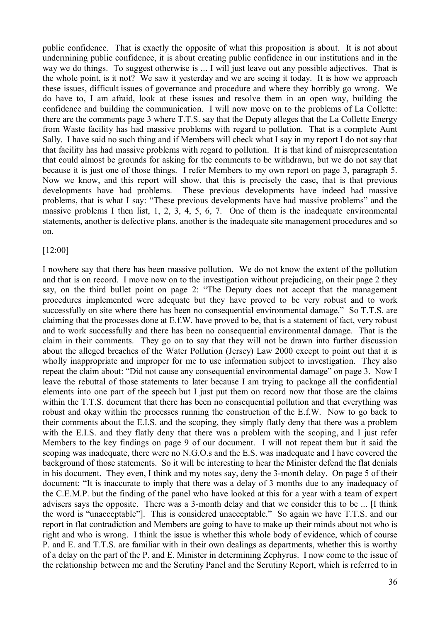public confidence. That is exactly the opposite of what this proposition is about. It is not about undermining public confidence, it is about creating public confidence in our institutions and in the way we do things. To suggest otherwise is ... I will just leave out any possible adjectives. That is the whole point, is it not? We saw it yesterday and we are seeing it today. It is how we approach these issues, difficult issues of governance and procedure and where they horribly go wrong. We do have to, I am afraid, look at these issues and resolve them in an open way, building the confidence and building the communication. I will now move on to the problems of La Collette: there are the comments page 3 where T.T.S. say that the Deputy alleges that the La Collette Energy from Waste facility has had massive problems with regard to pollution. That is a complete Aunt Sally. I have said no such thing and if Members will check what I say in my report I do not say that that facility has had massive problems with regard to pollution. It is that kind of misrepresentation that could almost be grounds for asking for the comments to be withdrawn, but we do not say that because it is just one of those things. I refer Members to my own report on page 3, paragraph 5. Now we know, and this report will show, that this is precisely the case, that is that previous developments have had problems. These previous developments have indeed had massive problems, that is what I say: "These previous developments have had massive problems" and the massive problems I then list, 1, 2, 3, 4, 5, 6, 7. One of them is the inadequate environmental statements, another is defective plans, another is the inadequate site management procedures and so on.

#### [12:00]

I nowhere say that there has been massive pollution. We do not know the extent of the pollution and that is on record. I move now on to the investigation without prejudicing, on their page 2 they say, on the third bullet point on page 2: "The Deputy does not accept that the management procedures implemented were adequate but they have proved to be very robust and to work successfully on site where there has been no consequential environmental damage." So T.T.S. are claiming that the processes done at E.f.W. have proved to be, that is a statement of fact, very robust and to work successfully and there has been no consequential environmental damage. That is the claim in their comments. They go on to say that they will not be drawn into further discussion about the alleged breaches of the Water Pollution (Jersey) Law 2000 except to point out that it is wholly inappropriate and improper for me to use information subject to investigation. They also repeat the claim about: "Did not cause any consequential environmental damage" on page 3. Now I leave the rebuttal of those statements to later because I am trying to package all the confidential elements into one part of the speech but I just put them on record now that those are the claims within the T.T.S. document that there has been no consequential pollution and that everything was robust and okay within the processes running the construction of the E.f.W. Now to go back to their comments about the E.I.S. and the scoping, they simply flatly deny that there was a problem with the E.I.S. and they flatly deny that there was a problem with the scoping, and I just refer Members to the key findings on page 9 of our document. I will not repeat them but it said the scoping was inadequate, there were no N.G.O.s and the E.S. was inadequate and I have covered the background of those statements. So it will be interesting to hear the Minister defend the flat denials in his document. They even, I think and my notes say, deny the 3-month delay. On page 5 of their document: "It is inaccurate to imply that there was a delay of 3 months due to any inadequacy of the C.E.M.P. but the finding of the panel who have looked at this for a year with a team of expert advisers says the opposite. There was a 3-month delay and that we consider this to be ... [I think the word is "unacceptable"]. This is considered unacceptable." So again we have T.T.S. and our report in flat contradiction and Members are going to have to make up their minds about not who is right and who is wrong. I think the issue is whether this whole body of evidence, which of course P. and E. and T.T.S. are familiar with in their own dealings as departments, whether this is worthy of a delay on the part of the P. and E. Minister in determining Zephyrus. I now come to the issue of the relationship between me and the Scrutiny Panel and the Scrutiny Report, which is referred to in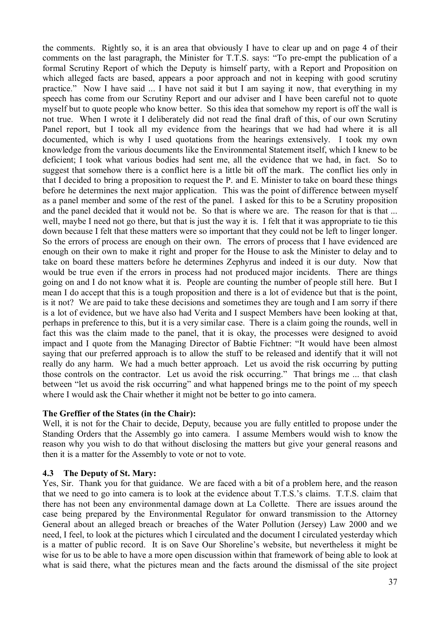the comments. Rightly so, it is an area that obviously I have to clear up and on page 4 of their comments on the last paragraph, the Minister for T.T.S. says: "To pre-empt the publication of a formal Scrutiny Report of which the Deputy is himself party, with a Report and Proposition on which alleged facts are based, appears a poor approach and not in keeping with good scrutiny practice." Now I have said ... I have not said it but I am saying it now, that everything in my speech has come from our Scrutiny Report and our adviser and I have been careful not to quote myself but to quote people who know better. So this idea that somehow my report is off the wall is not true. When I wrote it I deliberately did not read the final draft of this, of our own Scrutiny Panel report, but I took all my evidence from the hearings that we had had where it is all documented, which is why I used quotations from the hearings extensively. I took my own knowledge from the various documents like the Environmental Statement itself, which I knew to be deficient; I took what various bodies had sent me, all the evidence that we had, in fact. So to suggest that somehow there is a conflict here is a little bit off the mark. The conflict lies only in that I decided to bring a proposition to request the P. and E. Minister to take on board these things before he determines the next major application. This was the point of difference between myself as a panel member and some of the rest of the panel. I asked for this to be a Scrutiny proposition and the panel decided that it would not be. So that is where we are. The reason for that is that ... well, maybe I need not go there, but that is just the way it is. I felt that it was appropriate to tie this down because I felt that these matters were so important that they could not be left to linger longer. So the errors of process are enough on their own. The errors of process that I have evidenced are enough on their own to make it right and proper for the House to ask the Minister to delay and to take on board these matters before he determines Zephyrus and indeed it is our duty. Now that would be true even if the errors in process had not produced major incidents. There are things going on and I do not know what it is. People are counting the number of people still here. But I mean I do accept that this is a tough proposition and there is a lot of evidence but that is the point, is it not? We are paid to take these decisions and sometimes they are tough and I am sorry if there is a lot of evidence, but we have also had Verita and I suspect Members have been looking at that, perhaps in preference to this, but it is a very similar case. There is a claim going the rounds, well in fact this was the claim made to the panel, that it is okay, the processes were designed to avoid impact and I quote from the Managing Director of Babtie Fichtner: "It would have been almost saying that our preferred approach is to allow the stuff to be released and identify that it will not really do any harm. We had a much better approach. Let us avoid the risk occurring by putting those controls on the contractor. Let us avoid the risk occurring." That brings me ... that clash between "let us avoid the risk occurring" and what happened brings me to the point of my speech where I would ask the Chair whether it might not be better to go into camera.

#### **The Greffier of the States (in the Chair):**

Well, it is not for the Chair to decide, Deputy, because you are fully entitled to propose under the Standing Orders that the Assembly go into camera. I assume Members would wish to know the reason why you wish to do that without disclosing the matters but give your general reasons and then it is a matter for the Assembly to vote or not to vote.

## **4.3 The Deputy of St. Mary:**

Yes, Sir. Thank you for that guidance. We are faced with a bit of a problem here, and the reason that we need to go into camera is to look at the evidence about T.T.S.'s claims. T.T.S. claim that there has not been any environmental damage down at La Collette. There are issues around the case being prepared by the Environmental Regulator for onward transmission to the Attorney General about an alleged breach or breaches of the Water Pollution (Jersey) Law 2000 and we need, I feel, to look at the pictures which I circulated and the document I circulated yesterday which is a matter of public record. It is on Save Our Shoreline's website, but nevertheless it might be wise for us to be able to have a more open discussion within that framework of being able to look at what is said there, what the pictures mean and the facts around the dismissal of the site project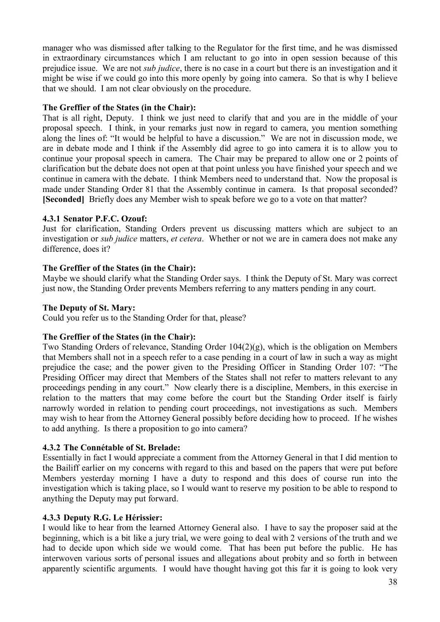manager who was dismissed after talking to the Regulator for the first time, and he was dismissed in extraordinary circumstances which I am reluctant to go into in open session because of this prejudice issue. We are not *sub judice*, there is no case in a court but there is an investigation and it might be wise if we could go into this more openly by going into camera. So that is why I believe that we should. I am not clear obviously on the procedure.

## **The Greffier of the States (in the Chair):**

That is all right, Deputy. I think we just need to clarify that and you are in the middle of your proposal speech. I think, in your remarks just now in regard to camera, you mention something along the lines of: "It would be helpful to have a discussion." We are not in discussion mode, we are in debate mode and I think if the Assembly did agree to go into camera it is to allow you to continue your proposal speech in camera. The Chair may be prepared to allow one or 2 points of clarification but the debate does not open at that point unless you have finished your speech and we continue in camera with the debate. I think Members need to understand that. Now the proposal is made under Standing Order 81 that the Assembly continue in camera. Is that proposal seconded? **[Seconded]** Briefly does any Member wish to speak before we go to a vote on that matter?

# **4.3.1 Senator P.F.C. Ozouf:**

Just for clarification, Standing Orders prevent us discussing matters which are subject to an investigation or *sub judice* matters, *et cetera*. Whether or not we are in camera does not make any difference, does it?

# **The Greffier of the States (in the Chair):**

Maybe we should clarify what the Standing Order says. I think the Deputy of St. Mary was correct just now, the Standing Order prevents Members referring to any matters pending in any court.

# **The Deputy of St. Mary:**

Could you refer us to the Standing Order for that, please?

## **The Greffier of the States (in the Chair):**

Two Standing Orders of relevance, Standing Order 104(2)(g), which is the obligation on Members that Members shall not in a speech refer to a case pending in a court of law in such a way as might prejudice the case; and the power given to the Presiding Officer in Standing Order 107: "The Presiding Officer may direct that Members of the States shall not refer to matters relevant to any proceedings pending in any court." Now clearly there is a discipline, Members, in this exercise in relation to the matters that may come before the court but the Standing Order itself is fairly narrowly worded in relation to pending court proceedings, not investigations as such. Members may wish to hear from the Attorney General possibly before deciding how to proceed. If he wishes to add anything. Is there a proposition to go into camera?

## **4.3.2 The Connétable of St. Brelade:**

Essentially in fact I would appreciate a comment from the Attorney General in that I did mention to the Bailiff earlier on my concerns with regard to this and based on the papers that were put before Members yesterday morning I have a duty to respond and this does of course run into the investigation which is taking place, so I would want to reserve my position to be able to respond to anything the Deputy may put forward.

## **4.3.3 Deputy R.G. Le Hérissier:**

I would like to hear from the learned Attorney General also. I have to say the proposer said at the beginning, which is a bit like a jury trial, we were going to deal with 2 versions of the truth and we had to decide upon which side we would come. That has been put before the public. He has interwoven various sorts of personal issues and allegations about probity and so forth in between apparently scientific arguments. I would have thought having got this far it is going to look very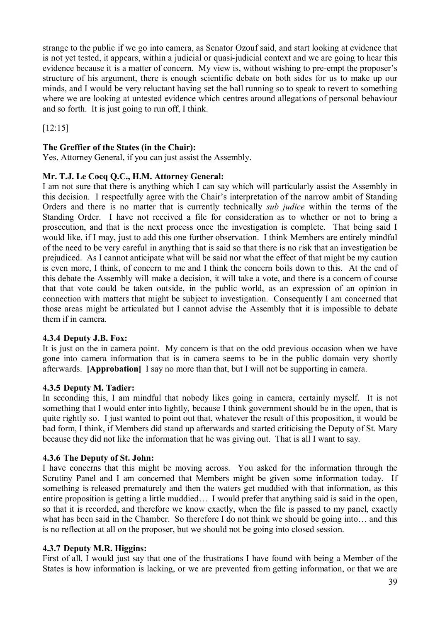strange to the public if we go into camera, as Senator Ozouf said, and start looking at evidence that is not yet tested, it appears, within a judicial or quasi-judicial context and we are going to hear this evidence because it is a matter of concern. My view is, without wishing to pre-empt the proposer's structure of his argument, there is enough scientific debate on both sides for us to make up our minds, and I would be very reluctant having set the ball running so to speak to revert to something where we are looking at untested evidence which centres around allegations of personal behaviour and so forth. It is just going to run off, I think.

[12:15]

### **The Greffier of the States (in the Chair):**

Yes, Attorney General, if you can just assist the Assembly.

#### **Mr. T.J. Le Cocq Q.C., H.M. Attorney General:**

I am not sure that there is anything which I can say which will particularly assist the Assembly in this decision. I respectfully agree with the Chair's interpretation of the narrow ambit of Standing Orders and there is no matter that is currently technically *sub judice* within the terms of the Standing Order. I have not received a file for consideration as to whether or not to bring a prosecution, and that is the next process once the investigation is complete. That being said I would like, if I may, just to add this one further observation. I think Members are entirely mindful of the need to be very careful in anything that is said so that there is no risk that an investigation be prejudiced. As I cannot anticipate what will be said nor what the effect of that might be my caution is even more, I think, of concern to me and I think the concern boils down to this. At the end of this debate the Assembly will make a decision, it will take a vote, and there is a concern of course that that vote could be taken outside, in the public world, as an expression of an opinion in connection with matters that might be subject to investigation. Consequently I am concerned that those areas might be articulated but I cannot advise the Assembly that it is impossible to debate them if in camera.

#### **4.3.4 Deputy J.B. Fox:**

It is just on the in camera point. My concern is that on the odd previous occasion when we have gone into camera information that is in camera seems to be in the public domain very shortly afterwards. **[Approbation]** I say no more than that, but I will not be supporting in camera.

#### **4.3.5 Deputy M. Tadier:**

In seconding this, I am mindful that nobody likes going in camera, certainly myself. It is not something that I would enter into lightly, because I think government should be in the open, that is quite rightly so. I just wanted to point out that, whatever the result of this proposition, it would be bad form, I think, if Members did stand up afterwards and started criticising the Deputy of St. Mary because they did not like the information that he was giving out. That is all I want to say.

#### **4.3.6 The Deputy of St. John:**

I have concerns that this might be moving across. You asked for the information through the Scrutiny Panel and I am concerned that Members might be given some information today. If something is released prematurely and then the waters get muddied with that information, as this entire proposition is getting a little muddied… I would prefer that anything said is said in the open, so that it is recorded, and therefore we know exactly, when the file is passed to my panel, exactly what has been said in the Chamber. So therefore I do not think we should be going into… and this is no reflection at all on the proposer, but we should not be going into closed session.

#### **4.3.7 Deputy M.R. Higgins:**

First of all, I would just say that one of the frustrations I have found with being a Member of the States is how information is lacking, or we are prevented from getting information, or that we are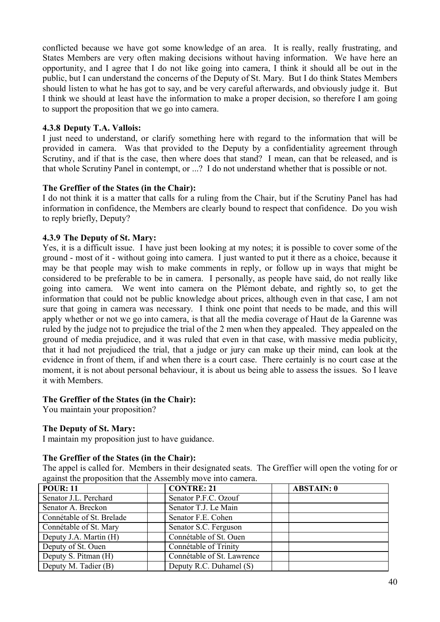conflicted because we have got some knowledge of an area. It is really, really frustrating, and States Members are very often making decisions without having information. We have here an opportunity, and I agree that I do not like going into camera, I think it should all be out in the public, but I can understand the concerns of the Deputy of St. Mary. But I do think States Members should listen to what he has got to say, and be very careful afterwards, and obviously judge it. But I think we should at least have the information to make a proper decision, so therefore I am going to support the proposition that we go into camera.

### **4.3.8 Deputy T.A. Vallois:**

I just need to understand, or clarify something here with regard to the information that will be provided in camera. Was that provided to the Deputy by a confidentiality agreement through Scrutiny, and if that is the case, then where does that stand? I mean, can that be released, and is that whole Scrutiny Panel in contempt, or ...? I do not understand whether that is possible or not.

### **The Greffier of the States (in the Chair):**

I do not think it is a matter that calls for a ruling from the Chair, but if the Scrutiny Panel has had information in confidence, the Members are clearly bound to respect that confidence. Do you wish to reply briefly, Deputy?

### **4.3.9 The Deputy of St. Mary:**

Yes, it is a difficult issue. I have just been looking at my notes; it is possible to cover some of the ground - most of it - without going into camera. I just wanted to put it there as a choice, because it may be that people may wish to make comments in reply, or follow up in ways that might be considered to be preferable to be in camera. I personally, as people have said, do not really like going into camera. We went into camera on the Plémont debate, and rightly so, to get the information that could not be public knowledge about prices, although even in that case, I am not sure that going in camera was necessary. I think one point that needs to be made, and this will apply whether or not we go into camera, is that all the media coverage of Haut de la Garenne was ruled by the judge not to prejudice the trial of the 2 men when they appealed. They appealed on the ground of media prejudice, and it was ruled that even in that case, with massive media publicity, that it had not prejudiced the trial, that a judge or jury can make up their mind, can look at the evidence in front of them, if and when there is a court case. There certainly is no court case at the moment, it is not about personal behaviour, it is about us being able to assess the issues. So I leave it with Members.

## **The Greffier of the States (in the Chair):**

You maintain your proposition?

## **The Deputy of St. Mary:**

I maintain my proposition just to have guidance.

## **The Greffier of the States (in the Chair):**

The appel is called for. Members in their designated seats. The Greffier will open the voting for or against the proposition that the Assembly move into camera.

| <b>POUR: 11</b>           | <b>CONTRE: 21</b>          | <b>ABSTAIN: 0</b> |
|---------------------------|----------------------------|-------------------|
| Senator J.L. Perchard     | Senator P.F.C. Ozouf       |                   |
| Senator A. Breckon        | Senator T.J. Le Main       |                   |
| Connétable of St. Brelade | Senator F.E. Cohen         |                   |
| Connétable of St. Mary    | Senator S.C. Ferguson      |                   |
| Deputy J.A. Martin (H)    | Connétable of St. Ouen     |                   |
| Deputy of St. Ouen        | Connétable of Trinity      |                   |
| Deputy S. Pitman (H)      | Connétable of St. Lawrence |                   |
| Deputy M. Tadier (B)      | Deputy R.C. Duhamel (S)    |                   |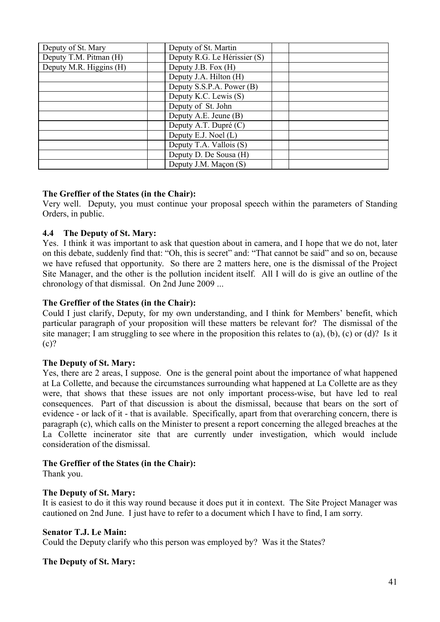| Deputy of St. Mary      | Deputy of St. Martin         |  |
|-------------------------|------------------------------|--|
| Deputy T.M. Pitman (H)  | Deputy R.G. Le Hérissier (S) |  |
| Deputy M.R. Higgins (H) | Deputy J.B. Fox (H)          |  |
|                         | Deputy J.A. Hilton (H)       |  |
|                         | Deputy S.S.P.A. Power (B)    |  |
|                         | Deputy K.C. Lewis (S)        |  |
|                         | Deputy of St. John           |  |
|                         | Deputy A.E. Jeune (B)        |  |
|                         | Deputy A.T. Dupré (C)        |  |
|                         | Deputy E.J. Noel (L)         |  |
|                         | Deputy T.A. Vallois (S)      |  |
|                         | Deputy D. De Sousa (H)       |  |
|                         | Deputy J.M. Maçon (S)        |  |

## **The Greffier of the States (in the Chair):**

Very well. Deputy, you must continue your proposal speech within the parameters of Standing Orders, in public.

### **4.4 The Deputy of St. Mary:**

Yes. I think it was important to ask that question about in camera, and I hope that we do not, later on this debate, suddenly find that: "Oh, this is secret" and: "That cannot be said" and so on, because we have refused that opportunity. So there are 2 matters here, one is the dismissal of the Project Site Manager, and the other is the pollution incident itself. All I will do is give an outline of the chronology of that dismissal. On 2nd June 2009 ...

### **The Greffier of the States (in the Chair):**

Could I just clarify, Deputy, for my own understanding, and I think for Members' benefit, which particular paragraph of your proposition will these matters be relevant for? The dismissal of the site manager; I am struggling to see where in the proposition this relates to (a), (b), (c) or (d)? Is it  $(c)?$ 

#### **The Deputy of St. Mary:**

Yes, there are 2 areas, I suppose. One is the general point about the importance of what happened at La Collette, and because the circumstances surrounding what happened at La Collette are as they were, that shows that these issues are not only important process-wise, but have led to real consequences. Part of that discussion is about the dismissal, because that bears on the sort of evidence - or lack of it - that is available. Specifically, apart from that overarching concern, there is paragraph (c), which calls on the Minister to present a report concerning the alleged breaches at the La Collette incinerator site that are currently under investigation, which would include consideration of the dismissal.

#### **The Greffier of the States (in the Chair):**

Thank you.

#### **The Deputy of St. Mary:**

It is easiest to do it this way round because it does put it in context. The Site Project Manager was cautioned on 2nd June. I just have to refer to a document which I have to find, I am sorry.

#### **Senator T.J. Le Main:**

Could the Deputy clarify who this person was employed by? Was it the States?

## **The Deputy of St. Mary:**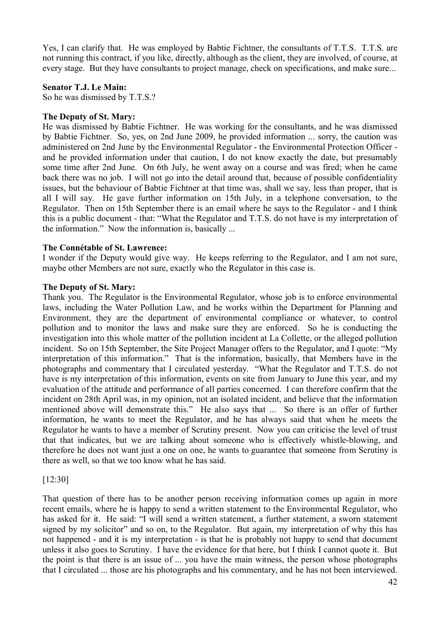Yes, I can clarify that. He was employed by Babtie Fichtner, the consultants of T.T.S. T.T.S. are not running this contract, if you like, directly, although as the client, they are involved, of course, at every stage. But they have consultants to project manage, check on specifications, and make sure...

#### **Senator T.J. Le Main:**

So he was dismissed by T.T.S.?

### **The Deputy of St. Mary:**

He was dismissed by Babtie Fichtner. He was working for the consultants, and he was dismissed by Babtie Fichtner. So, yes, on 2nd June 2009, he provided information ... sorry, the caution was administered on 2nd June by the Environmental Regulator - the Environmental Protection Officer and he provided information under that caution, I do not know exactly the date, but presumably some time after 2nd June. On 6th July, he went away on a course and was fired; when he came back there was no job. I will not go into the detail around that, because of possible confidentiality issues, but the behaviour of Babtie Fichtner at that time was, shall we say, less than proper, that is all I will say. He gave further information on 15th July, in a telephone conversation, to the Regulator. Then on 15th September there is an email where he says to the Regulator - and I think this is a public document - that: "What the Regulator and T.T.S. do not have is my interpretation of the information." Now the information is, basically ...

### **The Connétable of St. Lawrence:**

I wonder if the Deputy would give way. He keeps referring to the Regulator, and I am not sure, maybe other Members are not sure, exactly who the Regulator in this case is.

#### **The Deputy of St. Mary:**

Thank you. The Regulator is the Environmental Regulator, whose job is to enforce environmental laws, including the Water Pollution Law, and he works within the Department for Planning and Environment, they are the department of environmental compliance or whatever, to control pollution and to monitor the laws and make sure they are enforced. So he is conducting the investigation into this whole matter of the pollution incident at La Collette, or the alleged pollution incident. So on 15th September, the Site Project Manager offers to the Regulator, and I quote: "My interpretation of this information." That is the information, basically, that Members have in the photographs and commentary that I circulated yesterday. "What the Regulator and T.T.S. do not have is my interpretation of this information, events on site from January to June this year, and my evaluation of the attitude and performance of all parties concerned. I can therefore confirm that the incident on 28th April was, in my opinion, not an isolated incident, and believe that the information mentioned above will demonstrate this." He also says that ... So there is an offer of further information, he wants to meet the Regulator, and he has always said that when he meets the Regulator he wants to have a member of Scrutiny present. Now you can criticise the level of trust that that indicates, but we are talking about someone who is effectively whistle-blowing, and therefore he does not want just a one on one, he wants to guarantee that someone from Scrutiny is there as well, so that we too know what he has said.

## [12:30]

That question of there has to be another person receiving information comes up again in more recent emails, where he is happy to send a written statement to the Environmental Regulator, who has asked for it. He said: "I will send a written statement, a further statement, a sworn statement signed by my solicitor" and so on, to the Regulator. But again, my interpretation of why this has not happened - and it is my interpretation - is that he is probably not happy to send that document unless it also goes to Scrutiny. I have the evidence for that here, but I think I cannot quote it. But the point is that there is an issue of ... you have the main witness, the person whose photographs that I circulated ... those are his photographs and his commentary, and he has not been interviewed.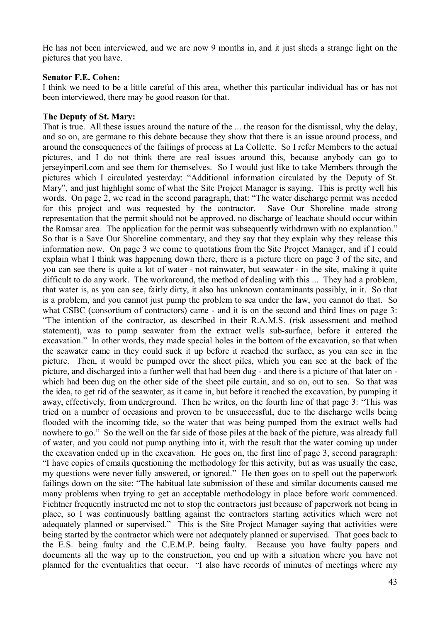He has not been interviewed, and we are now 9 months in, and it just sheds a strange light on the pictures that you have.

#### **Senator F.E. Cohen:**

I think we need to be a little careful of this area, whether this particular individual has or has not been interviewed, there may be good reason for that.

#### **The Deputy of St. Mary:**

That is true. All these issues around the nature of the ... the reason for the dismissal, why the delay, and so on, are germane to this debate because they show that there is an issue around process, and around the consequences of the failings of process at La Collette. So I refer Members to the actual pictures, and I do not think there are real issues around this, because anybody can go to jerseyinperil.com and see them for themselves. So I would just like to take Members through the pictures which I circulated yesterday: "Additional information circulated by the Deputy of St. Mary", and just highlight some of what the Site Project Manager is saying. This is pretty well his words. On page 2, we read in the second paragraph, that: "The water discharge permit was needed for this project and was requested by the contractor. Save Our Shoreline made strong representation that the permit should not be approved, no discharge of leachate should occur within the Ramsar area. The application for the permit was subsequently withdrawn with no explanation." So that is a Save Our Shoreline commentary, and they say that they explain why they release this information now. On page 3 we come to quotations from the Site Project Manager, and if I could explain what I think was happening down there, there is a picture there on page 3 of the site, and you can see there is quite a lot of water - not rainwater, but seawater - in the site, making it quite difficult to do any work. The workaround, the method of dealing with this ... They had a problem, that water is, as you can see, fairly dirty, it also has unknown contaminants possibly, in it. So that is a problem, and you cannot just pump the problem to sea under the law, you cannot do that. So what CSBC (consortium of contractors) came - and it is on the second and third lines on page 3: "The intention of the contractor, as described in their R.A.M.S. (risk assessment and method statement), was to pump seawater from the extract wells sub-surface, before it entered the excavation." In other words, they made special holes in the bottom of the excavation, so that when the seawater came in they could suck it up before it reached the surface, as you can see in the picture. Then, it would be pumped over the sheet piles, which you can see at the back of the picture, and discharged into a further well that had been dug - and there is a picture of that later on which had been dug on the other side of the sheet pile curtain, and so on, out to sea. So that was the idea, to get rid of the seawater, as it came in, but before it reached the excavation, by pumping it away, effectively, from underground. Then he writes, on the fourth line of that page 3: "This was tried on a number of occasions and proven to be unsuccessful, due to the discharge wells being flooded with the incoming tide, so the water that was being pumped from the extract wells had nowhere to go." So the well on the far side of those piles at the back of the picture, was already full of water, and you could not pump anything into it, with the result that the water coming up under the excavation ended up in the excavation. He goes on, the first line of page 3, second paragraph: "I have copies of emails questioning the methodology for this activity, but as was usually the case, my questions were never fully answered, or ignored." He then goes on to spell out the paperwork failings down on the site: "The habitual late submission of these and similar documents caused me many problems when trying to get an acceptable methodology in place before work commenced. Fichtner frequently instructed me not to stop the contractors just because of paperwork not being in place, so I was continuously battling against the contractors starting activities which were not adequately planned or supervised." This is the Site Project Manager saying that activities were being started by the contractor which were not adequately planned or supervised. That goes back to the E.S. being faulty and the C.E.M.P. being faulty. Because you have faulty papers and documents all the way up to the construction, you end up with a situation where you have not planned for the eventualities that occur. "I also have records of minutes of meetings where my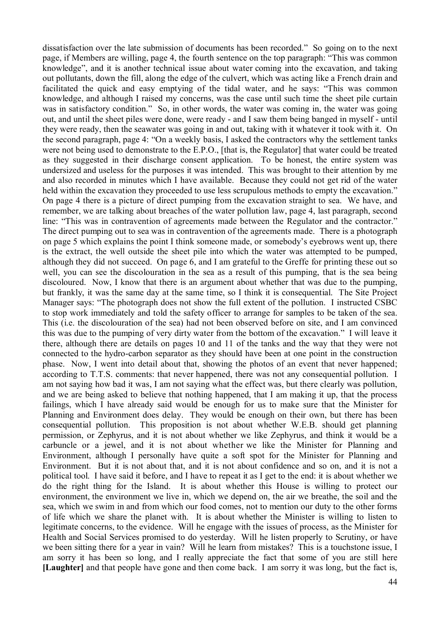dissatisfaction over the late submission of documents has been recorded." So going on to the next page, if Members are willing, page 4, the fourth sentence on the top paragraph: "This was common knowledge", and it is another technical issue about water coming into the excavation, and taking out pollutants, down the fill, along the edge of the culvert, which was acting like a French drain and facilitated the quick and easy emptying of the tidal water, and he says: "This was common knowledge, and although I raised my concerns, was the case until such time the sheet pile curtain was in satisfactory condition." So, in other words, the water was coming in, the water was going out, and until the sheet piles were done, were ready - and I saw them being banged in myself - until they were ready, then the seawater was going in and out, taking with it whatever it took with it. On the second paragraph, page 4: "On a weekly basis, I asked the contractors why the settlement tanks were not being used to demonstrate to the E.P.O., [that is, the Regulator] that water could be treated as they suggested in their discharge consent application. To be honest, the entire system was undersized and useless for the purposes it was intended. This was brought to their attention by me and also recorded in minutes which I have available. Because they could not get rid of the water held within the excavation they proceeded to use less scrupulous methods to empty the excavation." On page 4 there is a picture of direct pumping from the excavation straight to sea. We have, and remember, we are talking about breaches of the water pollution law, page 4, last paragraph, second line: "This was in contravention of agreements made between the Regulator and the contractor." The direct pumping out to sea was in contravention of the agreements made. There is a photograph on page 5 which explains the point I think someone made, or somebody's eyebrows went up, there is the extract, the well outside the sheet pile into which the water was attempted to be pumped, although they did not succeed. On page 6, and I am grateful to the Greffe for printing these out so well, you can see the discolouration in the sea as a result of this pumping, that is the sea being discoloured. Now, I know that there is an argument about whether that was due to the pumping, but frankly, it was the same day at the same time, so I think it is consequential. The Site Project Manager says: "The photograph does not show the full extent of the pollution. I instructed CSBC to stop work immediately and told the safety officer to arrange for samples to be taken of the sea. This (i.e. the discolouration of the sea) had not been observed before on site, and I am convinced this was due to the pumping of very dirty water from the bottom of the excavation." I will leave it there, although there are details on pages 10 and 11 of the tanks and the way that they were not connected to the hydro-carbon separator as they should have been at one point in the construction phase. Now, I went into detail about that, showing the photos of an event that never happened; according to T.T.S. comments: that never happened, there was not any consequential pollution. I am not saying how bad it was, I am not saying what the effect was, but there clearly was pollution, and we are being asked to believe that nothing happened, that I am making it up, that the process failings, which I have already said would be enough for us to make sure that the Minister for Planning and Environment does delay. They would be enough on their own, but there has been consequential pollution. This proposition is not about whether W.E.B. should get planning permission, or Zephyrus, and it is not about whether we like Zephyrus, and think it would be a carbuncle or a jewel, and it is not about whether we like the Minister for Planning and Environment, although I personally have quite a soft spot for the Minister for Planning and Environment. But it is not about that, and it is not about confidence and so on, and it is not a political tool. I have said it before, and I have to repeat it as I get to the end: it is about whether we do the right thing for the Island. It is about whether this House is willing to protect our environment, the environment we live in, which we depend on, the air we breathe, the soil and the sea, which we swim in and from which our food comes, not to mention our duty to the other forms of life which we share the planet with. It is about whether the Minister is willing to listen to legitimate concerns, to the evidence. Will he engage with the issues of process, as the Minister for Health and Social Services promised to do yesterday. Will he listen properly to Scrutiny, or have we been sitting there for a year in vain? Will he learn from mistakes? This is a touchstone issue, I am sorry it has been so long, and I really appreciate the fact that some of you are still here **[Laughter]** and that people have gone and then come back. I am sorry it was long, but the fact is,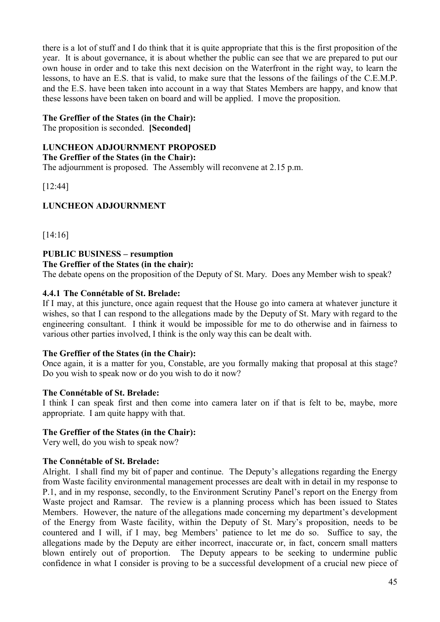there is a lot of stuff and I do think that it is quite appropriate that this is the first proposition of the year. It is about governance, it is about whether the public can see that we are prepared to put our own house in order and to take this next decision on the Waterfront in the right way, to learn the lessons, to have an E.S. that is valid, to make sure that the lessons of the failings of the C.E.M.P. and the E.S. have been taken into account in a way that States Members are happy, and know that these lessons have been taken on board and will be applied. I move the proposition.

### **The Greffier of the States (in the Chair):**

The proposition is seconded. **[Seconded]**

### **LUNCHEON ADJOURNMENT PROPOSED**

**The Greffier of the States (in the Chair):**

The adjournment is proposed. The Assembly will reconvene at 2.15 p.m.

[12:44]

# **LUNCHEON ADJOURNMENT**

[14:16]

#### **PUBLIC BUSINESS – resumption The Greffier of the States (in the chair):**

The debate opens on the proposition of the Deputy of St. Mary. Does any Member wish to speak?

### **4.4.1 The Connétable of St. Brelade:**

If I may, at this juncture, once again request that the House go into camera at whatever juncture it wishes, so that I can respond to the allegations made by the Deputy of St. Mary with regard to the engineering consultant. I think it would be impossible for me to do otherwise and in fairness to various other parties involved, I think is the only way this can be dealt with.

#### **The Greffier of the States (in the Chair):**

Once again, it is a matter for you, Constable, are you formally making that proposal at this stage? Do you wish to speak now or do you wish to do it now?

#### **The Connétable of St. Brelade:**

I think I can speak first and then come into camera later on if that is felt to be, maybe, more appropriate. I am quite happy with that.

#### **The Greffier of the States (in the Chair):**

Very well, do you wish to speak now?

## **The Connétable of St. Brelade:**

Alright. I shall find my bit of paper and continue. The Deputy's allegations regarding the Energy from Waste facility environmental management processes are dealt with in detail in my response to P.1, and in my response, secondly, to the Environment Scrutiny Panel's report on the Energy from Waste project and Ramsar. The review is a planning process which has been issued to States Members. However, the nature of the allegations made concerning my department's development of the Energy from Waste facility, within the Deputy of St. Mary's proposition, needs to be countered and I will, if I may, beg Members' patience to let me do so. Suffice to say, the allegations made by the Deputy are either incorrect, inaccurate or, in fact, concern small matters blown entirely out of proportion. The Deputy appears to be seeking to undermine public confidence in what I consider is proving to be a successful development of a crucial new piece of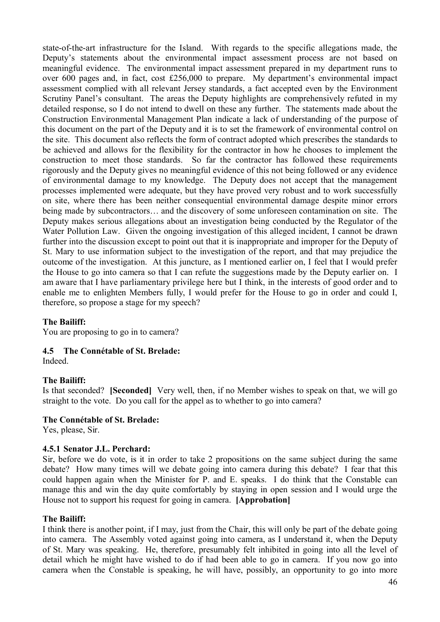state-of-the-art infrastructure for the Island. With regards to the specific allegations made, the Deputy's statements about the environmental impact assessment process are not based on meaningful evidence. The environmental impact assessment prepared in my department runs to over 600 pages and, in fact, cost £256,000 to prepare. My department's environmental impact assessment complied with all relevant Jersey standards, a fact accepted even by the Environment Scrutiny Panel's consultant. The areas the Deputy highlights are comprehensively refuted in my detailed response, so I do not intend to dwell on these any further. The statements made about the Construction Environmental Management Plan indicate a lack of understanding of the purpose of this document on the part of the Deputy and it is to set the framework of environmental control on the site. This document also reflects the form of contract adopted which prescribes the standards to be achieved and allows for the flexibility for the contractor in how he chooses to implement the construction to meet those standards. So far the contractor has followed these requirements rigorously and the Deputy gives no meaningful evidence of this not being followed or any evidence of environmental damage to my knowledge. The Deputy does not accept that the management processes implemented were adequate, but they have proved very robust and to work successfully on site, where there has been neither consequential environmental damage despite minor errors being made by subcontractors… and the discovery of some unforeseen contamination on site. The Deputy makes serious allegations about an investigation being conducted by the Regulator of the Water Pollution Law. Given the ongoing investigation of this alleged incident, I cannot be drawn further into the discussion except to point out that it is inappropriate and improper for the Deputy of St. Mary to use information subject to the investigation of the report, and that may prejudice the outcome of the investigation. At this juncture, as I mentioned earlier on, I feel that I would prefer the House to go into camera so that I can refute the suggestions made by the Deputy earlier on. I am aware that I have parliamentary privilege here but I think, in the interests of good order and to enable me to enlighten Members fully, I would prefer for the House to go in order and could I, therefore, so propose a stage for my speech?

## **The Bailiff:**

You are proposing to go in to camera?

## **4.5 The Connétable of St. Brelade:**

Indeed.

#### **The Bailiff:**

Is that seconded? **[Seconded]** Very well, then, if no Member wishes to speak on that, we will go straight to the vote. Do you call for the appel as to whether to go into camera?

#### **The Connétable of St. Brelade:**

Yes, please, Sir.

#### **4.5.1 Senator J.L. Perchard:**

Sir, before we do vote, is it in order to take 2 propositions on the same subject during the same debate? How many times will we debate going into camera during this debate? I fear that this could happen again when the Minister for P. and E. speaks. I do think that the Constable can manage this and win the day quite comfortably by staying in open session and I would urge the House not to support his request for going in camera. **[Approbation]**

#### **The Bailiff:**

I think there is another point, if I may, just from the Chair, this will only be part of the debate going into camera. The Assembly voted against going into camera, as I understand it, when the Deputy of St. Mary was speaking. He, therefore, presumably felt inhibited in going into all the level of detail which he might have wished to do if had been able to go in camera. If you now go into camera when the Constable is speaking, he will have, possibly, an opportunity to go into more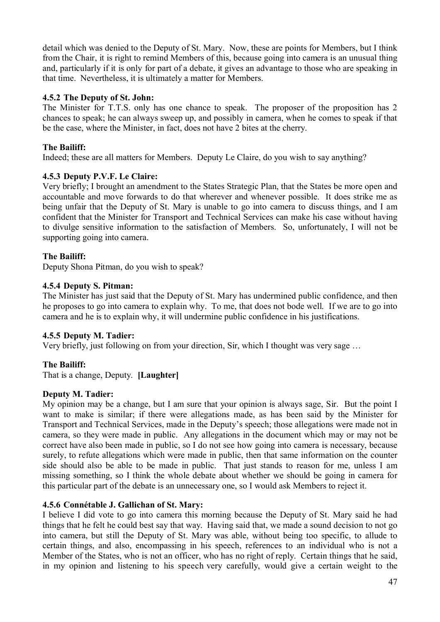detail which was denied to the Deputy of St. Mary. Now, these are points for Members, but I think from the Chair, it is right to remind Members of this, because going into camera is an unusual thing and, particularly if it is only for part of a debate, it gives an advantage to those who are speaking in that time. Nevertheless, it is ultimately a matter for Members.

# **4.5.2 The Deputy of St. John:**

The Minister for T.T.S. only has one chance to speak. The proposer of the proposition has 2 chances to speak; he can always sweep up, and possibly in camera, when he comes to speak if that be the case, where the Minister, in fact, does not have 2 bites at the cherry.

## **The Bailiff:**

Indeed; these are all matters for Members. Deputy Le Claire, do you wish to say anything?

# **4.5.3 Deputy P.V.F. Le Claire:**

Very briefly; I brought an amendment to the States Strategic Plan, that the States be more open and accountable and move forwards to do that wherever and whenever possible. It does strike me as being unfair that the Deputy of St. Mary is unable to go into camera to discuss things, and I am confident that the Minister for Transport and Technical Services can make his case without having to divulge sensitive information to the satisfaction of Members. So, unfortunately, I will not be supporting going into camera.

## **The Bailiff:**

Deputy Shona Pitman, do you wish to speak?

## **4.5.4 Deputy S. Pitman:**

The Minister has just said that the Deputy of St. Mary has undermined public confidence, and then he proposes to go into camera to explain why. To me, that does not bode well. If we are to go into camera and he is to explain why, it will undermine public confidence in his justifications.

## **4.5.5 Deputy M. Tadier:**

Very briefly, just following on from your direction, Sir, which I thought was very sage …

## **The Bailiff:**

That is a change, Deputy. **[Laughter]**

## **Deputy M. Tadier:**

My opinion may be a change, but I am sure that your opinion is always sage, Sir. But the point I want to make is similar; if there were allegations made, as has been said by the Minister for Transport and Technical Services, made in the Deputy's speech; those allegations were made not in camera, so they were made in public. Any allegations in the document which may or may not be correct have also been made in public, so I do not see how going into camera is necessary, because surely, to refute allegations which were made in public, then that same information on the counter side should also be able to be made in public. That just stands to reason for me, unless I am missing something, so I think the whole debate about whether we should be going in camera for this particular part of the debate is an unnecessary one, so I would ask Members to reject it.

## **4.5.6 Connétable J. Gallichan of St. Mary:**

I believe I did vote to go into camera this morning because the Deputy of St. Mary said he had things that he felt he could best say that way. Having said that, we made a sound decision to not go into camera, but still the Deputy of St. Mary was able, without being too specific, to allude to certain things, and also, encompassing in his speech, references to an individual who is not a Member of the States, who is not an officer, who has no right of reply. Certain things that he said, in my opinion and listening to his speech very carefully, would give a certain weight to the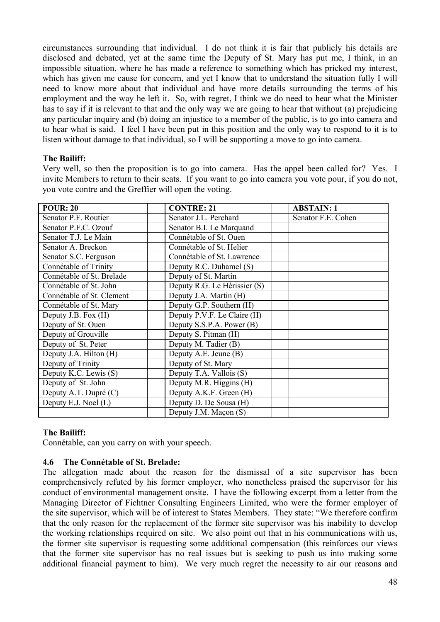circumstances surrounding that individual. I do not think it is fair that publicly his details are disclosed and debated, yet at the same time the Deputy of St. Mary has put me, I think, in an impossible situation, where he has made a reference to something which has pricked my interest, which has given me cause for concern, and yet I know that to understand the situation fully I will need to know more about that individual and have more details surrounding the terms of his employment and the way he left it. So, with regret, I think we do need to hear what the Minister has to say if it is relevant to that and the only way we are going to hear that without (a) prejudicing any particular inquiry and (b) doing an injustice to a member of the public, is to go into camera and to hear what is said. I feel I have been put in this position and the only way to respond to it is to listen without damage to that individual, so I will be supporting a move to go into camera.

## **The Bailiff:**

Very well, so then the proposition is to go into camera. Has the appel been called for? Yes. I invite Members to return to their seats. If you want to go into camera you vote pour, if you do not, you vote contre and the Greffier will open the voting.

| <b>POUR: 20</b>           | <b>CONTRE: 21</b>            | <b>ABSTAIN: 1</b>  |
|---------------------------|------------------------------|--------------------|
| Senator P.F. Routier      | Senator J.L. Perchard        | Senator F.E. Cohen |
| Senator P.F.C. Ozouf      | Senator B.I. Le Marquand     |                    |
| Senator T.J. Le Main      | Connétable of St. Ouen       |                    |
| Senator A. Breckon        | Connétable of St. Helier     |                    |
| Senator S.C. Ferguson     | Connétable of St. Lawrence   |                    |
| Connétable of Trinity     | Deputy R.C. Duhamel (S)      |                    |
| Connétable of St. Brelade | Deputy of St. Martin         |                    |
| Connétable of St. John    | Deputy R.G. Le Hérissier (S) |                    |
| Connétable of St. Clement | Deputy J.A. Martin (H)       |                    |
| Connétable of St. Mary    | Deputy G.P. Southern (H)     |                    |
| Deputy J.B. Fox (H)       | Deputy P.V.F. Le Claire (H)  |                    |
| Deputy of St. Ouen        | Deputy S.S.P.A. Power (B)    |                    |
| Deputy of Grouville       | Deputy S. Pitman (H)         |                    |
| Deputy of St. Peter       | Deputy M. Tadier (B)         |                    |
| Deputy J.A. Hilton (H)    | Deputy A.E. Jeune (B)        |                    |
| Deputy of Trinity         | Deputy of St. Mary           |                    |
| Deputy K.C. Lewis (S)     | Deputy T.A. Vallois (S)      |                    |
| Deputy of St. John        | Deputy M.R. Higgins (H)      |                    |
| Deputy A.T. Dupré (C)     | Deputy A.K.F. Green (H)      |                    |
| Deputy E.J. Noel (L)      | Deputy D. De Sousa (H)       |                    |
|                           | Deputy J.M. Maçon (S)        |                    |

## **The Bailiff:**

Connétable, can you carry on with your speech.

## **4.6 The Connétable of St. Brelade:**

The allegation made about the reason for the dismissal of a site supervisor has been comprehensively refuted by his former employer, who nonetheless praised the supervisor for his conduct of environmental management onsite. I have the following excerpt from a letter from the Managing Director of Fichtner Consulting Engineers Limited, who were the former employer of the site supervisor, which will be of interest to States Members. They state: "We therefore confirm that the only reason for the replacement of the former site supervisor was his inability to develop the working relationships required on site. We also point out that in his communications with us, the former site supervisor is requesting some additional compensation (this reinforces our views that the former site supervisor has no real issues but is seeking to push us into making some additional financial payment to him). We very much regret the necessity to air our reasons and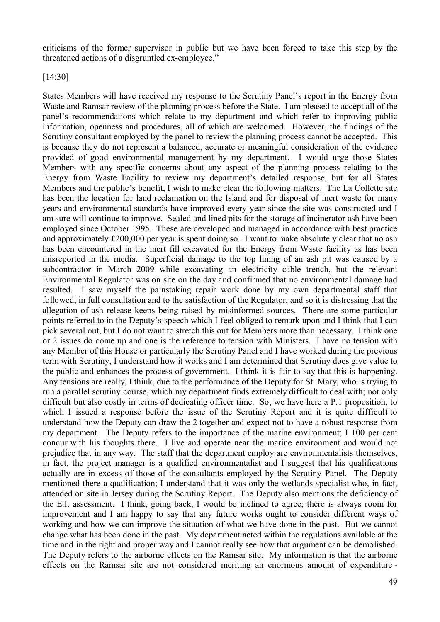criticisms of the former supervisor in public but we have been forced to take this step by the threatened actions of a disgruntled ex-employee."

[14:30]

States Members will have received my response to the Scrutiny Panel's report in the Energy from Waste and Ramsar review of the planning process before the State. I am pleased to accept all of the panel's recommendations which relate to my department and which refer to improving public information, openness and procedures, all of which are welcomed. However, the findings of the Scrutiny consultant employed by the panel to review the planning process cannot be accepted. This is because they do not represent a balanced, accurate or meaningful consideration of the evidence provided of good environmental management by my department. I would urge those States Members with any specific concerns about any aspect of the planning process relating to the Energy from Waste Facility to review my department's detailed response, but for all States Members and the public's benefit, I wish to make clear the following matters. The La Collette site has been the location for land reclamation on the Island and for disposal of inert waste for many years and environmental standards have improved every year since the site was constructed and I am sure will continue to improve. Sealed and lined pits for the storage of incinerator ash have been employed since October 1995. These are developed and managed in accordance with best practice and approximately £200,000 per year is spent doing so. I want to make absolutely clear that no ash has been encountered in the inert fill excavated for the Energy from Waste facility as has been misreported in the media. Superficial damage to the top lining of an ash pit was caused by a subcontractor in March 2009 while excavating an electricity cable trench, but the relevant Environmental Regulator was on site on the day and confirmed that no environmental damage had resulted. I saw myself the painstaking repair work done by my own departmental staff that followed, in full consultation and to the satisfaction of the Regulator, and so it is distressing that the allegation of ash release keeps being raised by misinformed sources. There are some particular points referred to in the Deputy's speech which I feel obliged to remark upon and I think that I can pick several out, but I do not want to stretch this out for Members more than necessary. I think one or 2 issues do come up and one is the reference to tension with Ministers. I have no tension with any Member of this House or particularly the Scrutiny Panel and I have worked during the previous term with Scrutiny, I understand how it works and I am determined that Scrutiny does give value to the public and enhances the process of government. I think it is fair to say that this is happening. Any tensions are really, I think, due to the performance of the Deputy for St. Mary, who is trying to run a parallel scrutiny course, which my department finds extremely difficult to deal with; not only difficult but also costly in terms of dedicating officer time. So, we have here a P.1 proposition, to which I issued a response before the issue of the Scrutiny Report and it is quite difficult to understand how the Deputy can draw the 2 together and expect not to have a robust response from my department. The Deputy refers to the importance of the marine environment; I 100 per cent concur with his thoughts there. I live and operate near the marine environment and would not prejudice that in any way. The staff that the department employ are environmentalists themselves, in fact, the project manager is a qualified environmentalist and I suggest that his qualifications actually are in excess of those of the consultants employed by the Scrutiny Panel. The Deputy mentioned there a qualification; I understand that it was only the wetlands specialist who, in fact, attended on site in Jersey during the Scrutiny Report. The Deputy also mentions the deficiency of the E.I. assessment. I think, going back, I would be inclined to agree; there is always room for improvement and I am happy to say that any future works ought to consider different ways of working and how we can improve the situation of what we have done in the past. But we cannot change what has been done in the past. My department acted within the regulations available at the time and in the right and proper way and I cannot really see how that argument can be demolished. The Deputy refers to the airborne effects on the Ramsar site. My information is that the airborne effects on the Ramsar site are not considered meriting an enormous amount of expenditure -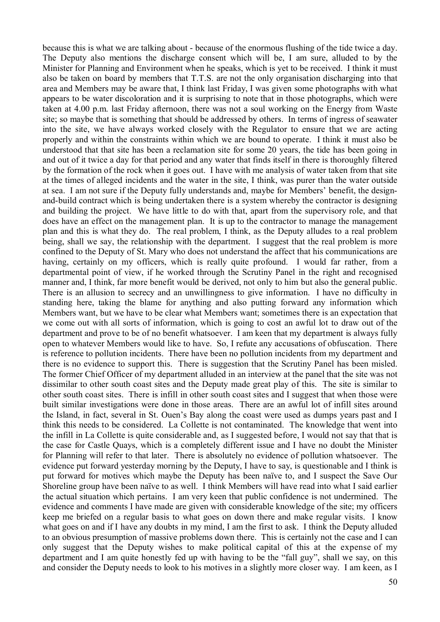because this is what we are talking about - because of the enormous flushing of the tide twice a day. The Deputy also mentions the discharge consent which will be, I am sure, alluded to by the Minister for Planning and Environment when he speaks, which is yet to be received. I think it must also be taken on board by members that T.T.S. are not the only organisation discharging into that area and Members may be aware that, I think last Friday, I was given some photographs with what appears to be water discoloration and it is surprising to note that in those photographs, which were taken at 4.00 p.m. last Friday afternoon, there was not a soul working on the Energy from Waste site; so maybe that is something that should be addressed by others. In terms of ingress of seawater into the site, we have always worked closely with the Regulator to ensure that we are acting properly and within the constraints within which we are bound to operate. I think it must also be understood that that site has been a reclamation site for some 20 years, the tide has been going in and out of it twice a day for that period and any water that finds itself in there is thoroughly filtered by the formation of the rock when it goes out. I have with me analysis of water taken from that site at the times of alleged incidents and the water in the site, I think, was purer than the water outside at sea. I am not sure if the Deputy fully understands and, maybe for Members' benefit, the designand-build contract which is being undertaken there is a system whereby the contractor is designing and building the project. We have little to do with that, apart from the supervisory role, and that does have an effect on the management plan. It is up to the contractor to manage the management plan and this is what they do. The real problem, I think, as the Deputy alludes to a real problem being, shall we say, the relationship with the department. I suggest that the real problem is more confined to the Deputy of St. Mary who does not understand the affect that his communications are having, certainly on my officers, which is really quite profound. I would far rather, from a departmental point of view, if he worked through the Scrutiny Panel in the right and recognised manner and, I think, far more benefit would be derived, not only to him but also the general public. There is an allusion to secrecy and an unwillingness to give information. I have no difficulty in standing here, taking the blame for anything and also putting forward any information which Members want, but we have to be clear what Members want; sometimes there is an expectation that we come out with all sorts of information, which is going to cost an awful lot to draw out of the department and prove to be of no benefit whatsoever. I am keen that my department is always fully open to whatever Members would like to have. So, I refute any accusations of obfuscation. There is reference to pollution incidents. There have been no pollution incidents from my department and there is no evidence to support this. There is suggestion that the Scrutiny Panel has been misled. The former Chief Officer of my department alluded in an interview at the panel that the site was not dissimilar to other south coast sites and the Deputy made great play of this. The site is similar to other south coast sites. There is infill in other south coast sites and I suggest that when those were built similar investigations were done in those areas. There are an awful lot of infill sites around the Island, in fact, several in St. Ouen's Bay along the coast were used as dumps years past and I think this needs to be considered. La Collette is not contaminated. The knowledge that went into the infill in La Collette is quite considerable and, as I suggested before, I would not say that that is the case for Castle Quays, which is a completely different issue and I have no doubt the Minister for Planning will refer to that later. There is absolutely no evidence of pollution whatsoever. The evidence put forward yesterday morning by the Deputy, I have to say, is questionable and I think is put forward for motives which maybe the Deputy has been naïve to, and I suspect the Save Our Shoreline group have been naïve to as well. I think Members will have read into what I said earlier the actual situation which pertains. I am very keen that public confidence is not undermined. The evidence and comments I have made are given with considerable knowledge of the site; my officers keep me briefed on a regular basis to what goes on down there and make regular visits. I know what goes on and if I have any doubts in my mind, I am the first to ask. I think the Deputy alluded to an obvious presumption of massive problems down there. This is certainly not the case and I can only suggest that the Deputy wishes to make political capital of this at the expense of my department and I am quite honestly fed up with having to be the "fall guy", shall we say, on this and consider the Deputy needs to look to his motives in a slightly more closer way. I am keen, as I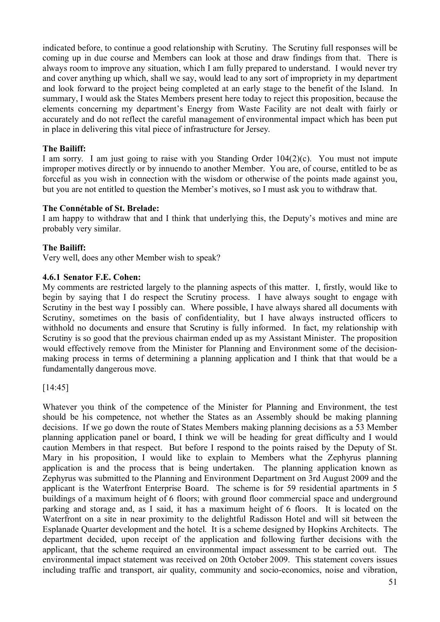indicated before, to continue a good relationship with Scrutiny. The Scrutiny full responses will be coming up in due course and Members can look at those and draw findings from that. There is always room to improve any situation, which I am fully prepared to understand. I would never try and cover anything up which, shall we say, would lead to any sort of impropriety in my department and look forward to the project being completed at an early stage to the benefit of the Island. In summary, I would ask the States Members present here today to reject this proposition, because the elements concerning my department's Energy from Waste Facility are not dealt with fairly or accurately and do not reflect the careful management of environmental impact which has been put in place in delivering this vital piece of infrastructure for Jersey.

## **The Bailiff:**

I am sorry. I am just going to raise with you Standing Order 104(2)(c). You must not impute improper motives directly or by innuendo to another Member. You are, of course, entitled to be as forceful as you wish in connection with the wisdom or otherwise of the points made against you, but you are not entitled to question the Member's motives, so I must ask you to withdraw that.

## **The Connétable of St. Brelade:**

I am happy to withdraw that and I think that underlying this, the Deputy's motives and mine are probably very similar.

# **The Bailiff:**

Very well, does any other Member wish to speak?

## **4.6.1 Senator F.E. Cohen:**

My comments are restricted largely to the planning aspects of this matter. I, firstly, would like to begin by saying that I do respect the Scrutiny process. I have always sought to engage with Scrutiny in the best way I possibly can. Where possible, I have always shared all documents with Scrutiny, sometimes on the basis of confidentiality, but I have always instructed officers to withhold no documents and ensure that Scrutiny is fully informed. In fact, my relationship with Scrutiny is so good that the previous chairman ended up as my Assistant Minister. The proposition would effectively remove from the Minister for Planning and Environment some of the decisionmaking process in terms of determining a planning application and I think that that would be a fundamentally dangerous move.

[14:45]

Whatever you think of the competence of the Minister for Planning and Environment, the test should be his competence, not whether the States as an Assembly should be making planning decisions. If we go down the route of States Members making planning decisions as a 53 Member planning application panel or board, I think we will be heading for great difficulty and I would caution Members in that respect. But before I respond to the points raised by the Deputy of St. Mary in his proposition, I would like to explain to Members what the Zephyrus planning application is and the process that is being undertaken. The planning application known as Zephyrus was submitted to the Planning and Environment Department on 3rd August 2009 and the applicant is the Waterfront Enterprise Board. The scheme is for 59 residential apartments in 5 buildings of a maximum height of 6 floors; with ground floor commercial space and underground parking and storage and, as I said, it has a maximum height of 6 floors. It is located on the Waterfront on a site in near proximity to the delightful Radisson Hotel and will sit between the Esplanade Quarter development and the hotel. It is a scheme designed by Hopkins Architects. The department decided, upon receipt of the application and following further decisions with the applicant, that the scheme required an environmental impact assessment to be carried out. The environmental impact statement was received on 20th October 2009. This statement covers issues including traffic and transport, air quality, community and socio-economics, noise and vibration,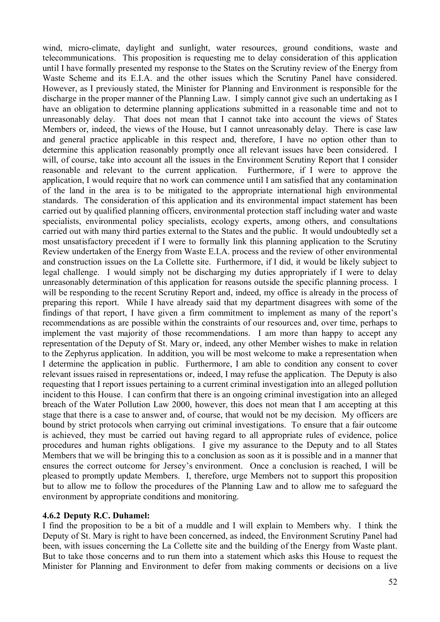wind, micro-climate, daylight and sunlight, water resources, ground conditions, waste and telecommunications. This proposition is requesting me to delay consideration of this application until I have formally presented my response to the States on the Scrutiny review of the Energy from Waste Scheme and its E.I.A. and the other issues which the Scrutiny Panel have considered. However, as I previously stated, the Minister for Planning and Environment is responsible for the discharge in the proper manner of the Planning Law. I simply cannot give such an undertaking as I have an obligation to determine planning applications submitted in a reasonable time and not to unreasonably delay. That does not mean that I cannot take into account the views of States Members or, indeed, the views of the House, but I cannot unreasonably delay. There is case law and general practice applicable in this respect and, therefore, I have no option other than to determine this application reasonably promptly once all relevant issues have been considered. I will, of course, take into account all the issues in the Environment Scrutiny Report that I consider reasonable and relevant to the current application. Furthermore, if I were to approve the application, I would require that no work can commence until I am satisfied that any contamination of the land in the area is to be mitigated to the appropriate international high environmental standards. The consideration of this application and its environmental impact statement has been carried out by qualified planning officers, environmental protection staff including water and waste specialists, environmental policy specialists, ecology experts, among others, and consultations carried out with many third parties external to the States and the public. It would undoubtedly set a most unsatisfactory precedent if I were to formally link this planning application to the Scrutiny Review undertaken of the Energy from Waste E.I.A. process and the review of other environmental and construction issues on the La Collette site. Furthermore, if I did, it would be likely subject to legal challenge. I would simply not be discharging my duties appropriately if I were to delay unreasonably determination of this application for reasons outside the specific planning process. I will be responding to the recent Scrutiny Report and, indeed, my office is already in the process of preparing this report. While I have already said that my department disagrees with some of the findings of that report, I have given a firm commitment to implement as many of the report's recommendations as are possible within the constraints of our resources and, over time, perhaps to implement the vast majority of those recommendations. I am more than happy to accept any representation of the Deputy of St. Mary or, indeed, any other Member wishes to make in relation to the Zephyrus application. In addition, you will be most welcome to make a representation when I determine the application in public. Furthermore, I am able to condition any consent to cover relevant issues raised in representations or, indeed, I may refuse the application. The Deputy is also requesting that I report issues pertaining to a current criminal investigation into an alleged pollution incident to this House. I can confirm that there is an ongoing criminal investigation into an alleged breach of the Water Pollution Law 2000, however, this does not mean that I am accepting at this stage that there is a case to answer and, of course, that would not be my decision. My officers are bound by strict protocols when carrying out criminal investigations. To ensure that a fair outcome is achieved, they must be carried out having regard to all appropriate rules of evidence, police procedures and human rights obligations. I give my assurance to the Deputy and to all States Members that we will be bringing this to a conclusion as soon as it is possible and in a manner that ensures the correct outcome for Jersey's environment. Once a conclusion is reached, I will be pleased to promptly update Members. I, therefore, urge Members not to support this proposition but to allow me to follow the procedures of the Planning Law and to allow me to safeguard the environment by appropriate conditions and monitoring.

#### **4.6.2 Deputy R.C. Duhamel:**

I find the proposition to be a bit of a muddle and I will explain to Members why. I think the Deputy of St. Mary is right to have been concerned, as indeed, the Environment Scrutiny Panel had been, with issues concerning the La Collette site and the building of the Energy from Waste plant. But to take those concerns and to run them into a statement which asks this House to request the Minister for Planning and Environment to defer from making comments or decisions on a live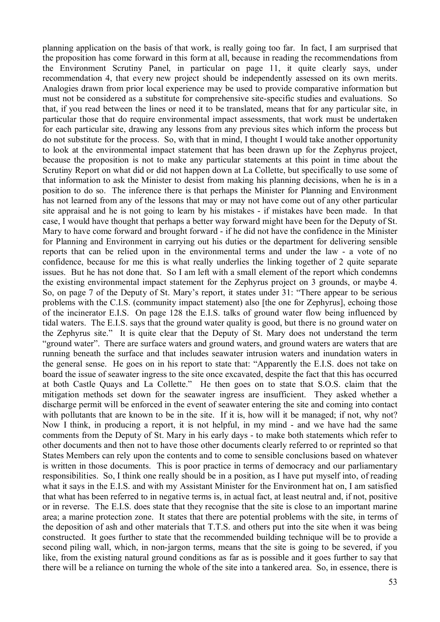planning application on the basis of that work, is really going too far. In fact, I am surprised that the proposition has come forward in this form at all, because in reading the recommendations from the Environment Scrutiny Panel, in particular on page 11, it quite clearly says, under recommendation 4, that every new project should be independently assessed on its own merits. Analogies drawn from prior local experience may be used to provide comparative information but must not be considered as a substitute for comprehensive site-specific studies and evaluations. So that, if you read between the lines or need it to be translated, means that for any particular site, in particular those that do require environmental impact assessments, that work must be undertaken for each particular site, drawing any lessons from any previous sites which inform the process but do not substitute for the process. So, with that in mind, I thought I would take another opportunity to look at the environmental impact statement that has been drawn up for the Zephyrus project, because the proposition is not to make any particular statements at this point in time about the Scrutiny Report on what did or did not happen down at La Collette, but specifically to use some of that information to ask the Minister to desist from making his planning decisions, when he is in a position to do so. The inference there is that perhaps the Minister for Planning and Environment has not learned from any of the lessons that may or may not have come out of any other particular site appraisal and he is not going to learn by his mistakes - if mistakes have been made. In that case, I would have thought that perhaps a better way forward might have been for the Deputy of St. Mary to have come forward and brought forward - if he did not have the confidence in the Minister for Planning and Environment in carrying out his duties or the department for delivering sensible reports that can be relied upon in the environmental terms and under the law - a vote of no confidence, because for me this is what really underlies the linking together of 2 quite separate issues. But he has not done that. So I am left with a small element of the report which condemns the existing environmental impact statement for the Zephyrus project on 3 grounds, or maybe 4. So, on page 7 of the Deputy of St. Mary's report, it states under 31: "There appear to be serious problems with the C.I.S. (community impact statement) also [the one for Zephyrus], echoing those of the incinerator E.I.S. On page 128 the E.I.S. talks of ground water flow being influenced by tidal waters. The E.I.S. says that the ground water quality is good, but there is no ground water on the Zephyrus site." It is quite clear that the Deputy of St. Mary does not understand the term "ground water". There are surface waters and ground waters, and ground waters are waters that are running beneath the surface and that includes seawater intrusion waters and inundation waters in the general sense. He goes on in his report to state that: "Apparently the E.I.S. does not take on board the issue of seawater ingress to the site once excavated, despite the fact that this has occurred at both Castle Quays and La Collette." He then goes on to state that S.O.S. claim that the mitigation methods set down for the seawater ingress are insufficient. They asked whether a discharge permit will be enforced in the event of seawater entering the site and coming into contact with pollutants that are known to be in the site. If it is, how will it be managed; if not, why not? Now I think, in producing a report, it is not helpful, in my mind - and we have had the same comments from the Deputy of St. Mary in his early days - to make both statements which refer to other documents and then not to have those other documents clearly referred to or reprinted so that States Members can rely upon the contents and to come to sensible conclusions based on whatever is written in those documents. This is poor practice in terms of democracy and our parliamentary responsibilities. So, I think one really should be in a position, as I have put myself into, of reading what it says in the E.I.S. and with my Assistant Minister for the Environment hat on, I am satisfied that what has been referred to in negative terms is, in actual fact, at least neutral and, if not, positive or in reverse. The E.I.S. does state that they recognise that the site is close to an important marine area; a marine protection zone. It states that there are potential problems with the site, in terms of the deposition of ash and other materials that T.T.S. and others put into the site when it was being constructed. It goes further to state that the recommended building technique will be to provide a second piling wall, which, in non-jargon terms, means that the site is going to be severed, if you like, from the existing natural ground conditions as far as is possible and it goes further to say that there will be a reliance on turning the whole of the site into a tankered area. So, in essence, there is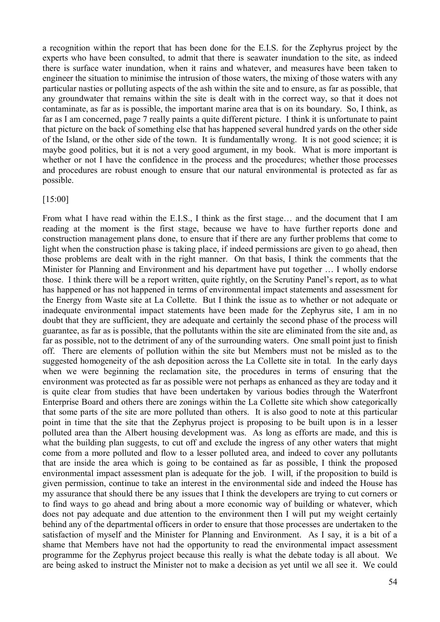a recognition within the report that has been done for the E.I.S. for the Zephyrus project by the experts who have been consulted, to admit that there is seawater inundation to the site, as indeed there is surface water inundation, when it rains and whatever, and measures have been taken to engineer the situation to minimise the intrusion of those waters, the mixing of those waters with any particular nasties or polluting aspects of the ash within the site and to ensure, as far as possible, that any groundwater that remains within the site is dealt with in the correct way, so that it does not contaminate, as far as is possible, the important marine area that is on its boundary. So, I think, as far as I am concerned, page 7 really paints a quite different picture. I think it is unfortunate to paint that picture on the back of something else that has happened several hundred yards on the other side of the Island, or the other side of the town. It is fundamentally wrong. It is not good science; it is maybe good politics, but it is not a very good argument, in my book. What is more important is whether or not I have the confidence in the process and the procedures; whether those processes and procedures are robust enough to ensure that our natural environmental is protected as far as possible.

#### [15:00]

From what I have read within the E.I.S., I think as the first stage… and the document that I am reading at the moment is the first stage, because we have to have further reports done and construction management plans done, to ensure that if there are any further problems that come to light when the construction phase is taking place, if indeed permissions are given to go ahead, then those problems are dealt with in the right manner. On that basis, I think the comments that the Minister for Planning and Environment and his department have put together … I wholly endorse those. I think there will be a report written, quite rightly, on the Scrutiny Panel's report, as to what has happened or has not happened in terms of environmental impact statements and assessment for the Energy from Waste site at La Collette. But I think the issue as to whether or not adequate or inadequate environmental impact statements have been made for the Zephyrus site, I am in no doubt that they are sufficient, they are adequate and certainly the second phase of the process will guarantee, as far as is possible, that the pollutants within the site are eliminated from the site and, as far as possible, not to the detriment of any of the surrounding waters. One small point just to finish off. There are elements of pollution within the site but Members must not be misled as to the suggested homogeneity of the ash deposition across the La Collette site in total. In the early days when we were beginning the reclamation site, the procedures in terms of ensuring that the environment was protected as far as possible were not perhaps as enhanced as they are today and it is quite clear from studies that have been undertaken by various bodies through the Waterfront Enterprise Board and others there are zonings within the La Collette site which show categorically that some parts of the site are more polluted than others. It is also good to note at this particular point in time that the site that the Zephyrus project is proposing to be built upon is in a lesser polluted area than the Albert housing development was. As long as efforts are made, and this is what the building plan suggests, to cut off and exclude the ingress of any other waters that might come from a more polluted and flow to a lesser polluted area, and indeed to cover any pollutants that are inside the area which is going to be contained as far as possible, I think the proposed environmental impact assessment plan is adequate for the job. I will, if the proposition to build is given permission, continue to take an interest in the environmental side and indeed the House has my assurance that should there be any issues that I think the developers are trying to cut corners or to find ways to go ahead and bring about a more economic way of building or whatever, which does not pay adequate and due attention to the environment then I will put my weight certainly behind any of the departmental officers in order to ensure that those processes are undertaken to the satisfaction of myself and the Minister for Planning and Environment. As I say, it is a bit of a shame that Members have not had the opportunity to read the environmental impact assessment programme for the Zephyrus project because this really is what the debate today is all about. We are being asked to instruct the Minister not to make a decision as yet until we all see it. We could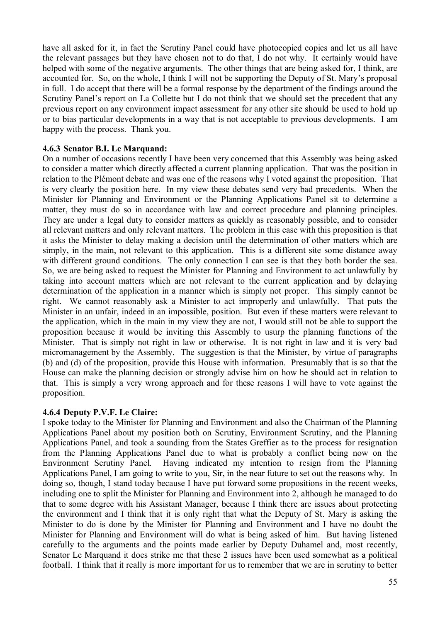have all asked for it, in fact the Scrutiny Panel could have photocopied copies and let us all have the relevant passages but they have chosen not to do that, I do not why. It certainly would have helped with some of the negative arguments. The other things that are being asked for, I think, are accounted for. So, on the whole, I think I will not be supporting the Deputy of St. Mary's proposal in full. I do accept that there will be a formal response by the department of the findings around the Scrutiny Panel's report on La Collette but I do not think that we should set the precedent that any previous report on any environment impact assessment for any other site should be used to hold up or to bias particular developments in a way that is not acceptable to previous developments. I am happy with the process. Thank you.

#### **4.6.3 Senator B.I. Le Marquand:**

On a number of occasions recently I have been very concerned that this Assembly was being asked to consider a matter which directly affected a current planning application. That was the position in relation to the Plémont debate and was one of the reasons why I voted against the proposition. That is very clearly the position here. In my view these debates send very bad precedents. When the Minister for Planning and Environment or the Planning Applications Panel sit to determine a matter, they must do so in accordance with law and correct procedure and planning principles. They are under a legal duty to consider matters as quickly as reasonably possible, and to consider all relevant matters and only relevant matters. The problem in this case with this proposition is that it asks the Minister to delay making a decision until the determination of other matters which are simply, in the main, not relevant to this application. This is a different site some distance away with different ground conditions. The only connection I can see is that they both border the sea. So, we are being asked to request the Minister for Planning and Environment to act unlawfully by taking into account matters which are not relevant to the current application and by delaying determination of the application in a manner which is simply not proper. This simply cannot be right. We cannot reasonably ask a Minister to act improperly and unlawfully. That puts the Minister in an unfair, indeed in an impossible, position. But even if these matters were relevant to the application, which in the main in my view they are not, I would still not be able to support the proposition because it would be inviting this Assembly to usurp the planning functions of the Minister. That is simply not right in law or otherwise. It is not right in law and it is very bad micromanagement by the Assembly. The suggestion is that the Minister, by virtue of paragraphs (b) and (d) of the proposition, provide this House with information. Presumably that is so that the House can make the planning decision or strongly advise him on how he should act in relation to that. This is simply a very wrong approach and for these reasons I will have to vote against the proposition.

#### **4.6.4 Deputy P.V.F. Le Claire:**

I spoke today to the Minister for Planning and Environment and also the Chairman of the Planning Applications Panel about my position both on Scrutiny, Environment Scrutiny, and the Planning Applications Panel, and took a sounding from the States Greffier as to the process for resignation from the Planning Applications Panel due to what is probably a conflict being now on the Environment Scrutiny Panel. Having indicated my intention to resign from the Planning Applications Panel, I am going to write to you, Sir, in the near future to set out the reasons why. In doing so, though, I stand today because I have put forward some propositions in the recent weeks, including one to split the Minister for Planning and Environment into 2, although he managed to do that to some degree with his Assistant Manager, because I think there are issues about protecting the environment and I think that it is only right that what the Deputy of St. Mary is asking the Minister to do is done by the Minister for Planning and Environment and I have no doubt the Minister for Planning and Environment will do what is being asked of him. But having listened carefully to the arguments and the points made earlier by Deputy Duhamel and, most recently, Senator Le Marquand it does strike me that these 2 issues have been used somewhat as a political football. I think that it really is more important for us to remember that we are in scrutiny to better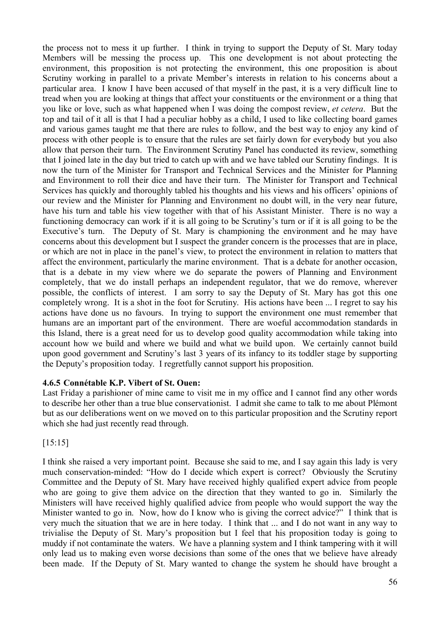the process not to mess it up further. I think in trying to support the Deputy of St. Mary today Members will be messing the process up. This one development is not about protecting the environment, this proposition is not protecting the environment, this one proposition is about Scrutiny working in parallel to a private Member's interests in relation to his concerns about a particular area. I know I have been accused of that myself in the past, it is a very difficult line to tread when you are looking at things that affect your constituents or the environment or a thing that you like or love, such as what happened when I was doing the compost review, *et cetera*. But the top and tail of it all is that I had a peculiar hobby as a child, I used to like collecting board games and various games taught me that there are rules to follow, and the best way to enjoy any kind of process with other people is to ensure that the rules are set fairly down for everybody but you also allow that person their turn. The Environment Scrutiny Panel has conducted its review, something that I joined late in the day but tried to catch up with and we have tabled our Scrutiny findings. It is now the turn of the Minister for Transport and Technical Services and the Minister for Planning and Environment to roll their dice and have their turn. The Minister for Transport and Technical Services has quickly and thoroughly tabled his thoughts and his views and his officers' opinions of our review and the Minister for Planning and Environment no doubt will, in the very near future, have his turn and table his view together with that of his Assistant Minister. There is no way a functioning democracy can work if it is all going to be Scrutiny's turn or if it is all going to be the Executive's turn. The Deputy of St. Mary is championing the environment and he may have concerns about this development but I suspect the grander concern is the processes that are in place, or which are not in place in the panel's view, to protect the environment in relation to matters that affect the environment, particularly the marine environment. That is a debate for another occasion, that is a debate in my view where we do separate the powers of Planning and Environment completely, that we do install perhaps an independent regulator, that we do remove, wherever possible, the conflicts of interest. I am sorry to say the Deputy of St. Mary has got this one completely wrong. It is a shot in the foot for Scrutiny. His actions have been ... I regret to say his actions have done us no favours. In trying to support the environment one must remember that humans are an important part of the environment. There are woeful accommodation standards in this Island, there is a great need for us to develop good quality accommodation while taking into account how we build and where we build and what we build upon. We certainly cannot build upon good government and Scrutiny's last 3 years of its infancy to its toddler stage by supporting the Deputy's proposition today. I regretfully cannot support his proposition.

## **4.6.5 Connétable K.P. Vibert of St. Ouen:**

Last Friday a parishioner of mine came to visit me in my office and I cannot find any other words to describe her other than a true blue conservationist. I admit she came to talk to me about Plémont but as our deliberations went on we moved on to this particular proposition and the Scrutiny report which she had just recently read through.

[15:15]

I think she raised a very important point. Because she said to me, and I say again this lady is very much conservation-minded: "How do I decide which expert is correct? Obviously the Scrutiny Committee and the Deputy of St. Mary have received highly qualified expert advice from people who are going to give them advice on the direction that they wanted to go in. Similarly the Ministers will have received highly qualified advice from people who would support the way the Minister wanted to go in. Now, how do I know who is giving the correct advice?" I think that is very much the situation that we are in here today. I think that ... and I do not want in any way to trivialise the Deputy of St. Mary's proposition but I feel that his proposition today is going to muddy if not contaminate the waters. We have a planning system and I think tampering with it will only lead us to making even worse decisions than some of the ones that we believe have already been made. If the Deputy of St. Mary wanted to change the system he should have brought a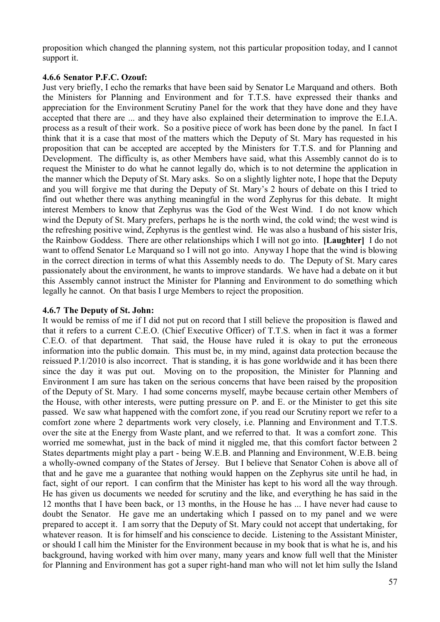proposition which changed the planning system, not this particular proposition today, and I cannot support it.

#### **4.6.6 Senator P.F.C. Ozouf:**

Just very briefly, I echo the remarks that have been said by Senator Le Marquand and others. Both the Ministers for Planning and Environment and for T.T.S. have expressed their thanks and appreciation for the Environment Scrutiny Panel for the work that they have done and they have accepted that there are ... and they have also explained their determination to improve the E.I.A. process as a result of their work. So a positive piece of work has been done by the panel. In fact I think that it is a case that most of the matters which the Deputy of St. Mary has requested in his proposition that can be accepted are accepted by the Ministers for T.T.S. and for Planning and Development. The difficulty is, as other Members have said, what this Assembly cannot do is to request the Minister to do what he cannot legally do, which is to not determine the application in the manner which the Deputy of St. Mary asks. So on a slightly lighter note, I hope that the Deputy and you will forgive me that during the Deputy of St. Mary's 2 hours of debate on this I tried to find out whether there was anything meaningful in the word Zephyrus for this debate. It might interest Members to know that Zephyrus was the God of the West Wind. I do not know which wind the Deputy of St. Mary prefers, perhaps he is the north wind, the cold wind; the west wind is the refreshing positive wind, Zephyrus is the gentlest wind. He was also a husband of his sister Iris, the Rainbow Goddess. There are other relationships which I will not go into. **[Laughter]** I do not want to offend Senator Le Marquand so I will not go into. Anyway I hope that the wind is blowing in the correct direction in terms of what this Assembly needs to do. The Deputy of St. Mary cares passionately about the environment, he wants to improve standards. We have had a debate on it but this Assembly cannot instruct the Minister for Planning and Environment to do something which legally he cannot. On that basis I urge Members to reject the proposition.

#### **4.6.7 The Deputy of St. John:**

It would be remiss of me if I did not put on record that I still believe the proposition is flawed and that it refers to a current C.E.O. (Chief Executive Officer) of T.T.S. when in fact it was a former C.E.O. of that department. That said, the House have ruled it is okay to put the erroneous information into the public domain. This must be, in my mind, against data protection because the reissued P.1/2010 is also incorrect. That is standing, it is has gone worldwide and it has been there since the day it was put out. Moving on to the proposition, the Minister for Planning and Environment I am sure has taken on the serious concerns that have been raised by the proposition of the Deputy of St. Mary. I had some concerns myself, maybe because certain other Members of the House, with other interests, were putting pressure on P. and E. or the Minister to get this site passed. We saw what happened with the comfort zone, if you read our Scrutiny report we refer to a comfort zone where 2 departments work very closely, i.e. Planning and Environment and T.T.S. over the site at the Energy from Waste plant, and we referred to that. It was a comfort zone. This worried me somewhat, just in the back of mind it niggled me, that this comfort factor between 2 States departments might play a part - being W.E.B. and Planning and Environment, W.E.B. being a wholly-owned company of the States of Jersey. But I believe that Senator Cohen is above all of that and he gave me a guarantee that nothing would happen on the Zephyrus site until he had, in fact, sight of our report. I can confirm that the Minister has kept to his word all the way through. He has given us documents we needed for scrutiny and the like, and everything he has said in the 12 months that I have been back, or 13 months, in the House he has ... I have never had cause to doubt the Senator. He gave me an undertaking which I passed on to my panel and we were prepared to accept it. I am sorry that the Deputy of St. Mary could not accept that undertaking, for whatever reason. It is for himself and his conscience to decide. Listening to the Assistant Minister, or should I call him the Minister for the Environment because in my book that is what he is, and his background, having worked with him over many, many years and know full well that the Minister for Planning and Environment has got a super right-hand man who will not let him sully the Island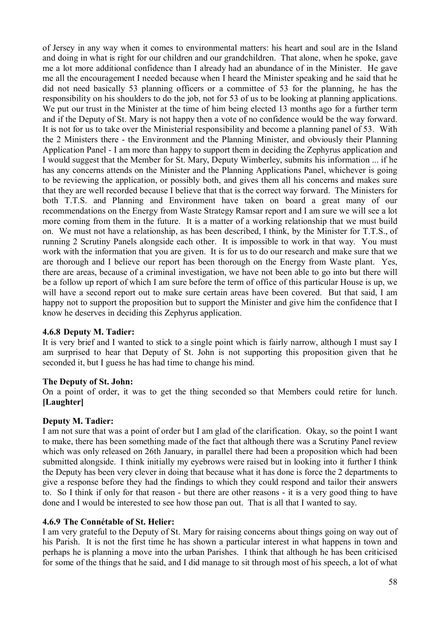of Jersey in any way when it comes to environmental matters: his heart and soul are in the Island and doing in what is right for our children and our grandchildren. That alone, when he spoke, gave me a lot more additional confidence than I already had an abundance of in the Minister. He gave me all the encouragement I needed because when I heard the Minister speaking and he said that he did not need basically 53 planning officers or a committee of 53 for the planning, he has the responsibility on his shoulders to do the job, not for 53 of us to be looking at planning applications. We put our trust in the Minister at the time of him being elected 13 months ago for a further term and if the Deputy of St. Mary is not happy then a vote of no confidence would be the way forward. It is not for us to take over the Ministerial responsibility and become a planning panel of 53. With the 2 Ministers there - the Environment and the Planning Minister, and obviously their Planning Application Panel - I am more than happy to support them in deciding the Zephyrus application and I would suggest that the Member for St. Mary, Deputy Wimberley, submits his information ... if he has any concerns attends on the Minister and the Planning Applications Panel, whichever is going to be reviewing the application, or possibly both, and gives them all his concerns and makes sure that they are well recorded because I believe that that is the correct way forward. The Ministers for both T.T.S. and Planning and Environment have taken on board a great many of our recommendations on the Energy from Waste Strategy Ramsar report and I am sure we will see a lot more coming from them in the future. It is a matter of a working relationship that we must build on. We must not have a relationship, as has been described, I think, by the Minister for T.T.S., of running 2 Scrutiny Panels alongside each other. It is impossible to work in that way. You must work with the information that you are given. It is for us to do our research and make sure that we are thorough and I believe our report has been thorough on the Energy from Waste plant. Yes, there are areas, because of a criminal investigation, we have not been able to go into but there will be a follow up report of which I am sure before the term of office of this particular House is up, we will have a second report out to make sure certain areas have been covered. But that said, I am happy not to support the proposition but to support the Minister and give him the confidence that I know he deserves in deciding this Zephyrus application.

## **4.6.8 Deputy M. Tadier:**

It is very brief and I wanted to stick to a single point which is fairly narrow, although I must say I am surprised to hear that Deputy of St. John is not supporting this proposition given that he seconded it, but I guess he has had time to change his mind.

## **The Deputy of St. John:**

On a point of order, it was to get the thing seconded so that Members could retire for lunch. **[Laughter]**

## **Deputy M. Tadier:**

I am not sure that was a point of order but I am glad of the clarification. Okay, so the point I want to make, there has been something made of the fact that although there was a Scrutiny Panel review which was only released on 26th January, in parallel there had been a proposition which had been submitted alongside. I think initially my eyebrows were raised but in looking into it further I think the Deputy has been very clever in doing that because what it has done is force the 2 departments to give a response before they had the findings to which they could respond and tailor their answers to. So I think if only for that reason - but there are other reasons - it is a very good thing to have done and I would be interested to see how those pan out. That is all that I wanted to say.

#### **4.6.9 The Connétable of St. Helier:**

I am very grateful to the Deputy of St. Mary for raising concerns about things going on way out of his Parish. It is not the first time he has shown a particular interest in what happens in town and perhaps he is planning a move into the urban Parishes. I think that although he has been criticised for some of the things that he said, and I did manage to sit through most of his speech, a lot of what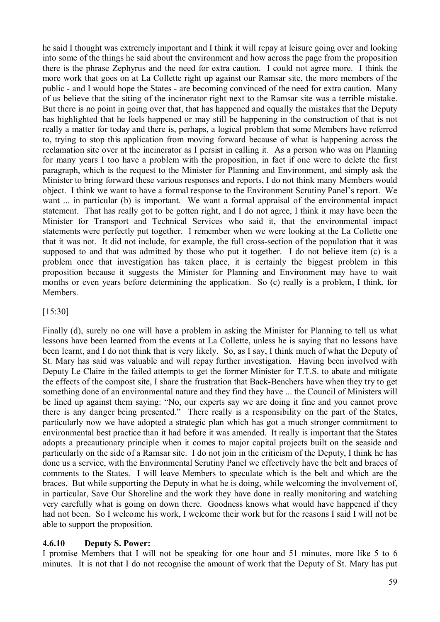he said I thought was extremely important and I think it will repay at leisure going over and looking into some of the things he said about the environment and how across the page from the proposition there is the phrase Zephyrus and the need for extra caution. I could not agree more. I think the more work that goes on at La Collette right up against our Ramsar site, the more members of the public - and I would hope the States - are becoming convinced of the need for extra caution. Many of us believe that the siting of the incinerator right next to the Ramsar site was a terrible mistake. But there is no point in going over that, that has happened and equally the mistakes that the Deputy has highlighted that he feels happened or may still be happening in the construction of that is not really a matter for today and there is, perhaps, a logical problem that some Members have referred to, trying to stop this application from moving forward because of what is happening across the reclamation site over at the incinerator as I persist in calling it. As a person who was on Planning for many years I too have a problem with the proposition, in fact if one were to delete the first paragraph, which is the request to the Minister for Planning and Environment, and simply ask the Minister to bring forward these various responses and reports, I do not think many Members would object. I think we want to have a formal response to the Environment Scrutiny Panel's report. We want ... in particular (b) is important. We want a formal appraisal of the environmental impact statement. That has really got to be gotten right, and I do not agree, I think it may have been the Minister for Transport and Technical Services who said it, that the environmental impact statements were perfectly put together. I remember when we were looking at the La Collette one that it was not. It did not include, for example, the full cross-section of the population that it was supposed to and that was admitted by those who put it together. I do not believe item (c) is a problem once that investigation has taken place, it is certainly the biggest problem in this proposition because it suggests the Minister for Planning and Environment may have to wait months or even years before determining the application. So (c) really is a problem, I think, for **Members** 

[15:30]

Finally (d), surely no one will have a problem in asking the Minister for Planning to tell us what lessons have been learned from the events at La Collette, unless he is saying that no lessons have been learnt, and I do not think that is very likely. So, as I say, I think much of what the Deputy of St. Mary has said was valuable and will repay further investigation. Having been involved with Deputy Le Claire in the failed attempts to get the former Minister for T.T.S. to abate and mitigate the effects of the compost site, I share the frustration that Back-Benchers have when they try to get something done of an environmental nature and they find they have ... the Council of Ministers will be lined up against them saying: "No, our experts say we are doing it fine and you cannot prove there is any danger being presented." There really is a responsibility on the part of the States, particularly now we have adopted a strategic plan which has got a much stronger commitment to environmental best practice than it had before it was amended. It really is important that the States adopts a precautionary principle when it comes to major capital projects built on the seaside and particularly on the side of a Ramsar site. I do not join in the criticism of the Deputy, I think he has done us a service, with the Environmental Scrutiny Panel we effectively have the belt and braces of comments to the States. I will leave Members to speculate which is the belt and which are the braces. But while supporting the Deputy in what he is doing, while welcoming the involvement of, in particular, Save Our Shoreline and the work they have done in really monitoring and watching very carefully what is going on down there. Goodness knows what would have happened if they had not been. So I welcome his work, I welcome their work but for the reasons I said I will not be able to support the proposition.

## **4.6.10 Deputy S. Power:**

I promise Members that I will not be speaking for one hour and 51 minutes, more like 5 to 6 minutes. It is not that I do not recognise the amount of work that the Deputy of St. Mary has put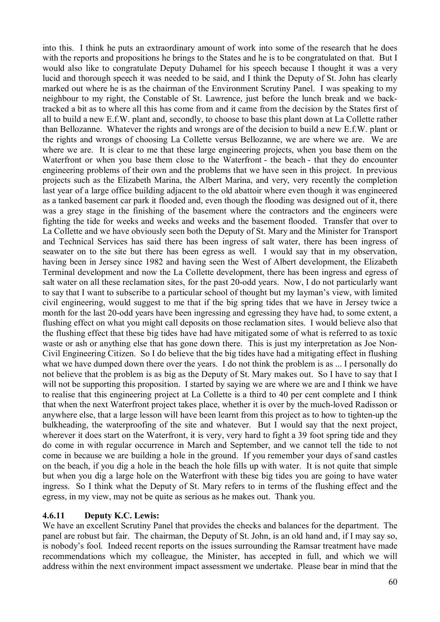into this. I think he puts an extraordinary amount of work into some of the research that he does with the reports and propositions he brings to the States and he is to be congratulated on that. But I would also like to congratulate Deputy Duhamel for his speech because I thought it was a very lucid and thorough speech it was needed to be said, and I think the Deputy of St. John has clearly marked out where he is as the chairman of the Environment Scrutiny Panel. I was speaking to my neighbour to my right, the Constable of St. Lawrence, just before the lunch break and we backtracked a bit as to where all this has come from and it came from the decision by the States first of all to build a new E.f.W. plant and, secondly, to choose to base this plant down at La Collette rather than Bellozanne. Whatever the rights and wrongs are of the decision to build a new E.f.W. plant or the rights and wrongs of choosing La Collette versus Bellozanne, we are where we are. We are where we are. It is clear to me that these large engineering projects, when you base them on the Waterfront or when you base them close to the Waterfront - the beach - that they do encounter engineering problems of their own and the problems that we have seen in this project. In previous projects such as the Elizabeth Marina, the Albert Marina, and very, very recently the completion last year of a large office building adjacent to the old abattoir where even though it was engineered as a tanked basement car park it flooded and, even though the flooding was designed out of it, there was a grey stage in the finishing of the basement where the contractors and the engineers were fighting the tide for weeks and weeks and weeks and the basement flooded. Transfer that over to La Collette and we have obviously seen both the Deputy of St. Mary and the Minister for Transport and Technical Services has said there has been ingress of salt water, there has been ingress of seawater on to the site but there has been egress as well. I would say that in my observation, having been in Jersey since 1982 and having seen the West of Albert development, the Elizabeth Terminal development and now the La Collette development, there has been ingress and egress of salt water on all these reclamation sites, for the past 20-odd years. Now, I do not particularly want to say that I want to subscribe to a particular school of thought but my layman's view, with limited civil engineering, would suggest to me that if the big spring tides that we have in Jersey twice a month for the last 20-odd years have been ingressing and egressing they have had, to some extent, a flushing effect on what you might call deposits on those reclamation sites. I would believe also that the flushing effect that these big tides have had have mitigated some of what is referred to as toxic waste or ash or anything else that has gone down there. This is just my interpretation as Joe Non-Civil Engineering Citizen. So I do believe that the big tides have had a mitigating effect in flushing what we have dumped down there over the years. I do not think the problem is as ... I personally do not believe that the problem is as big as the Deputy of St. Mary makes out. So I have to say that I will not be supporting this proposition. I started by saying we are where we are and I think we have to realise that this engineering project at La Collette is a third to 40 per cent complete and I think that when the next Waterfront project takes place, whether it is over by the much-loved Radisson or anywhere else, that a large lesson will have been learnt from this project as to how to tighten-up the bulkheading, the waterproofing of the site and whatever. But I would say that the next project, wherever it does start on the Waterfront, it is very, very hard to fight a 39 foot spring tide and they do come in with regular occurrence in March and September, and we cannot tell the tide to not come in because we are building a hole in the ground. If you remember your days of sand castles on the beach, if you dig a hole in the beach the hole fills up with water. It is not quite that simple but when you dig a large hole on the Waterfront with these big tides you are going to have water ingress. So I think what the Deputy of St. Mary refers to in terms of the flushing effect and the egress, in my view, may not be quite as serious as he makes out. Thank you.

## **4.6.11 Deputy K.C. Lewis:**

We have an excellent Scrutiny Panel that provides the checks and balances for the department. The panel are robust but fair. The chairman, the Deputy of St. John, is an old hand and, if I may say so, is nobody's fool. Indeed recent reports on the issues surrounding the Ramsar treatment have made recommendations which my colleague, the Minister, has accepted in full, and which we will address within the next environment impact assessment we undertake. Please bear in mind that the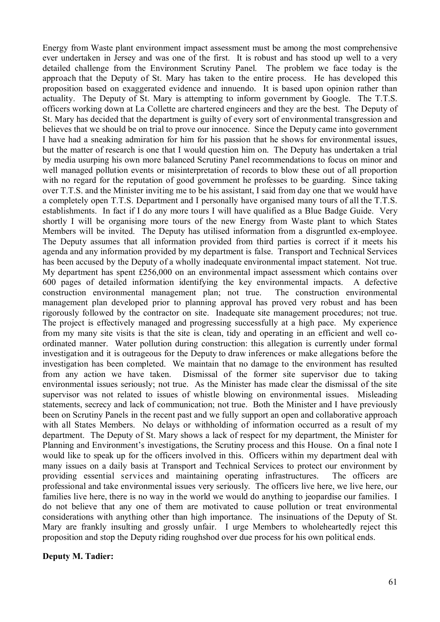Energy from Waste plant environment impact assessment must be among the most comprehensive ever undertaken in Jersey and was one of the first. It is robust and has stood up well to a very detailed challenge from the Environment Scrutiny Panel. The problem we face today is the approach that the Deputy of St. Mary has taken to the entire process. He has developed this proposition based on exaggerated evidence and innuendo. It is based upon opinion rather than actuality. The Deputy of St. Mary is attempting to inform government by Google. The T.T.S. officers working down at La Collette are chartered engineers and they are the best. The Deputy of St. Mary has decided that the department is guilty of every sort of environmental transgression and believes that we should be on trial to prove our innocence. Since the Deputy came into government I have had a sneaking admiration for him for his passion that he shows for environmental issues, but the matter of research is one that I would question him on. The Deputy has undertaken a trial by media usurping his own more balanced Scrutiny Panel recommendations to focus on minor and well managed pollution events or misinterpretation of records to blow these out of all proportion with no regard for the reputation of good government he professes to be guarding. Since taking over T.T.S. and the Minister inviting me to be his assistant, I said from day one that we would have a completely open T.T.S. Department and I personally have organised many tours of all the T.T.S. establishments. In fact if I do any more tours I will have qualified as a Blue Badge Guide. Very shortly I will be organising more tours of the new Energy from Waste plant to which States Members will be invited. The Deputy has utilised information from a disgruntled ex-employee. The Deputy assumes that all information provided from third parties is correct if it meets his agenda and any information provided by my department is false. Transport and Technical Services has been accused by the Deputy of a wholly inadequate environmental impact statement. Not true. My department has spent £256,000 on an environmental impact assessment which contains over 600 pages of detailed information identifying the key environmental impacts. A defective construction environmental management plan; not true. The construction environmental management plan developed prior to planning approval has proved very robust and has been rigorously followed by the contractor on site. Inadequate site management procedures; not true. The project is effectively managed and progressing successfully at a high pace. My experience from my many site visits is that the site is clean, tidy and operating in an efficient and well coordinated manner. Water pollution during construction: this allegation is currently under formal investigation and it is outrageous for the Deputy to draw inferences or make allegations before the investigation has been completed. We maintain that no damage to the environment has resulted from any action we have taken. Dismissal of the former site supervisor due to taking environmental issues seriously; not true. As the Minister has made clear the dismissal of the site supervisor was not related to issues of whistle blowing on environmental issues. Misleading statements, secrecy and lack of communication; not true. Both the Minister and I have previously been on Scrutiny Panels in the recent past and we fully support an open and collaborative approach with all States Members. No delays or withholding of information occurred as a result of my department. The Deputy of St. Mary shows a lack of respect for my department, the Minister for Planning and Environment's investigations, the Scrutiny process and this House. On a final note I would like to speak up for the officers involved in this. Officers within my department deal with many issues on a daily basis at Transport and Technical Services to protect our environment by providing essential services and maintaining operating infrastructures. The officers are professional and take environmental issues very seriously. The officers live here, we live here, our families live here, there is no way in the world we would do anything to jeopardise our families. I do not believe that any one of them are motivated to cause pollution or treat environmental considerations with anything other than high importance. The insinuations of the Deputy of St. Mary are frankly insulting and grossly unfair. I urge Members to wholeheartedly reject this proposition and stop the Deputy riding roughshod over due process for his own political ends.

#### **Deputy M. Tadier:**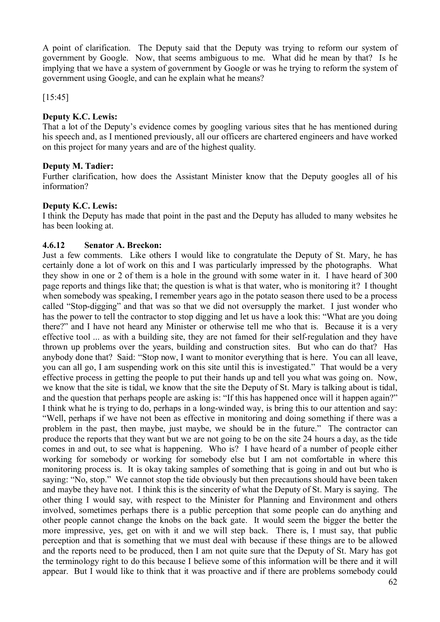A point of clarification. The Deputy said that the Deputy was trying to reform our system of government by Google. Now, that seems ambiguous to me. What did he mean by that? Is he implying that we have a system of government by Google or was he trying to reform the system of government using Google, and can he explain what he means?

[15:45]

# **Deputy K.C. Lewis:**

That a lot of the Deputy's evidence comes by googling various sites that he has mentioned during his speech and, as I mentioned previously, all our officers are chartered engineers and have worked on this project for many years and are of the highest quality.

# **Deputy M. Tadier:**

Further clarification, how does the Assistant Minister know that the Deputy googles all of his information?

# **Deputy K.C. Lewis:**

I think the Deputy has made that point in the past and the Deputy has alluded to many websites he has been looking at.

# **4.6.12 Senator A. Breckon:**

Just a few comments. Like others I would like to congratulate the Deputy of St. Mary, he has certainly done a lot of work on this and I was particularly impressed by the photographs. What they show in one or 2 of them is a hole in the ground with some water in it. I have heard of 300 page reports and things like that; the question is what is that water, who is monitoring it? I thought when somebody was speaking, I remember years ago in the potato season there used to be a process called "Stop-digging" and that was so that we did not oversupply the market. I just wonder who has the power to tell the contractor to stop digging and let us have a look this: "What are you doing there?" and I have not heard any Minister or otherwise tell me who that is. Because it is a very effective tool ... as with a building site, they are not famed for their self-regulation and they have thrown up problems over the years, building and construction sites. But who can do that? Has anybody done that? Said: "Stop now, I want to monitor everything that is here. You can all leave, you can all go, I am suspending work on this site until this is investigated." That would be a very effective process in getting the people to put their hands up and tell you what was going on. Now, we know that the site is tidal, we know that the site the Deputy of St. Mary is talking about is tidal, and the question that perhaps people are asking is: "If this has happened once will it happen again?" I think what he is trying to do, perhaps in a long-winded way, is bring this to our attention and say: "Well, perhaps if we have not been as effective in monitoring and doing something if there was a problem in the past, then maybe, just maybe, we should be in the future." The contractor can produce the reports that they want but we are not going to be on the site 24 hours a day, as the tide comes in and out, to see what is happening. Who is? I have heard of a number of people either working for somebody or working for somebody else but I am not comfortable in where this monitoring process is. It is okay taking samples of something that is going in and out but who is saying: "No, stop." We cannot stop the tide obviously but then precautions should have been taken and maybe they have not. I think this is the sincerity of what the Deputy of St. Mary is saying. The other thing I would say, with respect to the Minister for Planning and Environment and others involved, sometimes perhaps there is a public perception that some people can do anything and other people cannot change the knobs on the back gate. It would seem the bigger the better the more impressive, yes, get on with it and we will step back. There is, I must say, that public perception and that is something that we must deal with because if these things are to be allowed and the reports need to be produced, then I am not quite sure that the Deputy of St. Mary has got the terminology right to do this because I believe some of this information will be there and it will appear. But I would like to think that it was proactive and if there are problems somebody could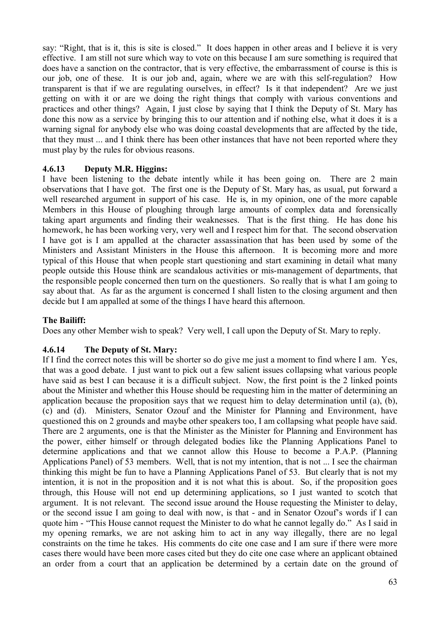say: "Right, that is it, this is site is closed." It does happen in other areas and I believe it is very effective. I am still not sure which way to vote on this because I am sure something is required that does have a sanction on the contractor, that is very effective, the embarrassment of course is this is our job, one of these. It is our job and, again, where we are with this self-regulation? How transparent is that if we are regulating ourselves, in effect? Is it that independent? Are we just getting on with it or are we doing the right things that comply with various conventions and practices and other things? Again, I just close by saying that I think the Deputy of St. Mary has done this now as a service by bringing this to our attention and if nothing else, what it does it is a warning signal for anybody else who was doing coastal developments that are affected by the tide, that they must ... and I think there has been other instances that have not been reported where they must play by the rules for obvious reasons.

## **4.6.13 Deputy M.R. Higgins:**

I have been listening to the debate intently while it has been going on. There are 2 main observations that I have got. The first one is the Deputy of St. Mary has, as usual, put forward a well researched argument in support of his case. He is, in my opinion, one of the more capable Members in this House of ploughing through large amounts of complex data and forensically taking apart arguments and finding their weaknesses. That is the first thing. He has done his homework, he has been working very, very well and I respect him for that. The second observation I have got is I am appalled at the character assassination that has been used by some of the Ministers and Assistant Ministers in the House this afternoon. It is becoming more and more typical of this House that when people start questioning and start examining in detail what many people outside this House think are scandalous activities or mis-management of departments, that the responsible people concerned then turn on the questioners. So really that is what I am going to say about that. As far as the argument is concerned I shall listen to the closing argument and then decide but I am appalled at some of the things I have heard this afternoon.

#### **The Bailiff:**

Does any other Member wish to speak? Very well, I call upon the Deputy of St. Mary to reply.

#### **4.6.14 The Deputy of St. Mary:**

If I find the correct notes this will be shorter so do give me just a moment to find where I am. Yes, that was a good debate. I just want to pick out a few salient issues collapsing what various people have said as best I can because it is a difficult subject. Now, the first point is the 2 linked points about the Minister and whether this House should be requesting him in the matter of determining an application because the proposition says that we request him to delay determination until (a), (b), (c) and (d). Ministers, Senator Ozouf and the Minister for Planning and Environment, have questioned this on 2 grounds and maybe other speakers too, I am collapsing what people have said. There are 2 arguments, one is that the Minister as the Minister for Planning and Environment has the power, either himself or through delegated bodies like the Planning Applications Panel to determine applications and that we cannot allow this House to become a P.A.P. (Planning Applications Panel) of 53 members. Well, that is not my intention, that is not ... I see the chairman thinking this might be fun to have a Planning Applications Panel of 53. But clearly that is not my intention, it is not in the proposition and it is not what this is about. So, if the proposition goes through, this House will not end up determining applications, so I just wanted to scotch that argument. It is not relevant. The second issue around the House requesting the Minister to delay, or the second issue I am going to deal with now, is that - and in Senator Ozouf's words if I can quote him - "This House cannot request the Minister to do what he cannot legally do." As I said in my opening remarks, we are not asking him to act in any way illegally, there are no legal constraints on the time he takes. His comments do cite one case and I am sure if there were more cases there would have been more cases cited but they do cite one case where an applicant obtained an order from a court that an application be determined by a certain date on the ground of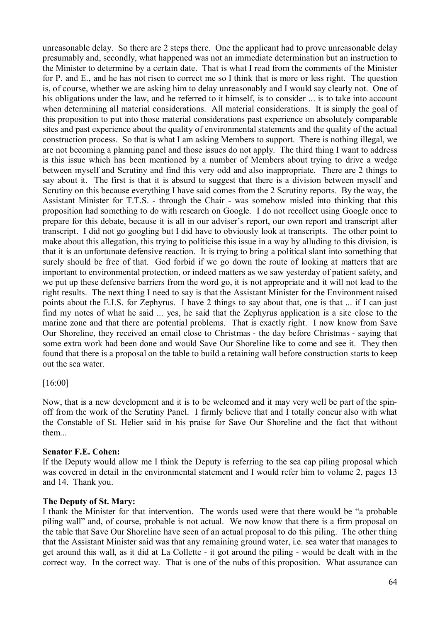unreasonable delay. So there are 2 steps there. One the applicant had to prove unreasonable delay presumably and, secondly, what happened was not an immediate determination but an instruction to the Minister to determine by a certain date. That is what I read from the comments of the Minister for P. and E., and he has not risen to correct me so I think that is more or less right. The question is, of course, whether we are asking him to delay unreasonably and I would say clearly not. One of his obligations under the law, and he referred to it himself, is to consider ... is to take into account when determining all material considerations. All material considerations. It is simply the goal of this proposition to put into those material considerations past experience on absolutely comparable sites and past experience about the quality of environmental statements and the quality of the actual construction process. So that is what I am asking Members to support. There is nothing illegal, we are not becoming a planning panel and those issues do not apply. The third thing I want to address is this issue which has been mentioned by a number of Members about trying to drive a wedge between myself and Scrutiny and find this very odd and also inappropriate. There are 2 things to say about it. The first is that it is absurd to suggest that there is a division between myself and Scrutiny on this because everything I have said comes from the 2 Scrutiny reports. By the way, the Assistant Minister for T.T.S. - through the Chair - was somehow misled into thinking that this proposition had something to do with research on Google. I do not recollect using Google once to prepare for this debate, because it is all in our adviser's report, our own report and transcript after transcript. I did not go googling but I did have to obviously look at transcripts. The other point to make about this allegation, this trying to politicise this issue in a way by alluding to this division, is that it is an unfortunate defensive reaction. It is trying to bring a political slant into something that surely should be free of that. God forbid if we go down the route of looking at matters that are important to environmental protection, or indeed matters as we saw yesterday of patient safety, and we put up these defensive barriers from the word go, it is not appropriate and it will not lead to the right results. The next thing I need to say is that the Assistant Minister for the Environment raised points about the E.I.S. for Zephyrus. I have 2 things to say about that, one is that ... if I can just find my notes of what he said ... yes, he said that the Zephyrus application is a site close to the marine zone and that there are potential problems. That is exactly right. I now know from Save Our Shoreline, they received an email close to Christmas - the day before Christmas - saying that some extra work had been done and would Save Our Shoreline like to come and see it. They then found that there is a proposal on the table to build a retaining wall before construction starts to keep out the sea water.

## [16:00]

Now, that is a new development and it is to be welcomed and it may very well be part of the spinoff from the work of the Scrutiny Panel. I firmly believe that and I totally concur also with what the Constable of St. Helier said in his praise for Save Our Shoreline and the fact that without them...

#### **Senator F.E. Cohen:**

If the Deputy would allow me I think the Deputy is referring to the sea cap piling proposal which was covered in detail in the environmental statement and I would refer him to volume 2, pages 13 and 14. Thank you.

#### **The Deputy of St. Mary:**

I thank the Minister for that intervention. The words used were that there would be "a probable piling wall" and, of course, probable is not actual. We now know that there is a firm proposal on the table that Save Our Shoreline have seen of an actual proposal to do this piling. The other thing that the Assistant Minister said was that any remaining ground water, i.e. sea water that manages to get around this wall, as it did at La Collette - it got around the piling - would be dealt with in the correct way. In the correct way. That is one of the nubs of this proposition. What assurance can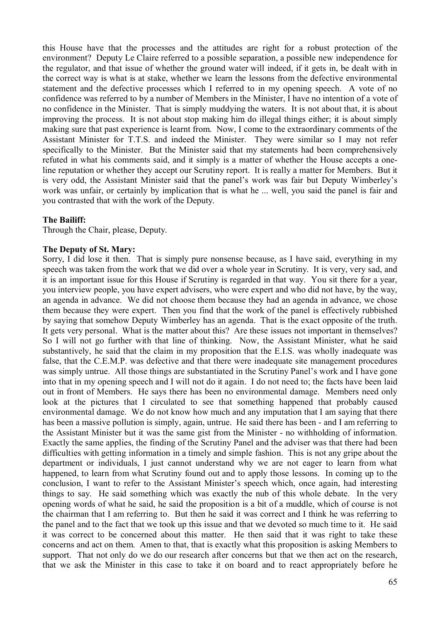this House have that the processes and the attitudes are right for a robust protection of the environment? Deputy Le Claire referred to a possible separation, a possible new independence for the regulator, and that issue of whether the ground water will indeed, if it gets in, be dealt with in the correct way is what is at stake, whether we learn the lessons from the defective environmental statement and the defective processes which I referred to in my opening speech. A vote of no confidence was referred to by a number of Members in the Minister, I have no intention of a vote of no confidence in the Minister. That is simply muddying the waters. It is not about that, it is about improving the process. It is not about stop making him do illegal things either; it is about simply making sure that past experience is learnt from. Now, I come to the extraordinary comments of the Assistant Minister for T.T.S. and indeed the Minister. They were similar so I may not refer specifically to the Minister. But the Minister said that my statements had been comprehensively refuted in what his comments said, and it simply is a matter of whether the House accepts a oneline reputation or whether they accept our Scrutiny report. It is really a matter for Members. But it is very odd, the Assistant Minister said that the panel's work was fair but Deputy Wimberley's work was unfair, or certainly by implication that is what he ... well, you said the panel is fair and you contrasted that with the work of the Deputy.

### **The Bailiff:**

Through the Chair, please, Deputy.

#### **The Deputy of St. Mary:**

Sorry, I did lose it then. That is simply pure nonsense because, as I have said, everything in my speech was taken from the work that we did over a whole year in Scrutiny. It is very, very sad, and it is an important issue for this House if Scrutiny is regarded in that way. You sit there for a year, you interview people, you have expert advisers, who were expert and who did not have, by the way, an agenda in advance. We did not choose them because they had an agenda in advance, we chose them because they were expert. Then you find that the work of the panel is effectively rubbished by saying that somehow Deputy Wimberley has an agenda. That is the exact opposite of the truth. It gets very personal. What is the matter about this? Are these issues not important in themselves? So I will not go further with that line of thinking. Now, the Assistant Minister, what he said substantively, he said that the claim in my proposition that the E.I.S. was wholly inadequate was false, that the C.E.M.P. was defective and that there were inadequate site management procedures was simply untrue. All those things are substantiated in the Scrutiny Panel's work and I have gone into that in my opening speech and I will not do it again. I do not need to; the facts have been laid out in front of Members. He says there has been no environmental damage. Members need only look at the pictures that I circulated to see that something happened that probably caused environmental damage. We do not know how much and any imputation that I am saying that there has been a massive pollution is simply, again, untrue. He said there has been - and I am referring to the Assistant Minister but it was the same gist from the Minister - no withholding of information. Exactly the same applies, the finding of the Scrutiny Panel and the adviser was that there had been difficulties with getting information in a timely and simple fashion. This is not any gripe about the department or individuals, I just cannot understand why we are not eager to learn from what happened, to learn from what Scrutiny found out and to apply those lessons. In coming up to the conclusion, I want to refer to the Assistant Minister's speech which, once again, had interesting things to say. He said something which was exactly the nub of this whole debate. In the very opening words of what he said, he said the proposition is a bit of a muddle, which of course is not the chairman that I am referring to. But then he said it was correct and I think he was referring to the panel and to the fact that we took up this issue and that we devoted so much time to it. He said it was correct to be concerned about this matter. He then said that it was right to take these concerns and act on them. Amen to that, that is exactly what this proposition is asking Members to support. That not only do we do our research after concerns but that we then act on the research, that we ask the Minister in this case to take it on board and to react appropriately before he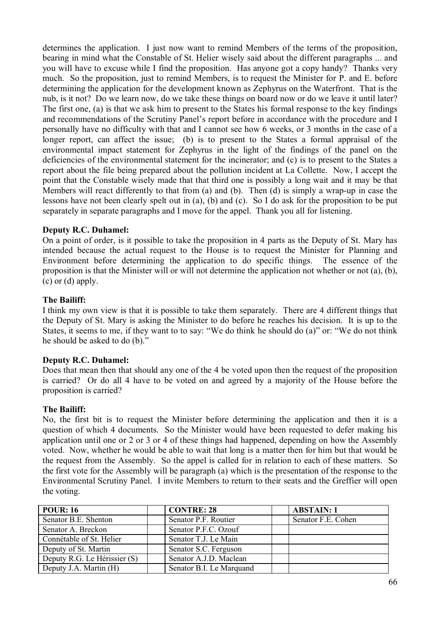determines the application. I just now want to remind Members of the terms of the proposition, bearing in mind what the Constable of St. Helier wisely said about the different paragraphs ... and you will have to excuse while I find the proposition. Has anyone got a copy handy? Thanks very much. So the proposition, just to remind Members, is to request the Minister for P. and E. before determining the application for the development known as Zephyrus on the Waterfront. That is the nub, is it not? Do we learn now, do we take these things on board now or do we leave it until later? The first one, (a) is that we ask him to present to the States his formal response to the key findings and recommendations of the Scrutiny Panel's report before in accordance with the procedure and I personally have no difficulty with that and I cannot see how 6 weeks, or 3 months in the case of a longer report, can affect the issue; (b) is to present to the States a formal appraisal of the environmental impact statement for Zephyrus in the light of the findings of the panel on the deficiencies of the environmental statement for the incinerator; and (c) is to present to the States a report about the file being prepared about the pollution incident at La Collette. Now, I accept the point that the Constable wisely made that that third one is possibly a long wait and it may be that Members will react differently to that from (a) and (b). Then (d) is simply a wrap-up in case the lessons have not been clearly spelt out in (a), (b) and (c). So I do ask for the proposition to be put separately in separate paragraphs and I move for the appel. Thank you all for listening.

## **Deputy R.C. Duhamel:**

On a point of order, is it possible to take the proposition in 4 parts as the Deputy of St. Mary has intended because the actual request to the House is to request the Minister for Planning and Environment before determining the application to do specific things. The essence of the proposition is that the Minister will or will not determine the application not whether or not (a), (b), (c) or (d) apply.

## **The Bailiff:**

I think my own view is that it is possible to take them separately. There are 4 different things that the Deputy of St. Mary is asking the Minister to do before he reaches his decision. It is up to the States, it seems to me, if they want to to say: "We do think he should do (a)" or: "We do not think he should be asked to do (b)."

## **Deputy R.C. Duhamel:**

Does that mean then that should any one of the 4 be voted upon then the request of the proposition is carried? Or do all 4 have to be voted on and agreed by a majority of the House before the proposition is carried?

## **The Bailiff:**

No, the first bit is to request the Minister before determining the application and then it is a question of which 4 documents. So the Minister would have been requested to defer making his application until one or 2 or 3 or 4 of these things had happened, depending on how the Assembly voted. Now, whether he would be able to wait that long is a matter then for him but that would be the request from the Assembly. So the appel is called for in relation to each of these matters. So the first vote for the Assembly will be paragraph (a) which is the presentation of the response to the Environmental Scrutiny Panel. I invite Members to return to their seats and the Greffier will open the voting.

| <b>POUR: 16</b>              | <b>CONTRE: 28</b>        | <b>ABSTAIN: 1</b>  |  |
|------------------------------|--------------------------|--------------------|--|
| Senator B.E. Shenton         | Senator P.F. Routier     | Senator F.E. Cohen |  |
| Senator A. Breckon           | Senator P.F.C. Ozouf     |                    |  |
| Connétable of St. Helier     | Senator T.J. Le Main     |                    |  |
| Deputy of St. Martin         | Senator S.C. Ferguson    |                    |  |
| Deputy R.G. Le Hérissier (S) | Senator A.J.D. Maclean   |                    |  |
| Deputy J.A. Martin (H)       | Senator B.I. Le Marquand |                    |  |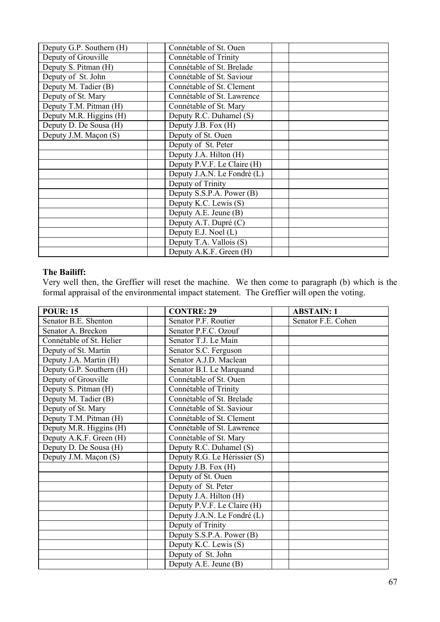| Deputy G.P. Southern (H) | Connétable of St. Ouen      |  |
|--------------------------|-----------------------------|--|
| Deputy of Grouville      | Connétable of Trinity       |  |
| Deputy S. Pitman (H)     | Connétable of St. Brelade   |  |
| Deputy of St. John       | Connétable of St. Saviour   |  |
| Deputy M. Tadier (B)     | Connétable of St. Clement   |  |
| Deputy of St. Mary       | Connétable of St. Lawrence  |  |
| Deputy T.M. Pitman (H)   | Connétable of St. Mary      |  |
| Deputy M.R. Higgins (H)  | Deputy R.C. Duhamel (S)     |  |
| Deputy D. De Sousa (H)   | Deputy J.B. Fox (H)         |  |
| Deputy J.M. Maçon (S)    | Deputy of St. Ouen          |  |
|                          | Deputy of St. Peter         |  |
|                          | Deputy J.A. Hilton (H)      |  |
|                          | Deputy P.V.F. Le Claire (H) |  |
|                          | Deputy J.A.N. Le Fondré (L) |  |
|                          | Deputy of Trinity           |  |
|                          | Deputy S.S.P.A. Power (B)   |  |
|                          | Deputy K.C. Lewis (S)       |  |
|                          | Deputy A.E. Jeune (B)       |  |
|                          | Deputy A.T. Dupré (C)       |  |
|                          | Deputy E.J. Noel (L)        |  |
|                          | Deputy T.A. Vallois (S)     |  |
|                          | Deputy A.K.F. Green (H)     |  |

### **The Bailiff:**

Very well then, the Greffier will reset the machine. We then come to paragraph (b) which is the formal appraisal of the environmental impact statement. The Greffier will open the voting.

| <b>POUR: 15</b>          | <b>CONTRE: 29</b>            | <b>ABSTAIN: 1</b>  |
|--------------------------|------------------------------|--------------------|
| Senator B.E. Shenton     | Senator P.F. Routier         | Senator F.E. Cohen |
| Senator A. Breckon       | Senator P.F.C. Ozouf         |                    |
| Connétable of St. Helier | Senator T.J. Le Main         |                    |
| Deputy of St. Martin     | Senator S.C. Ferguson        |                    |
| Deputy J.A. Martin (H)   | Senator A.J.D. Maclean       |                    |
| Deputy G.P. Southern (H) | Senator B.I. Le Marquand     |                    |
| Deputy of Grouville      | Connétable of St. Ouen       |                    |
| Deputy S. Pitman (H)     | Connétable of Trinity        |                    |
| Deputy M. Tadier (B)     | Connétable of St. Brelade    |                    |
| Deputy of St. Mary       | Connétable of St. Saviour    |                    |
| Deputy T.M. Pitman (H)   | Connétable of St. Clement    |                    |
| Deputy M.R. Higgins (H)  | Connétable of St. Lawrence   |                    |
| Deputy A.K.F. Green (H)  | Connétable of St. Mary       |                    |
| Deputy D. De Sousa (H)   | Deputy R.C. Duhamel (S)      |                    |
| Deputy J.M. Maçon (S)    | Deputy R.G. Le Hérissier (S) |                    |
|                          | Deputy J.B. Fox (H)          |                    |
|                          | Deputy of St. Ouen           |                    |
|                          | Deputy of St. Peter          |                    |
|                          | Deputy J.A. Hilton (H)       |                    |
|                          | Deputy P.V.F. Le Claire (H)  |                    |
|                          | Deputy J.A.N. Le Fondré (L)  |                    |
|                          | Deputy of Trinity            |                    |
|                          | Deputy S.S.P.A. Power (B)    |                    |
|                          | Deputy K.C. Lewis (S)        |                    |
|                          | Deputy of St. John           |                    |
|                          | Deputy A.E. Jeune (B)        |                    |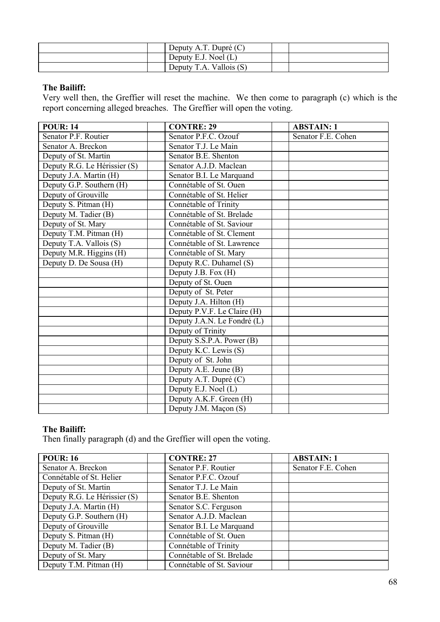| Deputy A.T. Dupré $(C)$ |  |
|-------------------------|--|
| Deputy E.J. Noel $(L)$  |  |
| Deputy T.A. Vallois (S) |  |

## **The Bailiff:**

Very well then, the Greffier will reset the machine. We then come to paragraph (c) which is the report concerning alleged breaches. The Greffier will open the voting.

| <b>POUR: 14</b>              | <b>CONTRE: 29</b>           | <b>ABSTAIN: 1</b>  |
|------------------------------|-----------------------------|--------------------|
| Senator P.F. Routier         | Senator P.F.C. Ozouf        | Senator F.E. Cohen |
| Senator A. Breckon           | Senator T.J. Le Main        |                    |
| Deputy of St. Martin         | Senator B.E. Shenton        |                    |
| Deputy R.G. Le Hérissier (S) | Senator A.J.D. Maclean      |                    |
| Deputy J.A. Martin (H)       | Senator B.I. Le Marquand    |                    |
| Deputy G.P. Southern (H)     | Connétable of St. Ouen      |                    |
| Deputy of Grouville          | Connétable of St. Helier    |                    |
| Deputy S. Pitman (H)         | Connétable of Trinity       |                    |
| Deputy M. Tadier (B)         | Connétable of St. Brelade   |                    |
| Deputy of St. Mary           | Connétable of St. Saviour   |                    |
| Deputy T.M. Pitman (H)       | Connétable of St. Clement   |                    |
| Deputy T.A. Vallois (S)      | Connétable of St. Lawrence  |                    |
| Deputy M.R. Higgins (H)      | Connétable of St. Mary      |                    |
| Deputy D. De Sousa (H)       | Deputy R.C. Duhamel (S)     |                    |
|                              | Deputy J.B. Fox (H)         |                    |
|                              | Deputy of St. Ouen          |                    |
|                              | Deputy of St. Peter         |                    |
|                              | Deputy J.A. Hilton (H)      |                    |
|                              | Deputy P.V.F. Le Claire (H) |                    |
|                              | Deputy J.A.N. Le Fondré (L) |                    |
|                              | Deputy of Trinity           |                    |
|                              | Deputy S.S.P.A. Power (B)   |                    |
|                              | Deputy K.C. Lewis (S)       |                    |
|                              | Deputy of St. John          |                    |
|                              | Deputy A.E. Jeune (B)       |                    |
|                              | Deputy A.T. Dupré (C)       |                    |
|                              | Deputy E.J. Noel (L)        |                    |
|                              | Deputy A.K.F. Green (H)     |                    |
|                              | Deputy J.M. Maçon (S)       |                    |

## **The Bailiff:**

Then finally paragraph (d) and the Greffier will open the voting.

| <b>POUR: 16</b>              | <b>CONTRE: 27</b>         | <b>ABSTAIN: 1</b>  |
|------------------------------|---------------------------|--------------------|
| Senator A. Breckon           | Senator P.F. Routier      | Senator F.E. Cohen |
| Connétable of St. Helier     | Senator P.F.C. Ozouf      |                    |
| Deputy of St. Martin         | Senator T.J. Le Main      |                    |
| Deputy R.G. Le Hérissier (S) | Senator B.E. Shenton      |                    |
| Deputy J.A. Martin (H)       | Senator S.C. Ferguson     |                    |
| Deputy G.P. Southern (H)     | Senator A.J.D. Maclean    |                    |
| Deputy of Grouville          | Senator B.I. Le Marquand  |                    |
| Deputy S. Pitman (H)         | Connétable of St. Ouen    |                    |
| Deputy M. Tadier (B)         | Connétable of Trinity     |                    |
| Deputy of St. Mary           | Connétable of St. Brelade |                    |
| Deputy T.M. Pitman (H)       | Connétable of St. Saviour |                    |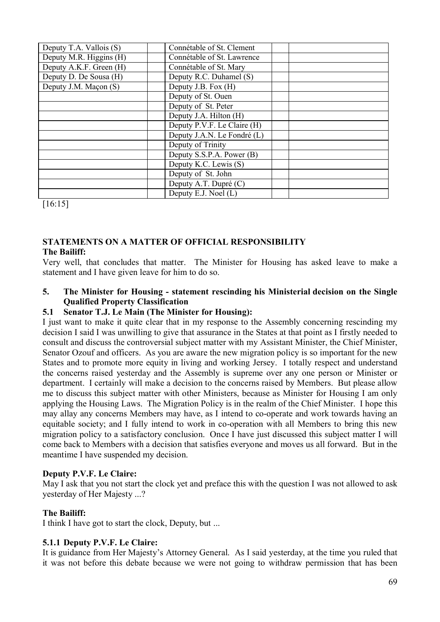| Deputy T.A. Vallois (S) | Connétable of St. Clement   |  |
|-------------------------|-----------------------------|--|
| Deputy M.R. Higgins (H) | Connétable of St. Lawrence  |  |
| Deputy A.K.F. Green (H) | Connétable of St. Mary      |  |
| Deputy D. De Sousa (H)  | Deputy R.C. Duhamel (S)     |  |
| Deputy J.M. Maçon (S)   | Deputy J.B. Fox (H)         |  |
|                         | Deputy of St. Ouen          |  |
|                         | Deputy of St. Peter         |  |
|                         | Deputy J.A. Hilton (H)      |  |
|                         | Deputy P.V.F. Le Claire (H) |  |
|                         | Deputy J.A.N. Le Fondré (L) |  |
|                         | Deputy of Trinity           |  |
|                         | Deputy S.S.P.A. Power (B)   |  |
|                         | Deputy K.C. Lewis (S)       |  |
|                         | Deputy of St. John          |  |
|                         | Deputy A.T. Dupré (C)       |  |
|                         | Deputy E.J. Noel (L)        |  |

[16:15]

#### **STATEMENTS ON A MATTER OF OFFICIAL RESPONSIBILITY The Bailiff:**

Very well, that concludes that matter. The Minister for Housing has asked leave to make a statement and I have given leave for him to do so.

### **5. The Minister for Housing - statement rescinding his Ministerial decision on the Single Qualified Property Classification**

## **5.1 Senator T.J. Le Main (The Minister for Housing):**

I just want to make it quite clear that in my response to the Assembly concerning rescinding my decision I said I was unwilling to give that assurance in the States at that point as I firstly needed to consult and discuss the controversial subject matter with my Assistant Minister, the Chief Minister, Senator Ozouf and officers. As you are aware the new migration policy is so important for the new States and to promote more equity in living and working Jersey. I totally respect and understand the concerns raised yesterday and the Assembly is supreme over any one person or Minister or department. I certainly will make a decision to the concerns raised by Members. But please allow me to discuss this subject matter with other Ministers, because as Minister for Housing I am only applying the Housing Laws. The Migration Policy is in the realm of the Chief Minister. I hope this may allay any concerns Members may have, as I intend to co-operate and work towards having an equitable society; and I fully intend to work in co-operation with all Members to bring this new migration policy to a satisfactory conclusion. Once I have just discussed this subject matter I will come back to Members with a decision that satisfies everyone and moves us all forward. But in the meantime I have suspended my decision.

#### **Deputy P.V.F. Le Claire:**

May I ask that you not start the clock yet and preface this with the question I was not allowed to ask yesterday of Her Majesty ...?

#### **The Bailiff:**

I think I have got to start the clock, Deputy, but ...

## **5.1.1 Deputy P.V.F. Le Claire:**

It is guidance from Her Majesty's Attorney General. As I said yesterday, at the time you ruled that it was not before this debate because we were not going to withdraw permission that has been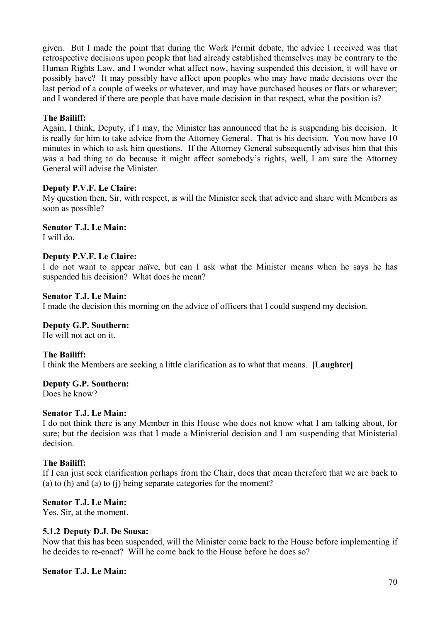given. But I made the point that during the Work Permit debate, the advice I received was that retrospective decisions upon people that had already established themselves may be contrary to the Human Rights Law, and I wonder what affect now, having suspended this decision, it will have or possibly have? It may possibly have affect upon peoples who may have made decisions over the last period of a couple of weeks or whatever, and may have purchased houses or flats or whatever; and I wondered if there are people that have made decision in that respect, what the position is?

### **The Bailiff:**

Again, I think, Deputy, if I may, the Minister has announced that he is suspending his decision. It is really for him to take advice from the Attorney General. That is his decision. You now have 10 minutes in which to ask him questions. If the Attorney General subsequently advises him that this was a bad thing to do because it might affect somebody's rights, well, I am sure the Attorney General will advise the Minister.

#### **Deputy P.V.F. Le Claire:**

My question then, Sir, with respect, is will the Minister seek that advice and share with Members as soon as possible?

**Senator T.J. Le Main:**

I will do.

### **Deputy P.V.F. Le Claire:**

I do not want to appear naïve, but can I ask what the Minister means when he says he has suspended his decision? What does he mean?

#### **Senator T.J. Le Main:**

I made the decision this morning on the advice of officers that I could suspend my decision.

#### **Deputy G.P. Southern:**

He will not act on it.

## **The Bailiff:**

I think the Members are seeking a little clarification as to what that means. **[Laughter]**

#### **Deputy G.P. Southern:**

Does he know?

### **Senator T.J. Le Main:**

I do not think there is any Member in this House who does not know what I am talking about, for sure; but the decision was that I made a Ministerial decision and I am suspending that Ministerial decision.

## **The Bailiff:**

If I can just seek clarification perhaps from the Chair, does that mean therefore that we are back to (a) to (h) and (a) to (j) being separate categories for the moment?

#### **Senator T.J. Le Main:**

Yes, Sir, at the moment.

### **5.1.2 Deputy D.J. De Sousa:**

Now that this has been suspended, will the Minister come back to the House before implementing if he decides to re-enact? Will he come back to the House before he does so?

#### **Senator T.J. Le Main:**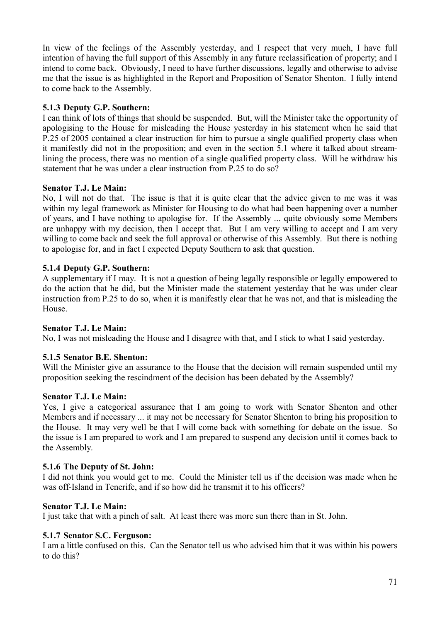In view of the feelings of the Assembly yesterday, and I respect that very much, I have full intention of having the full support of this Assembly in any future reclassification of property; and I intend to come back. Obviously, I need to have further discussions, legally and otherwise to advise me that the issue is as highlighted in the Report and Proposition of Senator Shenton. I fully intend to come back to the Assembly.

# **5.1.3 Deputy G.P. Southern:**

I can think of lots of things that should be suspended. But, will the Minister take the opportunity of apologising to the House for misleading the House yesterday in his statement when he said that P.25 of 2005 contained a clear instruction for him to pursue a single qualified property class when it manifestly did not in the proposition; and even in the section 5.1 where it talked about streamlining the process, there was no mention of a single qualified property class. Will he withdraw his statement that he was under a clear instruction from P.25 to do so?

## **Senator T.J. Le Main:**

No, I will not do that. The issue is that it is quite clear that the advice given to me was it was within my legal framework as Minister for Housing to do what had been happening over a number of years, and I have nothing to apologise for. If the Assembly ... quite obviously some Members are unhappy with my decision, then I accept that. But I am very willing to accept and I am very willing to come back and seek the full approval or otherwise of this Assembly. But there is nothing to apologise for, and in fact I expected Deputy Southern to ask that question.

# **5.1.4 Deputy G.P. Southern:**

A supplementary if I may. It is not a question of being legally responsible or legally empowered to do the action that he did, but the Minister made the statement yesterday that he was under clear instruction from P.25 to do so, when it is manifestly clear that he was not, and that is misleading the House.

## **Senator T.J. Le Main:**

No, I was not misleading the House and I disagree with that, and I stick to what I said yesterday.

## **5.1.5 Senator B.E. Shenton:**

Will the Minister give an assurance to the House that the decision will remain suspended until my proposition seeking the rescindment of the decision has been debated by the Assembly?

## **Senator T.J. Le Main:**

Yes, I give a categorical assurance that I am going to work with Senator Shenton and other Members and if necessary ... it may not be necessary for Senator Shenton to bring his proposition to the House. It may very well be that I will come back with something for debate on the issue. So the issue is I am prepared to work and I am prepared to suspend any decision until it comes back to the Assembly.

## **5.1.6 The Deputy of St. John:**

I did not think you would get to me. Could the Minister tell us if the decision was made when he was off-Island in Tenerife, and if so how did he transmit it to his officers?

## **Senator T.J. Le Main:**

I just take that with a pinch of salt. At least there was more sun there than in St. John.

# **5.1.7 Senator S.C. Ferguson:**

I am a little confused on this. Can the Senator tell us who advised him that it was within his powers to do this?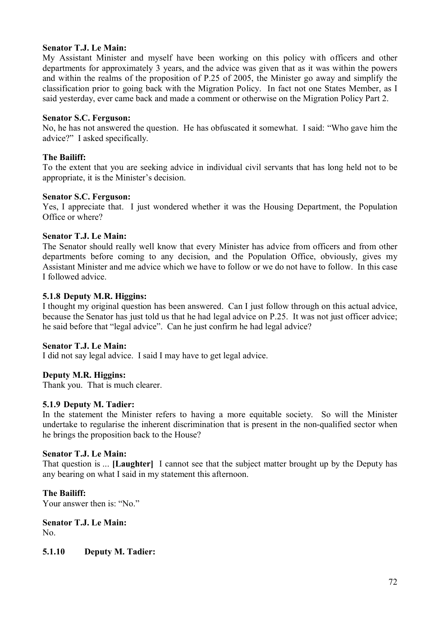### **Senator T.J. Le Main:**

My Assistant Minister and myself have been working on this policy with officers and other departments for approximately 3 years, and the advice was given that as it was within the powers and within the realms of the proposition of P.25 of 2005, the Minister go away and simplify the classification prior to going back with the Migration Policy. In fact not one States Member, as I said yesterday, ever came back and made a comment or otherwise on the Migration Policy Part 2.

#### **Senator S.C. Ferguson:**

No, he has not answered the question. He has obfuscated it somewhat. I said: "Who gave him the advice?" I asked specifically.

### **The Bailiff:**

To the extent that you are seeking advice in individual civil servants that has long held not to be appropriate, it is the Minister's decision.

#### **Senator S.C. Ferguson:**

Yes, I appreciate that. I just wondered whether it was the Housing Department, the Population Office or where?

#### **Senator T.J. Le Main:**

The Senator should really well know that every Minister has advice from officers and from other departments before coming to any decision, and the Population Office, obviously, gives my Assistant Minister and me advice which we have to follow or we do not have to follow. In this case I followed advice.

### **5.1.8 Deputy M.R. Higgins:**

I thought my original question has been answered. Can I just follow through on this actual advice, because the Senator has just told us that he had legal advice on P.25. It was not just officer advice; he said before that "legal advice". Can he just confirm he had legal advice?

#### **Senator T.J. Le Main:**

I did not say legal advice. I said I may have to get legal advice.

## **Deputy M.R. Higgins:**

Thank you. That is much clearer.

#### **5.1.9 Deputy M. Tadier:**

In the statement the Minister refers to having a more equitable society. So will the Minister undertake to regularise the inherent discrimination that is present in the non-qualified sector when he brings the proposition back to the House?

#### **Senator T.J. Le Main:**

That question is ... **[Laughter]** I cannot see that the subject matter brought up by the Deputy has any bearing on what I said in my statement this afternoon.

## **The Bailiff:**

Your answer then is: "No."

**Senator T.J. Le Main:** No.

**5.1.10 Deputy M. Tadier:**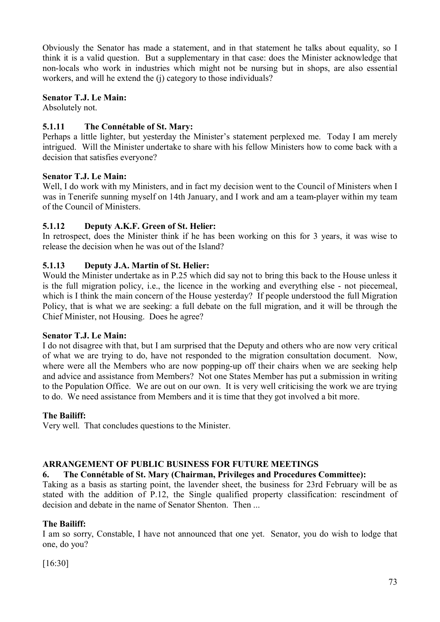Obviously the Senator has made a statement, and in that statement he talks about equality, so I think it is a valid question. But a supplementary in that case: does the Minister acknowledge that non-locals who work in industries which might not be nursing but in shops, are also essential workers, and will he extend the (j) category to those individuals?

# **Senator T.J. Le Main:**

Absolutely not.

# **5.1.11 The Connétable of St. Mary:**

Perhaps a little lighter, but yesterday the Minister's statement perplexed me. Today I am merely intrigued. Will the Minister undertake to share with his fellow Ministers how to come back with a decision that satisfies everyone?

# **Senator T.J. Le Main:**

Well, I do work with my Ministers, and in fact my decision went to the Council of Ministers when I was in Tenerife sunning myself on 14th January, and I work and am a team-player within my team of the Council of Ministers.

# **5.1.12 Deputy A.K.F. Green of St. Helier:**

In retrospect, does the Minister think if he has been working on this for 3 years, it was wise to release the decision when he was out of the Island?

# **5.1.13 Deputy J.A. Martin of St. Helier:**

Would the Minister undertake as in P.25 which did say not to bring this back to the House unless it is the full migration policy, i.e., the licence in the working and everything else - not piecemeal, which is I think the main concern of the House yesterday? If people understood the full Migration Policy, that is what we are seeking: a full debate on the full migration, and it will be through the Chief Minister, not Housing. Does he agree?

# **Senator T.J. Le Main:**

I do not disagree with that, but I am surprised that the Deputy and others who are now very critical of what we are trying to do, have not responded to the migration consultation document. Now, where were all the Members who are now popping-up off their chairs when we are seeking help and advice and assistance from Members? Not one States Member has put a submission in writing to the Population Office. We are out on our own. It is very well criticising the work we are trying to do. We need assistance from Members and it is time that they got involved a bit more.

# **The Bailiff:**

Very well. That concludes questions to the Minister.

# **ARRANGEMENT OF PUBLIC BUSINESS FOR FUTURE MEETINGS**

# **6. The Connétable of St. Mary (Chairman, Privileges and Procedures Committee):**

Taking as a basis as starting point, the lavender sheet, the business for 23rd February will be as stated with the addition of P.12, the Single qualified property classification: rescindment of decision and debate in the name of Senator Shenton. Then ...

# **The Bailiff:**

I am so sorry, Constable, I have not announced that one yet. Senator, you do wish to lodge that one, do you?

[16:30]